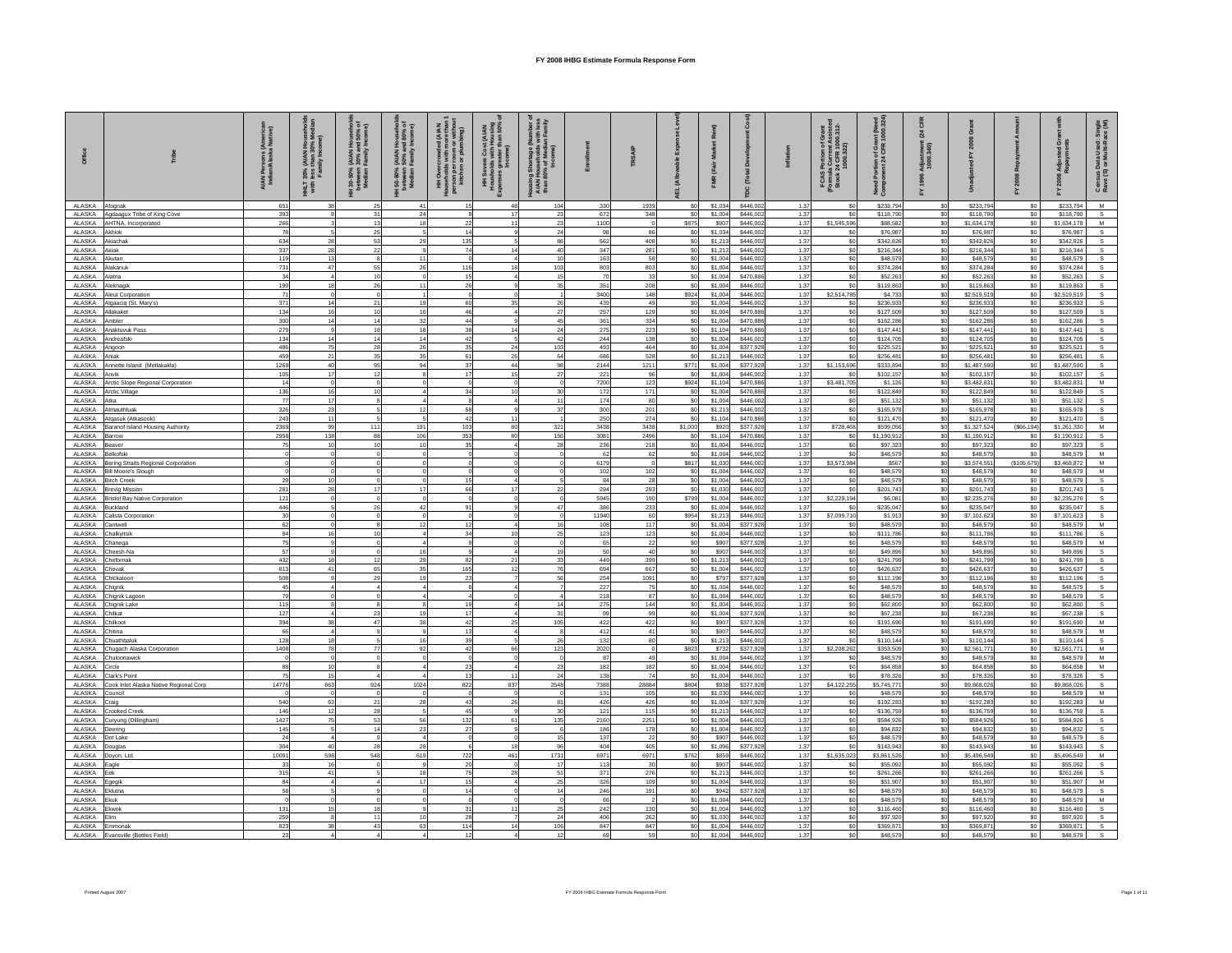| Office                  | $\frac{8}{100}$                                                | A IA N Persons (America<br>Indian/Alaska Native) | 30% (AIAN)<br>1 less than 3<br>Family Inc<br>HHLT<br>with | AIAN Househs) .<br>1 30% and 50%<br>Family Income<br>HH 30-50%<br>between<br>Median F | نا (AIAN Househa)<br>- 90% and 80%<br>- Family Income<br>l 50-80%<br>between<br>Median I | 통륜<br>HH Overcr<br>Households<br>person per r<br>kitchen | severe Cost (AIAN<br>iolds with Housing<br>s greater than 50%<br>Income<br>hH Severe<br>Housholds w<br>Apenses grea | Housing Shortage (N<br>AIAN Households <sub>1</sub><br>than 80% of Media<br>Income) |             | TRSAIP       |                                  | ē<br>FMR <sub>(F4</sub> | å<br>[Total            | $\overline{5}$ | FCAS Portion of Grant<br>(Formula Current Assisted<br>Stock 24 CFR 1000.312- | Portion of Grant (Need<br>onent 24 CFR 1000.324<br>Need<br>Comp | ম<br>គ្គ<br>នី<br>Adjust<br>1000. |                          |                        | Adju<br>Repa<br>놊        | åξ<br>Census Data Used: Sir<br>Rave (S) or Multi-Race |
|-------------------------|----------------------------------------------------------------|--------------------------------------------------|-----------------------------------------------------------|---------------------------------------------------------------------------------------|------------------------------------------------------------------------------------------|----------------------------------------------------------|---------------------------------------------------------------------------------------------------------------------|-------------------------------------------------------------------------------------|-------------|--------------|----------------------------------|-------------------------|------------------------|----------------|------------------------------------------------------------------------------|-----------------------------------------------------------------|-----------------------------------|--------------------------|------------------------|--------------------------|-------------------------------------------------------|
| ALASKA                  | Afognak                                                        | 651                                              |                                                           | 25                                                                                    |                                                                                          |                                                          | 48                                                                                                                  | 104                                                                                 | 330         | 1939         | S <sub>0</sub>                   | \$1,034                 | \$446,002              | 1.37           | \$0                                                                          | \$233,794                                                       | \$0                               | \$233,794                | S <sub>0</sub>         | \$233,794                | M                                                     |
| ALASKA                  | Agdaagux Tribe of King Cove                                    | 393                                              |                                                           | 31                                                                                    |                                                                                          |                                                          | 17                                                                                                                  | 23                                                                                  | 672         | 348          | \$0                              | \$1,004                 | \$446,002              | 1.37           |                                                                              | \$118,790                                                       | \$0                               | \$118,790                | \$0                    | \$118,790                | s                                                     |
| ALASKA<br>ALASKA        | AHTNA, Incorporated<br>Akhiok                                  | 266<br>78                                        |                                                           | 13<br>25                                                                              |                                                                                          | 22                                                       | 11                                                                                                                  |                                                                                     | 1100        | 86           | <b>S875</b><br>\$0               | \$907<br>\$1,034        | \$446,002<br>\$446,002 | 1.37<br>1.37   | \$1,545,596<br>\$0                                                           | \$88,582<br>\$76,987                                            | \$0<br>\$0                        | \$1,634.17               | \$0<br>\$0             | \$1,634.178<br>\$76,987  | M                                                     |
| ALASKA                  | Akiachak                                                       | 634                                              | 28                                                        | 53                                                                                    |                                                                                          | 14<br>135                                                |                                                                                                                     | 24<br>86                                                                            | 98<br>562   | 408          | \$0                              | \$1,21                  | \$446,002              | 1.37           | \$0                                                                          | \$342,826                                                       | \$0                               | \$76,987<br>\$342,826    | \$0                    | \$342,826                |                                                       |
| <b>ALASKA</b>           | Akiak                                                          | 337                                              | 28                                                        | 22                                                                                    |                                                                                          | 74                                                       | 14                                                                                                                  | 40                                                                                  | 347         | 281          | \$0                              | \$1,213                 | \$446,002              | 1.37           | \$0                                                                          | \$216,344                                                       | \$0                               | \$216.34                 | \$0                    | \$216,344                | s                                                     |
| ALASKA                  | Akutan                                                         | 119                                              |                                                           |                                                                                       |                                                                                          |                                                          |                                                                                                                     |                                                                                     | 163         | 58           | SO                               | \$1.004                 | \$446,002              | 1.37           | \$0                                                                          | \$48,579                                                        | \$0                               | \$48,579                 | \$0                    | \$48,579                 |                                                       |
| ALASKA<br>ALASKA        | Vakanuk<br>Alatna                                              | 731<br>34                                        | 47                                                        | 55<br>10                                                                              |                                                                                          | 116<br>15                                                | 18<br>$\overline{A}$                                                                                                | 103<br>15                                                                           | 803<br>70   | 803<br>33    | \$0<br><sub>SO</sub>             | \$1,004<br>\$1,004      | \$446,002<br>\$470,886 | 1.37<br>1.37   | \$0<br>\$0                                                                   | \$374.28<br>\$52,263                                            | \$0<br>\$0                        | \$374.28<br>\$52,26      | \$0<br>\$0             | \$374.284                |                                                       |
| ALASKA                  | Aleknagik                                                      | 199                                              |                                                           | 26                                                                                    |                                                                                          | 26                                                       |                                                                                                                     |                                                                                     | 351         | 208          | <sub>SO</sub>                    | \$1,004                 | \$446,002              | 1.37           | \$0                                                                          | \$119,863                                                       | \$0                               | \$119,86                 | SO <sub>2</sub>        | \$52,263<br>\$119,863    |                                                       |
| ALASKA                  | Aleut Corporation                                              | 71                                               |                                                           | $\circ$                                                                               |                                                                                          |                                                          |                                                                                                                     |                                                                                     | 3400        | 148          | \$924                            | \$1,004                 | \$446,002              | 1.37           | \$2,514,785                                                                  | \$4,733                                                         | \$0                               | \$2,519,519              | \$0                    | \$2,519,519              |                                                       |
| ALASKA                  | Algaaciq (St. Mary's)                                          | 371                                              | 14                                                        | 21                                                                                    |                                                                                          | 60                                                       | 35                                                                                                                  |                                                                                     | 439         | 49           | \$0                              | \$1,004                 | \$446,002              | 1.37           | \$0                                                                          | \$236,933                                                       | \$0                               | \$236,93                 | \$0                    | \$236,933                |                                                       |
| ALASKA<br>ALASKA        | Allakaket<br>Ambler                                            | 134<br>300                                       | 16                                                        | 10<br>14                                                                              |                                                                                          | 46<br>44                                                 |                                                                                                                     | 27<br>45                                                                            | 257<br>361  | 129<br>334   | \$0<br>\$0                       | \$1,004<br>\$1,00       | \$470,886<br>\$470,886 | 1.37<br>1.37   | \$0<br>\$0                                                                   | \$127,509<br>\$162,286                                          | \$0<br>\$0                        | \$127,509<br>\$162,28    | S <sub>0</sub><br>\$0  | \$127,509<br>\$162,286   |                                                       |
| ALASKA                  | Anaktuvuk Pass                                                 | 279                                              |                                                           | 18                                                                                    |                                                                                          | 38                                                       | 14                                                                                                                  |                                                                                     | 275         | 223          | \$0                              | \$1,10                  | \$470,886              | 1.37           | so                                                                           | \$147,44                                                        | \$0                               | \$147.44                 | S <sub>0</sub>         | \$147,441                |                                                       |
| ALASKA                  | Andreafski                                                     | 134                                              |                                                           | 14                                                                                    |                                                                                          | 42                                                       |                                                                                                                     | 42                                                                                  | 244         | 138          | \$0                              | \$1.004                 | \$446,002              | 1.37           | \$n                                                                          | \$124,705                                                       | \$0                               | \$124,70                 | \$0                    | \$124,705                |                                                       |
| ALASKA                  | Angoon                                                         | 486                                              | 75                                                        | 28                                                                                    |                                                                                          | 35                                                       | 24                                                                                                                  | 103                                                                                 | 493         | 464          | \$0                              | \$1,004                 | \$377,928              | 1.37           | \$0                                                                          | \$225,521                                                       | \$0                               | \$225,521                | \$0                    | \$225,521                |                                                       |
| ALASKA<br>ALASKA        | Anjak<br>Annette Island (Metlakakla)                           | 459<br>1269                                      | 21<br>40                                                  | 35<br>95                                                                              |                                                                                          | 61<br>37                                                 | 26<br>44                                                                                                            | 64<br>98                                                                            | 686<br>2144 | 528<br>1211  | S <sub>0</sub><br>S771           | \$1,21<br>\$1,004       | \$446,002<br>\$377,928 | 1.37<br>1.37   | \$0<br>\$1,153,696                                                           | \$256.481<br>\$333,894                                          | \$0<br>\$0                        | \$256.48<br>\$1,487.59   | \$0<br>SO <sub>2</sub> | \$256,481<br>\$1,487,590 |                                                       |
| ALASKA                  | Anvik                                                          | 105                                              | 17                                                        | 12                                                                                    |                                                                                          | 17                                                       | 15                                                                                                                  | 27                                                                                  | 221         | 96           | \$0                              | \$1,00                  | \$446,002              | 1.37           |                                                                              | \$102,157                                                       | \$0                               | \$102,157                | \$0                    | \$102,157                |                                                       |
| ALASKA                  | Arctic Slope Regional Corporation                              | 14                                               |                                                           |                                                                                       |                                                                                          |                                                          | $\Omega$                                                                                                            |                                                                                     | 7200        | 123          | <b>S924</b>                      | \$1,104                 | \$470,886              | 1.37           | \$3,481,705                                                                  | \$1,126                                                         | \$0                               | \$3,482.83               | \$0                    | \$3,482,831              | M                                                     |
| ALASKA                  | Arctic Village                                                 | 136                                              | 16                                                        |                                                                                       |                                                                                          | 3 <sup>i</sup>                                           | 10 <sup>1</sup>                                                                                                     |                                                                                     | 172         | 171          | S <sub>0</sub>                   | \$1,004                 | \$470,886              | 1.37           |                                                                              | \$122,849                                                       | \$0                               | \$122,849                | \$0                    | \$122,849                |                                                       |
| ALASKA<br>ALASKA        | Atka<br>Atmauthluak                                            | 77<br>326                                        | 17<br>23                                                  |                                                                                       |                                                                                          | 58                                                       |                                                                                                                     | 37                                                                                  | 174<br>300  | 80<br>201    | \$0<br>\$0                       | \$1,004<br>\$1,21       | \$446,002<br>\$446,002 | 1.37<br>1.37   | \$0<br>\$0                                                                   | \$51,132<br>\$165,978                                           | \$0<br>\$0                        | \$51,132<br>\$165,978    | \$0<br>\$0             | \$51,132<br>\$165,978    |                                                       |
| ALASKA                  | Atgasuk (Atkasook)                                             | 243                                              | 11                                                        |                                                                                       |                                                                                          | 42                                                       | 11                                                                                                                  |                                                                                     | 250         | 274          | S <sub>0</sub>                   | \$1,104                 | \$470,886              | 1.37           | \$0                                                                          | \$121.470                                                       | \$0                               | \$121,470                | \$0                    | \$121,470                | s                                                     |
| ALASKA                  | Baranof Island Housing Authority                               | 2369                                             | 99                                                        | 111                                                                                   | 191                                                                                      | 103                                                      | 80                                                                                                                  | 321                                                                                 | 3438        | 3438         | \$1,000                          | \$920                   | \$377,928              | 1.37           | \$728,468                                                                    | \$599,056                                                       | \$0                               | \$1,327,524              | ( \$66, 194)           | \$1,261,330              | ${\mathsf M}$                                         |
| ALASKA<br>ALASKA        | Barrow                                                         | 2958<br>75                                       | 138                                                       | 88<br>10                                                                              | 106                                                                                      | 353                                                      | 80 <sup>1</sup>                                                                                                     | 156                                                                                 | 3081<br>236 | 2496<br>218  | <sub>SO</sub><br>S <sub>0</sub>  | \$1,104                 | \$470,886              | 1.37<br>1.37   | \$0<br>\$0                                                                   | \$1,190,912                                                     | \$0<br>\$0                        | \$1,190,912              | \$0<br>SO              | \$1,190,912              | $\mathbf{s}$                                          |
| ALASKA                  | Beaver<br>Belkofski                                            |                                                  |                                                           |                                                                                       |                                                                                          | 35                                                       |                                                                                                                     |                                                                                     | 62          | 62           | \$0                              | \$1,004<br>\$1,004      | \$446,002<br>\$446,002 | 1.37           | \$0                                                                          | \$97,323<br>\$48,579                                            | \$0                               | \$97,323<br>\$48,579     | \$0                    | \$97,323<br>\$48,579     | M                                                     |
| ALASKA                  | Bering Straits Regional Corporation                            |                                                  |                                                           |                                                                                       |                                                                                          |                                                          |                                                                                                                     |                                                                                     | 6179        |              | \$817                            | \$1,030                 | \$446,002              | 1.37           | \$3,573,984                                                                  | <b>\$567</b>                                                    | \$0                               | \$3,574,551              | (\$105,679)            | \$3,468.872              | M                                                     |
| ALASKA                  | Bill Moore's Slough                                            |                                                  |                                                           |                                                                                       |                                                                                          |                                                          |                                                                                                                     |                                                                                     | 102         | 102          | S <sub>0</sub>                   | \$1,004                 | \$446,002              | 1.37           | \$0                                                                          | \$48,579                                                        | \$0                               | \$48,579                 | \$0                    | \$48,579                 | M                                                     |
| ALASKA<br>ALASKA        | <b>Birch Creek</b>                                             | 29<br>281                                        |                                                           |                                                                                       |                                                                                          | 66                                                       | 17                                                                                                                  |                                                                                     | 84          | 28           | \$0                              | \$1,004                 | \$446,002<br>\$446,002 | 1.37<br>1.37   | \$0<br>\$0                                                                   | \$48,579                                                        | \$0<br>\$0                        | \$48,579                 | \$0<br>\$0             | \$48,579                 |                                                       |
| ALASKA                  | <b>Brevig Mission</b><br><b>Bristol Bay Native Corporation</b> | 121                                              |                                                           |                                                                                       |                                                                                          |                                                          |                                                                                                                     |                                                                                     | 294<br>5945 | 293<br>190   | S <sub>O</sub><br>\$799          | \$1,030<br>\$1,004      | \$446,002              | 1.37           | \$2,229,194                                                                  | \$201,743<br>\$6,081                                            | \$0                               | \$201,743<br>\$2,235,276 | \$0                    | \$201,743<br>\$2,235,276 |                                                       |
| ALASKA                  | Buckland                                                       | 446                                              |                                                           |                                                                                       |                                                                                          | 9 <sup>1</sup>                                           |                                                                                                                     | 47                                                                                  | 386         | 233          | \$0                              | \$1,004                 | \$446,002              | 1.37           | \$0                                                                          | \$235,047                                                       | \$0                               | \$235,047                | \$0                    | \$235,047                |                                                       |
| AI ASKA                 | Calista Corporation                                            | 30                                               |                                                           |                                                                                       |                                                                                          |                                                          |                                                                                                                     |                                                                                     | 11940       | 60           | <b>S954</b>                      | \$1,213                 | \$446,002              | 1.37           | \$7,099,710                                                                  | \$1,913                                                         | \$0                               | \$7,101.62               | \$0                    | \$7,101.623              | S.                                                    |
| ALASKA<br>ALASKA        | Cantwell<br>Chalkyitsik                                        | 62<br>84                                         |                                                           |                                                                                       |                                                                                          | $_{34}$                                                  | 10 <sub>10</sub>                                                                                                    |                                                                                     | 108<br>123  | 117<br>123   | S <sub>0</sub><br>S <sub>0</sub> | \$1,004<br>\$1,00       | \$377,928<br>\$446,002 | 1.37<br>1.37   | \$0<br>\$0                                                                   | \$48,579<br>\$111,786                                           | \$0<br>\$0                        | \$48,579<br>\$111.78     | \$0<br>\$0             | \$48,579<br>\$111,786    | M                                                     |
| ALASKA                  | Chanega                                                        | 75                                               |                                                           |                                                                                       |                                                                                          |                                                          |                                                                                                                     |                                                                                     | 65          | 22           | \$0                              | \$907                   | \$377,928              | 1.37           | $\sin$                                                                       | \$48,579                                                        | \$0                               | \$48,579                 | \$0                    | \$48,579                 | M                                                     |
| ALASKA                  | Cheesh-Na                                                      | 57                                               |                                                           |                                                                                       |                                                                                          |                                                          |                                                                                                                     |                                                                                     | 50          | 40           | \$0                              | \$907                   | \$446,002              | 1.37           | \$0                                                                          | \$49,896                                                        | \$0                               | \$49,896                 | \$0                    | \$49,896                 |                                                       |
| ALASKA<br><b>ALASKA</b> | Chefornak<br>Chevak                                            | 432                                              | 18<br>41                                                  | 12                                                                                    | 29                                                                                       | 82                                                       | 21<br>12                                                                                                            | 33<br>76                                                                            | 449         | 399          | \$0                              | \$1,213                 | \$446,002              | 1.37<br>1.37   | \$0                                                                          | \$241,799                                                       | \$0<br>\$0                        | \$241,799                | \$0                    | \$241,799                |                                                       |
| ALASKA                  | Chickaloon                                                     | 813<br>508                                       |                                                           | 65<br>29                                                                              |                                                                                          | 165<br>23                                                |                                                                                                                     | 56                                                                                  | 694<br>254  | 667<br>1091  | \$0<br>\$0                       | \$1,004<br>\$797        | \$446,002<br>\$377.928 | 1.37           | \$0<br>\$0                                                                   | \$426,637<br>\$112,196                                          | \$0                               | \$426,63<br>\$112,196    | \$0<br>\$0             | \$426,637<br>\$112,196   | s                                                     |
| ALASKA                  | Chignik                                                        | 45                                               |                                                           |                                                                                       |                                                                                          |                                                          |                                                                                                                     |                                                                                     | 227         | 75           | \$0                              | \$1,004                 | \$446.00               | 1.37           | \$0                                                                          | \$48,579                                                        | \$0                               | \$48.57                  | \$0                    | \$48,579                 |                                                       |
| <b>ALASKA</b>           | Chignik Lagoor                                                 | 79                                               |                                                           |                                                                                       |                                                                                          |                                                          |                                                                                                                     |                                                                                     | 218         | 87           | \$0                              | \$1,004                 | \$446,002              | 1.37           | \$0                                                                          | \$48,579                                                        | \$0                               | \$48,579                 | \$0                    | \$48,579                 | S.                                                    |
| ALASKA<br>ALASKA        | Chignik Lake<br>Chilkat                                        | 119<br>127                                       |                                                           | 23                                                                                    |                                                                                          | 17                                                       |                                                                                                                     | 31                                                                                  | 275<br>99   | 144<br>99    | \$0<br>\$0                       | \$1,004<br>\$1,004      | \$446,002<br>\$377,928 | 1.37<br>1.37   | \$0<br>\$0                                                                   | \$62,800<br>\$67,238                                            | \$0<br>\$0                        | \$62,800<br>\$67,238     | \$0<br>\$0             | \$62,800<br>\$67,238     | S.                                                    |
| ALASKA                  | Chilkoot                                                       | 394                                              |                                                           | $\Delta$ 7                                                                            |                                                                                          | 42                                                       | 25                                                                                                                  | 105                                                                                 | 422         | 422          | \$0                              | \$907                   | \$377,928              | 1.37           | \$0                                                                          | \$191,690                                                       | \$0                               | \$191.69                 | \$0                    | \$191.690                | M                                                     |
| ALASKA                  | Chitina                                                        | 66                                               |                                                           |                                                                                       |                                                                                          | 12                                                       |                                                                                                                     |                                                                                     | 412         | 41           | S <sub>0</sub>                   | \$907                   | \$446,002              | 1.37           | \$0                                                                          | \$48,579                                                        | \$0                               | \$48,579                 | \$0                    | \$48,579                 | M                                                     |
| ALASKA<br>ALASKA        | Chuathbalu                                                     | 128<br>1408                                      | 78                                                        | 77                                                                                    | Q <sub>2</sub>                                                                           | 39<br>42                                                 | 66                                                                                                                  | 26                                                                                  | 132<br>2020 | 80           | \$0<br><b>S823</b>               | \$1,213                 | \$446,002<br>\$377,928 | 1.37<br>1.37   | \$0<br>\$2,208,262                                                           | \$110,144<br>\$353,509                                          | \$0<br>\$0                        | \$110,14<br>\$2,561,77   | \$0<br>\$0             | \$110,144<br>\$2,561,771 | $\mathsf{s}$<br>M                                     |
| ALASKA                  | Chugach Alaska Corporation<br>Chuloonawic                      |                                                  |                                                           |                                                                                       |                                                                                          |                                                          |                                                                                                                     | 123                                                                                 | 87          | 49           | S <sub>0</sub>                   | \$732<br>\$1,004        | \$446,002              | 1.37           | \$0                                                                          | \$48,579                                                        | \$0                               | \$48,579                 | \$0                    | \$48,579                 | M                                                     |
| ALASKA                  | Circle                                                         | 88                                               |                                                           |                                                                                       |                                                                                          | 23                                                       |                                                                                                                     | 23                                                                                  | 182         | 182          | \$0                              | \$1,004                 | \$446,002              | 1.37           | \$0                                                                          | \$64,858                                                        | \$0                               | \$64,858                 | \$0                    | \$64,858                 | M                                                     |
| <b>ALASKA</b>           | Clark's Point                                                  | 75                                               | -15                                                       |                                                                                       |                                                                                          | 13                                                       | 11                                                                                                                  | 24                                                                                  | 138         | 74           | \$0                              | \$1,00                  | \$446,002              | 1.37           | \$0                                                                          | \$78,326                                                        | \$0                               | \$78,326                 | \$0                    | \$78,326                 |                                                       |
| ALASKA<br>ALASKA        | Cook Inlet Alaska Native Regional Corp<br>Council              | 14776                                            | 863                                                       | 924<br>$\Omega$                                                                       | 1024                                                                                     | 822                                                      | 837<br>$\Omega$                                                                                                     | 2548                                                                                | 7388<br>131 | 28884<br>105 | <b>S804</b><br>\$0               | \$938<br>\$1,030        | \$377,928<br>\$446,002 | 1.37<br>1.37   | \$4,122,255<br>\$0                                                           | \$5,745,771<br>\$48,579                                         | \$0<br>\$0                        | \$9,868,026<br>\$48,579  | \$0<br>\$0             | \$9,868,026<br>\$48,579  | s<br>${\mathsf M}$                                    |
| ALASKA                  | Craig                                                          | 540                                              | 63                                                        | 21                                                                                    |                                                                                          | 43                                                       | 26                                                                                                                  | 81                                                                                  | 426         | 426          | \$0                              | \$1,004                 | \$377,928              | 1.37           | sol                                                                          | \$192.28                                                        | \$0                               | \$192.28                 | \$0                    | \$192.283                | M                                                     |
| ALASKA                  | <b>Crooked Creek</b>                                           | 146                                              | 12                                                        | 28                                                                                    |                                                                                          | 45                                                       |                                                                                                                     | 30                                                                                  | 121         | 115          | S <sub>0</sub>                   | \$1,213                 | \$446,002              | 1.37           | \$0                                                                          | \$136,759                                                       | \$0                               | \$136,75                 | \$0                    | \$136,759                |                                                       |
| ALASKA                  | Curyung (Dillingham)                                           | 1427                                             | 75                                                        | 53                                                                                    | 56                                                                                       | 132                                                      | 61                                                                                                                  | 135                                                                                 | 2160        | 2251         | <sub>SO</sub>                    | \$1,004                 | \$446,002              | 1.37           | \$0                                                                          | \$584,926                                                       | \$0                               | \$584,926                | \$0                    | \$584,926                |                                                       |
| ALASKA<br>ALASKA        | Deering<br>Dot Lake                                            | 145<br>24                                        |                                                           | 14                                                                                    |                                                                                          | 27                                                       |                                                                                                                     | 15                                                                                  | 186<br>137  | 178<br>22    | \$0<br>\$0                       | \$1,004<br>\$907        | \$446,002<br>\$446,002 | 1.37<br>1.37   | \$0<br>\$0                                                                   | \$94,832<br>\$48,579                                            | \$0<br>\$0                        | \$94,83<br>\$48,57       | \$0<br>\$0             | \$94,832<br>\$48,579     | S.<br>$\mathbf{s}$                                    |
| ALASKA                  | Douglas                                                        | 304                                              | 4(                                                        | 28                                                                                    |                                                                                          |                                                          | 18                                                                                                                  | 96                                                                                  | 404         | 405          | \$0                              | \$1,096                 | \$377,928              | 1.37           | \$0                                                                          | \$143,943                                                       | \$0                               | \$143,943                | \$0                    | \$143,943                |                                                       |
| ALASKA                  | Doyon, Ltd.                                                    | 10091                                            | 598                                                       | 548                                                                                   | 619                                                                                      | 722                                                      | 461                                                                                                                 | 1731                                                                                | 6971        | 6971         | \$762                            | \$859                   | \$446,002              | 1.37           | \$1,635,023                                                                  | \$3,861,526                                                     | \$0                               | \$5,496,54               | \$0                    | \$5,496,549              | M                                                     |
| ALASKA<br>ALASKA        | Eagle<br>Eek                                                   | 33<br>315                                        | 41                                                        |                                                                                       |                                                                                          | 20<br>75                                                 | 28                                                                                                                  | 17<br>51                                                                            | 113<br>371  | 30           | S <sub>0</sub>                   | \$907<br>\$1,213        | \$446,002<br>\$446,002 | 1.37<br>1.37   | \$0<br>\$0                                                                   | \$55,092<br>\$261,266                                           | \$0<br>\$0                        | \$55,092                 | \$0<br>\$0             | \$55,092<br>\$261,266    |                                                       |
| AI ASKA                 | Egegik                                                         | 84                                               |                                                           |                                                                                       |                                                                                          | 15                                                       |                                                                                                                     | 25                                                                                  | 326         | 276<br>109   | S <sub>O</sub><br>S <sub>0</sub> | \$1.00                  | \$446,002              | 1.37           | sol.                                                                         | \$51,907                                                        | \$0                               | \$261,266<br>\$51,907    | \$0                    | \$51,907                 | M                                                     |
| ALASKA                  | Eklutna                                                        | 58                                               |                                                           |                                                                                       |                                                                                          | 14                                                       |                                                                                                                     | 14                                                                                  | 246         | 191          | S <sub>0</sub>                   | \$942                   | \$377,928              | 1.37           | \$0                                                                          | \$48,579                                                        | \$0                               | \$48,579                 | S <sub>0</sub>         | \$48,579                 | s                                                     |
| ALASKA                  | Ekuk                                                           |                                                  |                                                           |                                                                                       |                                                                                          |                                                          |                                                                                                                     |                                                                                     | 66          |              | S <sub>0</sub>                   | \$1,00                  | \$446.00               | 1.37           | \$0                                                                          | \$48,579                                                        | \$0                               | \$48,579                 | \$0                    | \$48,579                 | M                                                     |
| ALASKA<br>ALASKA        | Ekwok<br>Flim                                                  | 131<br>259                                       |                                                           | 18<br>11                                                                              |                                                                                          | 3 <sup>1</sup><br>28                                     | 11                                                                                                                  | 24                                                                                  | 242<br>406  | 130<br>262   | S <sub>0</sub><br>S <sub>0</sub> | \$1,004<br>\$1,030      | \$446,002<br>\$446,002 | 1.37<br>1.37   | \$0<br>\$0                                                                   | \$116,460<br>\$97,920                                           | \$0<br>\$0                        | \$116,46<br>\$97,920     | \$0<br>\$0             | \$116,460<br>\$97,920    |                                                       |
| ALASKA                  | Emmonak                                                        | 823                                              | 38                                                        | 43                                                                                    | 63                                                                                       | 114                                                      | 14                                                                                                                  | 106                                                                                 | 847         | 847          | \$0                              | \$1,004                 | \$446,002              | 1.37           | \$0                                                                          | \$369,871                                                       | \$0                               | \$369,871                | \$0                    | \$369,871                |                                                       |
| ALASKA                  | Evansville (Bettles Field)                                     | 23                                               |                                                           |                                                                                       |                                                                                          | 12                                                       | $\overline{a}$                                                                                                      | 12                                                                                  | 69          | 59           | <sub>SO</sub>                    | \$1,004                 | \$446,002              | 1.37           | \$0                                                                          | \$48,579                                                        | \$0                               | \$48.579                 | SO <sub>2</sub>        | \$48,579                 |                                                       |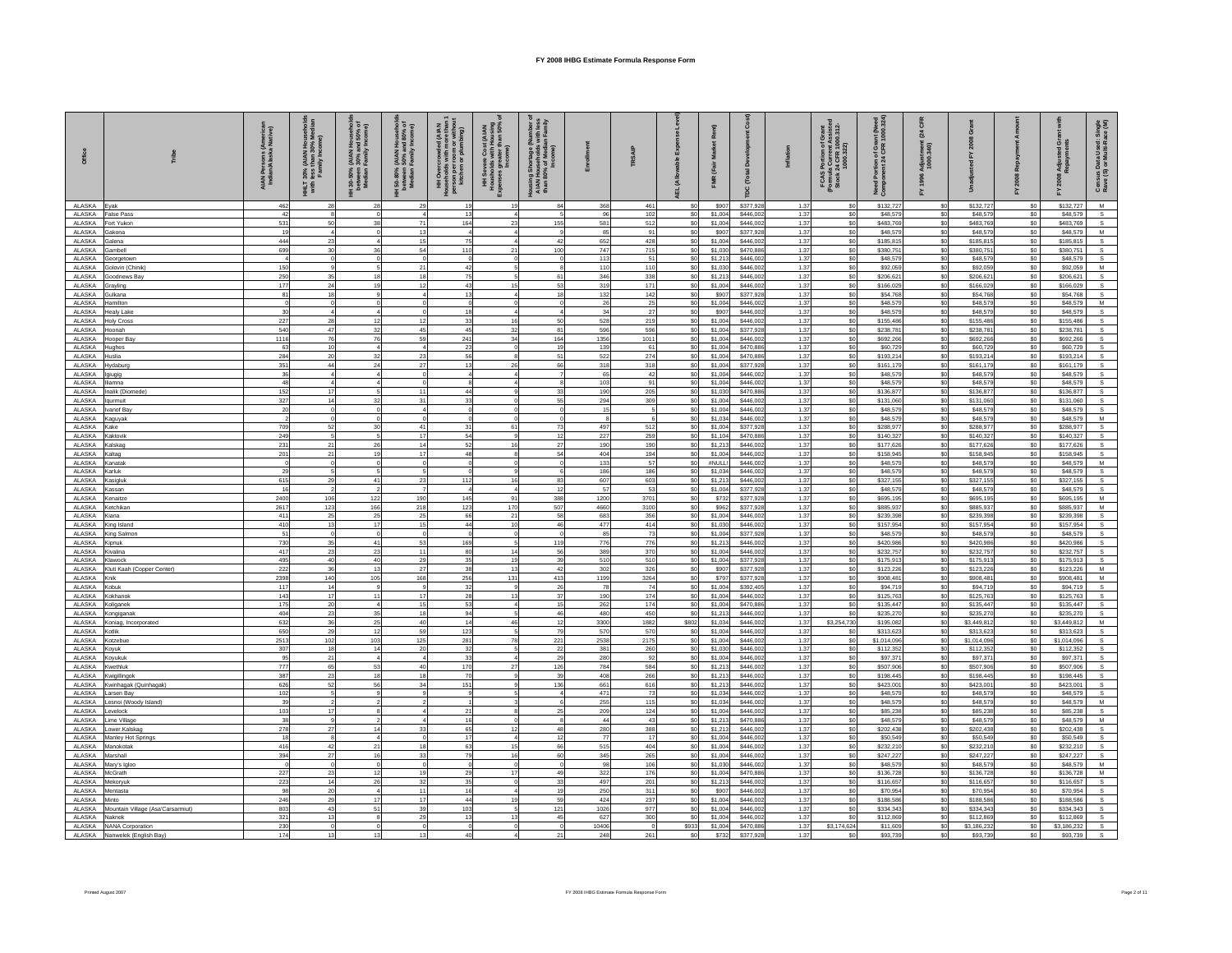|                   | ribe                                              | \IAN Persons (America<br>Indian/Alaska Native) | T 30% (AIAN<br>hess than 3<br>Family Inc<br>THE<br>With | H 30-50% (AIAN Household<br>between 30% and 50% of<br>Median Family Income) | H 50-80% (AIAN Household<br>between 50% and 80% of<br>Median Family Income) | r room or wn<br>1 or plumbing<br>HH Overcrowd<br>Households with<br>person per room<br>kitchen or plu | HH Severe Cost (AIAN<br>Housholds with Housing<br>Expenses greater than 50%<br>Income) | Housing Shortage (N<br>AIAN Households 1<br>than 80% of Media<br>Income) |              | <b>TRSAIP</b> |                         |                    | δř<br>[Total           | $\frac{5}{2}$ | FCAS Portion of Grant<br>(Formula Current Assisted<br>Stock 24 CFR 1000.312- | Portion of Grant (Need<br>phent 24 CFR 1000.324<br>Need<br>Comp | $\boldsymbol{z}$<br>ineri<br>মৃত্যু<br>Adjust<br>1000. |                         |                        | ō<br>Adju<br>Repa        | Census Data Used: Single<br>Rave (S) or Multi-Race (M) |
|-------------------|---------------------------------------------------|------------------------------------------------|---------------------------------------------------------|-----------------------------------------------------------------------------|-----------------------------------------------------------------------------|-------------------------------------------------------------------------------------------------------|----------------------------------------------------------------------------------------|--------------------------------------------------------------------------|--------------|---------------|-------------------------|--------------------|------------------------|---------------|------------------------------------------------------------------------------|-----------------------------------------------------------------|--------------------------------------------------------|-------------------------|------------------------|--------------------------|--------------------------------------------------------|
| ALASKA            | Evak                                              | 462                                            |                                                         |                                                                             | 29                                                                          | 19                                                                                                    | 19                                                                                     | 84                                                                       | 368          | 461           | S <sub>0</sub>          | \$907              | \$377,928              | 1.37          | \$0                                                                          | \$132,727                                                       | \$0                                                    | \$132,727               | S <sub>0</sub>         | \$132,727                | M                                                      |
| ALASKA            | alse Pass                                         | 42                                             |                                                         |                                                                             |                                                                             | 13                                                                                                    |                                                                                        |                                                                          | 96           | 102           | \$0                     | \$1,004            | \$446,002              | 1.37          | \$0                                                                          | \$48,579                                                        | \$0                                                    | \$48,579                | \$0                    | \$48,579                 |                                                        |
| ALASKA<br>ALASKA  | Fort Yukon<br>Gakona                              | 531<br>19                                      | 50                                                      |                                                                             | 71<br>13                                                                    | 164                                                                                                   | 23                                                                                     | 155                                                                      | 581<br>85    | 512<br>91     | \$0<br>S <sub>0</sub>   | \$1,004<br>\$907   | \$446,002<br>\$377,928 | 1.37<br>1.37  | \$0<br>\$0                                                                   | \$483.769<br>\$48,579                                           | \$0<br>\$0                                             | \$483.76<br>\$48,579    | \$0<br>\$0             | \$483,769<br>\$48,579    | s<br>M                                                 |
| ALASKA            | Galena                                            | 444                                            | 23                                                      |                                                                             | 15                                                                          | 75                                                                                                    |                                                                                        | 42                                                                       | 652          | 428           | \$0                     | \$1,004            | \$446,002              | 1.37          | \$0                                                                          | \$185,815                                                       | \$0                                                    | \$185,815               | \$0                    | \$185,815                |                                                        |
| ALASKA            | <b>Gambell</b>                                    | 699                                            | 30                                                      |                                                                             | 54                                                                          | 110                                                                                                   | 21                                                                                     | 100                                                                      | 747          | 715           | \$0                     | \$1,030            | \$470,886              | 1.37          | \$0                                                                          | \$380.75                                                        | \$0                                                    | \$380.75                | \$0                    | \$380.751                | s                                                      |
| ALASKA            | ieorgetown                                        |                                                |                                                         |                                                                             |                                                                             |                                                                                                       |                                                                                        |                                                                          | 113          | $5^{\circ}$   | \$0                     | \$1,213            | \$446,002              | 1.37          | \$0                                                                          | \$48,579                                                        | \$0                                                    | \$48,579                | $$0\,$                 | \$48,579                 | $\mathbf{s}$                                           |
| ALASKA<br>ALASKA  | iolovin (Chinik<br>ioodnews Ba                    | 150<br>250                                     | 35                                                      |                                                                             | 21<br>18                                                                    | 42<br>75                                                                                              |                                                                                        | 61                                                                       | 110<br>346   | 110<br>338    | \$0<br>S <sub>0</sub>   | \$1,030<br>\$1,213 | \$446.00<br>\$446,002  | 1.37<br>1.37  | \$0<br>\$0                                                                   | \$92,059<br>\$206,621                                           | \$0<br>\$0                                             | \$92,059<br>\$206,621   | \$0<br>\$0             | \$92,059<br>\$206,621    | M                                                      |
| ALASKA            | <b>Grayling</b>                                   | 177                                            | 24                                                      |                                                                             | 12                                                                          | 43                                                                                                    | 15                                                                                     | 53                                                                       | 319          | 171           | \$0                     | \$1,004            | \$446,002              | 1.37          | \$0                                                                          | \$166,029                                                       | \$0                                                    | \$166.02                | \$0                    | \$166,029                |                                                        |
| ALASKA            | Gulkana                                           | 81                                             | 18                                                      |                                                                             | $\sqrt{4}$                                                                  | 13                                                                                                    |                                                                                        | 18                                                                       | 132          | 142           | \$0                     | \$907              | \$377,928              | 1.37          | \$0                                                                          | \$54,768                                                        | \$0                                                    | \$54,768                | \$0                    | \$54,768                 |                                                        |
| ALASKA<br>ALASKA  | Hamilton<br><b>Healv Lake</b>                     | 30                                             |                                                         |                                                                             | $\Omega$                                                                    | 18                                                                                                    |                                                                                        |                                                                          | 26<br>34     | 25<br>27      | \$0<br>\$0              | \$1,004<br>\$907   | \$446,002<br>\$446,002 | 1.37<br>1.37  | \$0<br>\$0                                                                   | \$48,579<br>\$48,579                                            | \$0<br>\$0                                             | \$48,579<br>\$48,579    | \$0<br>\$0             | \$48,579<br>\$48,579     | M<br>s                                                 |
| ALASKA            | loly Cross                                        | 227                                            | 28                                                      |                                                                             | 12                                                                          | 33                                                                                                    | 16 <sup>1</sup>                                                                        | 50                                                                       | 528          | 219           | S <sub>0</sub>          | \$1,004            | \$446,002              | 1.37          | \$0                                                                          | \$155,486                                                       | \$0                                                    | \$155,486               | \$0                    | \$155,486                |                                                        |
| ALASKA            | loonah                                            | 540                                            | 47                                                      |                                                                             | 45                                                                          | 45                                                                                                    | 32                                                                                     | 81                                                                       | 596          | 596           | \$0                     | \$1,004            | \$377,928              | 1.37          | \$0                                                                          | \$238,781                                                       | \$0                                                    | \$238,781               | \$0                    | \$238,781                |                                                        |
| ALASKA            | looper Bay                                        | 1116                                           | 76                                                      |                                                                             | 59                                                                          | 241                                                                                                   | 34                                                                                     | 164                                                                      | 1356         | 1011          | S <sub>0</sub>          | \$1,004            | \$446,002              | 1.37          | \$0                                                                          | \$692,266                                                       | \$0                                                    | \$692,266               | \$0                    | \$692,266                |                                                        |
| ALASKA<br>ALASKA  | lughes<br>Huslia                                  | 63<br>284                                      | 10<br>20                                                |                                                                             | $\overline{4}$<br>23                                                        | 23<br>56                                                                                              |                                                                                        | 19<br>51                                                                 | 139<br>522   | 61<br>274     | \$0<br>\$0              | \$1,004<br>\$1,004 | \$470,886<br>\$470,886 | 1.37<br>1.37  | \$0<br>\$0                                                                   | \$60,729<br>\$193,214                                           | \$0<br>\$0                                             | \$60,729<br>\$193,214   | \$0<br>\$0             | \$60,729<br>\$193,214    |                                                        |
| ALASKA            | ydaburg                                           | 351                                            | 44                                                      |                                                                             | 27                                                                          | 13                                                                                                    | 26                                                                                     | 66                                                                       | 318          | 318           | \$0                     | \$1,004            | \$377,928              | 1.37          | \$0                                                                          | \$161,179                                                       | \$0                                                    | \$161,179               | \$0                    | \$161,179                |                                                        |
| ALASKA            | giugig                                            | 36                                             |                                                         |                                                                             | $\Omega$                                                                    |                                                                                                       |                                                                                        |                                                                          | 65           | 42            | \$0                     | \$1,004            | \$446.00               | 1.37          | \$0                                                                          | \$48,579                                                        | \$0                                                    | \$48,57                 | \$0                    | \$48,579                 |                                                        |
| ALASKA<br>ALASKA  | iamna<br>nalik (Diomede)                          | 48<br>152                                      |                                                         |                                                                             | $\Omega$<br>11                                                              | 44                                                                                                    |                                                                                        | 33                                                                       | 103<br>190   | 91<br>205     | \$0<br>so               | \$1,004<br>\$1,030 | \$446,002<br>\$470,886 | 1.37<br>1.37  | \$0<br>\$0                                                                   | \$48,579<br>\$136,877                                           | \$0<br>\$0                                             | \$48,579<br>\$136,877   | \$0<br>SO              | \$48,579<br>\$136,877    |                                                        |
| ALASKA            | laurmuit                                          | 327                                            | 14                                                      |                                                                             | 31                                                                          | 33                                                                                                    |                                                                                        | 55                                                                       | 294          | 309           | \$0                     | \$1,004            | \$446,002              | 1.37          | \$0                                                                          | \$131,060                                                       | \$0                                                    | \$131,060               | \$0                    | \$131,060                |                                                        |
| ALASKA            | vanof Bay                                         | 20                                             |                                                         |                                                                             | $\overline{a}$                                                              |                                                                                                       |                                                                                        |                                                                          | 15           |               | \$0                     | \$1,004            | \$446,002              | 1.37          | \$0                                                                          | \$48,579                                                        | \$0                                                    | \$48,579                | \$0                    | \$48,579                 | s                                                      |
| ALASKA            | Kaguyak                                           |                                                |                                                         |                                                                             |                                                                             |                                                                                                       |                                                                                        |                                                                          |              |               | \$0                     | \$1,034            | \$446,002              | 1.37          | \$0                                                                          | \$48,579                                                        | \$0                                                    | \$48.57                 | \$0                    | \$48,579                 | M                                                      |
| ALASKA<br>ALASKA  | Kake<br><b>Kaktovik</b>                           | 709<br>249                                     | 52                                                      | 30                                                                          | 41<br>17                                                                    | 31<br>54                                                                                              | 61                                                                                     | 73<br>12                                                                 | 497<br>227   | 512<br>259    | \$0<br>\$0              | \$1,004<br>\$1,104 | \$377,928<br>\$470,886 | 1.37<br>1.37  | \$0<br>\$0                                                                   | \$288,977<br>\$140,327                                          | \$0<br>\$0                                             | \$288,977<br>\$140,32   | \$0<br>\$0             | \$288,977<br>\$140,327   |                                                        |
| <b>ALASKA</b>     | <b>Kalskag</b>                                    | 231                                            | 21                                                      |                                                                             | 14                                                                          | 52                                                                                                    | 16                                                                                     | 27                                                                       | 190          | 190           | \$0                     | \$1,213            | \$446,002              | 1.37          | \$0                                                                          | \$177,626                                                       | \$0                                                    | \$177,626               | \$0                    | \$177,626                |                                                        |
| ALASKA            | Kaltag                                            | 201                                            | 21                                                      |                                                                             | 17                                                                          | 48                                                                                                    |                                                                                        | 54                                                                       | 404          | 194           | \$0                     | \$1,004            | \$446,002              | 1.37          | \$0                                                                          | \$158,945                                                       | \$0                                                    | \$158,945               | \$0                    | \$158,945                |                                                        |
| ALASKA<br>ALASKA  | <b>Kanatak</b><br><b>Carluk</b>                   | 29                                             |                                                         |                                                                             | $\Omega$                                                                    |                                                                                                       |                                                                                        |                                                                          | 133<br>186   | 57<br>186     | S <sub>0</sub><br>\$0   | #NULL<br>\$1,034   | \$446,002<br>\$446,002 | 1.37<br>1.37  | \$0<br>\$0                                                                   | \$48,579<br>\$48,579                                            | \$0<br>\$0                                             | \$48,579<br>\$48,57     | \$0<br>\$0             | \$48,579<br>\$48,579     | M<br>s                                                 |
| ALASKA            | asigluk                                           | 615                                            | 29                                                      |                                                                             | 23                                                                          | 112                                                                                                   | 16                                                                                     | 83                                                                       | 607          | 603           | \$0                     | \$1,213            | \$446.00               | 1.37          | \$0                                                                          | \$327,155                                                       | \$0                                                    | \$327,155               | \$0                    | \$327,155                |                                                        |
| ALASKA            | Kassan                                            | 16                                             |                                                         |                                                                             | $\overline{z}$                                                              | $\overline{\phantom{a}}$                                                                              | $\overline{A}$                                                                         | 12                                                                       | 57           | -53           | \$0                     | \$1,004            | \$377,928              | 1.37          | \$0                                                                          | \$48,579                                                        | \$0                                                    | \$48,579                | \$0                    | \$48,579                 | s                                                      |
| ALASKA            | Kenaitze                                          | 2400                                           | 106                                                     | 122                                                                         | 190                                                                         | 145                                                                                                   | 91                                                                                     | 388                                                                      | 1200         | 3701          | S <sub>0</sub>          | \$732              | \$377,928              | 1.37          | \$0                                                                          | \$695.195                                                       | \$0                                                    | \$695,195               | \$0                    | \$695,195                | M                                                      |
| ALASKA<br>ALASKA  | Ketchikan<br>Kiana                                | 2617<br>411                                    | 123<br>25                                               | 166<br>25                                                                   | 218<br>25                                                                   | 123<br>66                                                                                             | 170<br>21                                                                              | 507<br>58                                                                | 4660<br>683  | 3100<br>356   | \$0<br>\$0              | \$962<br>\$1,004   | \$377,928<br>\$446,002 | 1.37<br>1.37  | \$0<br>\$0                                                                   | \$885,937<br>\$239,398                                          | \$0<br>\$0                                             | \$885,937<br>\$239.39   | \$0<br>\$0             | \$885,937<br>\$239,398   | M<br>$\mathbb S$                                       |
| ALASKA            | King Island                                       | 410                                            | 13                                                      | 17                                                                          | 15                                                                          | 44                                                                                                    | 10                                                                                     | 46                                                                       | 477          | 414           | \$0                     | \$1,030            | \$446,002              | 1.37          | \$0                                                                          | \$157,954                                                       | \$0                                                    | \$157,954               | \$0                    | \$157,954                | s                                                      |
| ALASKA            | <b>Ging Salmon</b>                                | 51                                             |                                                         |                                                                             | $\Omega$                                                                    |                                                                                                       |                                                                                        |                                                                          | 85           | 73            | \$0                     | \$1,004            | \$377,928              | 1.37          | \$0                                                                          | \$48,579                                                        | \$0                                                    | \$48,57                 | \$0                    | \$48,579                 |                                                        |
| ALASKA<br>ALASKA  | Gpnuk<br>Kivalina                                 | 730<br>417                                     | 35<br>23                                                | 41<br>23                                                                    | 53<br>11                                                                    | 169<br>80                                                                                             | 14                                                                                     | 119<br>56                                                                | 776<br>389   | 776<br>370    | \$0<br>S <sub>0</sub>   | \$1,213<br>\$1,004 | \$446,002<br>\$446,002 | 1.37<br>1.37  | \$0<br>\$0                                                                   | \$420,986<br>\$232,757                                          | \$0<br>\$0                                             | \$420,986<br>\$232,757  | \$0<br>\$0             | \$420,986<br>\$232,757   |                                                        |
| ALASKA            | Klawock                                           | 495                                            | 40                                                      | 40                                                                          | 29                                                                          | 35                                                                                                    | 19                                                                                     | 39                                                                       | 510          | 510           | \$0                     | \$1,004            | \$377,928              | 1.37          | \$0                                                                          | \$175,913                                                       | \$0                                                    | \$175,913               | \$0                    | \$175,913                |                                                        |
| ALASKA            | Kluti Kaah (Copper Center)                        | 222                                            | 36                                                      | 13                                                                          | 27                                                                          | 38                                                                                                    | 13                                                                                     | 42                                                                       | 302          | 326           | \$0                     | \$907              | \$377,928              | 1.37          | \$0                                                                          | \$123,226                                                       | \$0                                                    | \$123,226               | \$0                    | \$123,226                | M                                                      |
| ALASKA            | Knik                                              | 2398                                           | 140<br>14                                               | 105                                                                         | 168                                                                         | 256                                                                                                   | 131                                                                                    | 413                                                                      | 1199         | 3264          | \$0                     | \$797              | \$377,928              | 1.37          | \$0                                                                          | \$908.48                                                        | \$0<br>\$0                                             | \$908.48                | \$0                    | \$908,481                | м                                                      |
| ALASKA<br>ALASKA  | <b>Cobuk</b><br>Kokhanok                          | 117<br>143                                     | 17                                                      |                                                                             | 17                                                                          | 32<br>28                                                                                              | 13                                                                                     | 26<br>37                                                                 | 78<br>190    | 74<br>174     | \$0<br>\$0              | \$1,004<br>\$1,004 | \$392.40<br>\$446,002  | 1.37<br>1.37  | \$0<br>\$0                                                                   | \$94,719<br>\$125,763                                           | \$0                                                    | \$94,719<br>\$125,763   | \$0<br>\$0             | \$94,719<br>\$125,763    |                                                        |
| ALASKA            | Koliganek                                         | 175                                            | 20                                                      |                                                                             | 15                                                                          | 53                                                                                                    |                                                                                        | 15                                                                       | 262          | 174           | S <sub>0</sub>          | \$1,004            | \$470,886              | 1.37          | \$0                                                                          | \$135,447                                                       | \$0                                                    | \$135,447               | \$0                    | \$135,447                | S.                                                     |
| ALASKA            | Kongiganal                                        | 404                                            | 23                                                      |                                                                             | 18                                                                          | 94                                                                                                    |                                                                                        | 46                                                                       | 480          | 450           | \$0                     | \$1,213            | \$446,002              | 1.37          | \$0                                                                          | \$235,270                                                       | \$0                                                    | \$235,27                | \$0                    | \$235,270                |                                                        |
| ALASKA<br>ALASKA  | Koniag, Incorporated<br><b>Kotlik</b>             | 632<br>650                                     | 36<br>29                                                | 25<br>12                                                                    | 40<br>59                                                                    | 14<br>123                                                                                             | 46                                                                                     | 12<br>79                                                                 | 3300<br>570  | 1882<br>570   | \$802<br>S <sub>0</sub> | \$1,034<br>\$1,004 | \$446,002<br>\$446,002 | 1.37<br>1.37  | \$3,254,730<br>\$0                                                           | \$195,082<br>\$313,623                                          | \$0<br>\$0                                             | \$3,449,81<br>\$313.62  | \$0<br>\$0             | \$3,449,812<br>\$313,623 | M                                                      |
| ALASKA            | otzebue                                           | 2513                                           | 102                                                     | 103                                                                         | 125                                                                         | 281                                                                                                   | 78                                                                                     | 221                                                                      | 2538         | 2175          | \$0                     | \$1,004            | \$446,002              | 1.37          | \$0                                                                          | \$1,014,096                                                     | \$0                                                    | \$1,014,09              | \$0                    | \$1,014,096              |                                                        |
| ALASKA            | Kovuk                                             | 307                                            | 18                                                      |                                                                             | 20                                                                          | 32                                                                                                    |                                                                                        | 22                                                                       | 381          | 260           | S <sub>0</sub>          | \$1,030            | \$446,002              | 1.37          | sol                                                                          | \$112,352                                                       | \$0                                                    | \$112,352               | \$0                    | \$112,352                |                                                        |
| ALASKA            | Kovukuk                                           | 95                                             | 21<br>65                                                |                                                                             | $\overline{a}$<br>40                                                        | 33                                                                                                    | 27                                                                                     | 29                                                                       | 280          | 92            | <b>SO</b>               | \$1,004            | \$446,002              | 1.37          | \$0<br>\$0                                                                   | \$97.37                                                         | \$0                                                    | \$97,371                | \$0                    | \$97,371                 |                                                        |
| ALASKA<br>ALASKA  | Kwethluk<br>Kwigillingok                          | 777<br>387                                     | 23                                                      |                                                                             | 18                                                                          | 170<br>70                                                                                             |                                                                                        | 126<br>39                                                                | 784<br>408   | 584<br>266    | \$0<br>S <sub>0</sub>   | \$1,213<br>\$1,213 | \$446,002<br>\$446,002 | 1.37<br>1.37  | \$0                                                                          | \$507,906<br>\$198,445                                          | \$0<br>\$0                                             | \$507,906<br>\$198,44   | \$0<br>\$0             | \$507,906<br>\$198,445   |                                                        |
| ALASKA            | Kwinhagak (Quinhagak                              | 626                                            | 52                                                      |                                                                             | 34                                                                          | 151                                                                                                   |                                                                                        | 136                                                                      | 661          | 616           | \$0                     | \$1,213            | \$446,002              | 1.37          | \$0                                                                          | \$423,001                                                       | \$0                                                    | \$423,001               | \$0                    | \$423,001                |                                                        |
| ALASKA            | rsen Bay                                          | 102                                            |                                                         |                                                                             | $\mathbf{Q}$                                                                | - s                                                                                                   |                                                                                        | $\overline{A}$                                                           | 471          | 73            | \$0                     | \$1,034            | \$446,002              | 1.37          | \$0                                                                          | \$48,579                                                        | \$0                                                    | \$48,579                | \$0                    | \$48,579                 | $\mathbb S$                                            |
| ALASKA<br>ALASKA  | esnoi (Woody Island)<br>evelock                   | 39<br>103                                      |                                                         |                                                                             |                                                                             | 21                                                                                                    |                                                                                        | 25                                                                       | 255<br>209   | 115<br>124    | \$0<br>S <sub>0</sub>   | \$1,034<br>\$1,004 | \$446,002<br>\$446,002 | 1.37<br>1.37  | \$0<br>\$0                                                                   | \$48,579<br>\$85,238                                            | \$0<br>\$0                                             | \$48,57<br>\$85.23      | \$0<br>\$0             | \$48,579<br>\$85,238     | M<br>s                                                 |
| ALASKA            | ime Village                                       | 38                                             |                                                         |                                                                             |                                                                             | 16                                                                                                    |                                                                                        |                                                                          | 44           | 43            | S <sub>0</sub>          | \$1,213            | \$470,886              | 1.37          | \$0                                                                          | \$48,579                                                        | \$0                                                    | \$48,579                | \$0                    | \$48,579                 | M                                                      |
| ALASKA            | ower.Kalska                                       | 278                                            | 27                                                      |                                                                             | 33                                                                          | 65                                                                                                    | 12                                                                                     | 48                                                                       | 280          | 388           | \$0                     | \$1,213            | \$446,002              | 1.37          | \$0                                                                          | \$202,438                                                       | \$0                                                    | \$202.43                | S <sub>0</sub>         | \$202,438                |                                                        |
| ALASKA            | Manley Hot Springs                                | 18                                             |                                                         |                                                                             |                                                                             | 17                                                                                                    |                                                                                        | 12                                                                       | 77           | 17            | \$0                     | \$1,004            | \$446,002              | 1.37          | \$0                                                                          | \$50,549                                                        | \$0                                                    | \$50,549                | $\$0$                  | \$50,549                 |                                                        |
| ALASKA<br>ALASKA  | <b>fanokotak</b><br>Marshall                      | 416<br>394                                     | 42<br>27                                                |                                                                             | 18<br>33                                                                    | 63<br>79                                                                                              | 15<br>16                                                                               | 66<br>60                                                                 | 515<br>345   | 404<br>265    | \$0<br>\$0              | \$1,004<br>\$1,004 | \$446,002<br>\$446,002 | 1.37<br>1.37  | \$0<br>\$0                                                                   | \$232,210<br>\$247,227                                          | \$0<br>\$0                                             | \$232,21<br>\$247,22    | \$0<br>\$0             | \$232,210<br>\$247,227   |                                                        |
| ALASKA            | Mary's Igloo                                      |                                                |                                                         |                                                                             | $\Omega$                                                                    |                                                                                                       |                                                                                        |                                                                          | 98           | 106           | S <sub>0</sub>          | \$1,030            | \$446,002              | 1.37          | \$0                                                                          | \$48,579                                                        | \$0                                                    | \$48,579                | \$0                    | \$48,579                 | м                                                      |
| ALASKA            | McGrath                                           | 227                                            | 23                                                      |                                                                             | 19                                                                          | 29                                                                                                    | 17                                                                                     | 49                                                                       | 322          | 176           | S <sub>0</sub>          | \$1,004            | \$470,886              | 1.37          | \$0                                                                          | \$136,728                                                       | \$0                                                    | \$136,728               | \$0                    | \$136,728                | M                                                      |
| AI ASKA<br>ALASKA | Mekorvuk<br>fentasta                              | 223<br>98                                      | 14<br>20                                                | 26                                                                          | 32<br>11                                                                    | 35<br>16                                                                                              |                                                                                        | 33<br>19                                                                 | 497<br>250   | 201<br>311    | S <sub>0</sub><br>\$0   | \$1,213<br>\$907   | \$446,002<br>\$446,002 | 1.37<br>1.37  | \$0<br>\$0                                                                   | \$116.657<br>\$70,954                                           | \$0<br>\$0                                             | \$116.657<br>\$70.95    | \$0<br>\$0             | \$116,657<br>\$70,954    | S.                                                     |
| ALASKA            | into                                              | 246                                            | 29                                                      |                                                                             | 17                                                                          | 44                                                                                                    | 19                                                                                     | 59                                                                       | 424          | 237           | S <sub>0</sub>          | \$1,004            | \$446.00               | 1.37          | \$0                                                                          | \$188,586                                                       | \$0                                                    | \$188,586               | \$0                    | \$188,586                |                                                        |
| ALASKA            | Mountain Village (Asa'Carsarmiut)                 | 803                                            | 43                                                      |                                                                             | 39                                                                          | 103                                                                                                   |                                                                                        | 121                                                                      | 1026         | 977           | <b>SO</b>               | \$1,004            | \$446,002              | 1.37          | so                                                                           | \$334.343                                                       | \$0                                                    | \$334.34                | \$0                    | \$334,343                |                                                        |
| ALASKA            | Naknek                                            | 321                                            |                                                         |                                                                             | 29<br>$\mathbf 0$                                                           | 13                                                                                                    | 13<br>$\mathbf 0$                                                                      | 45                                                                       | 627          | 300           | \$0                     | \$1,004            | \$446,002              | 1.37          | \$0                                                                          | \$112,869                                                       | \$0                                                    | \$112,869               | \$0                    | \$112,869                |                                                        |
| ALASKA<br>ALASKA  | <b>NANA Corporation</b><br>Nanwelek (English Bay) | 230<br>174                                     |                                                         |                                                                             | 13                                                                          | 40                                                                                                    |                                                                                        |                                                                          | 10406<br>248 | 261           | \$933<br>so             | \$1,004<br>\$732   | \$470,886<br>\$377 928 | 1.37<br>1.37  | \$3,174,624<br>\$0                                                           | \$11,609<br>\$93,739                                            | \$0<br>\$0                                             | \$3,186,232<br>\$93.739 | \$0<br>SO <sub>2</sub> | \$3,186,232<br>\$93,739  |                                                        |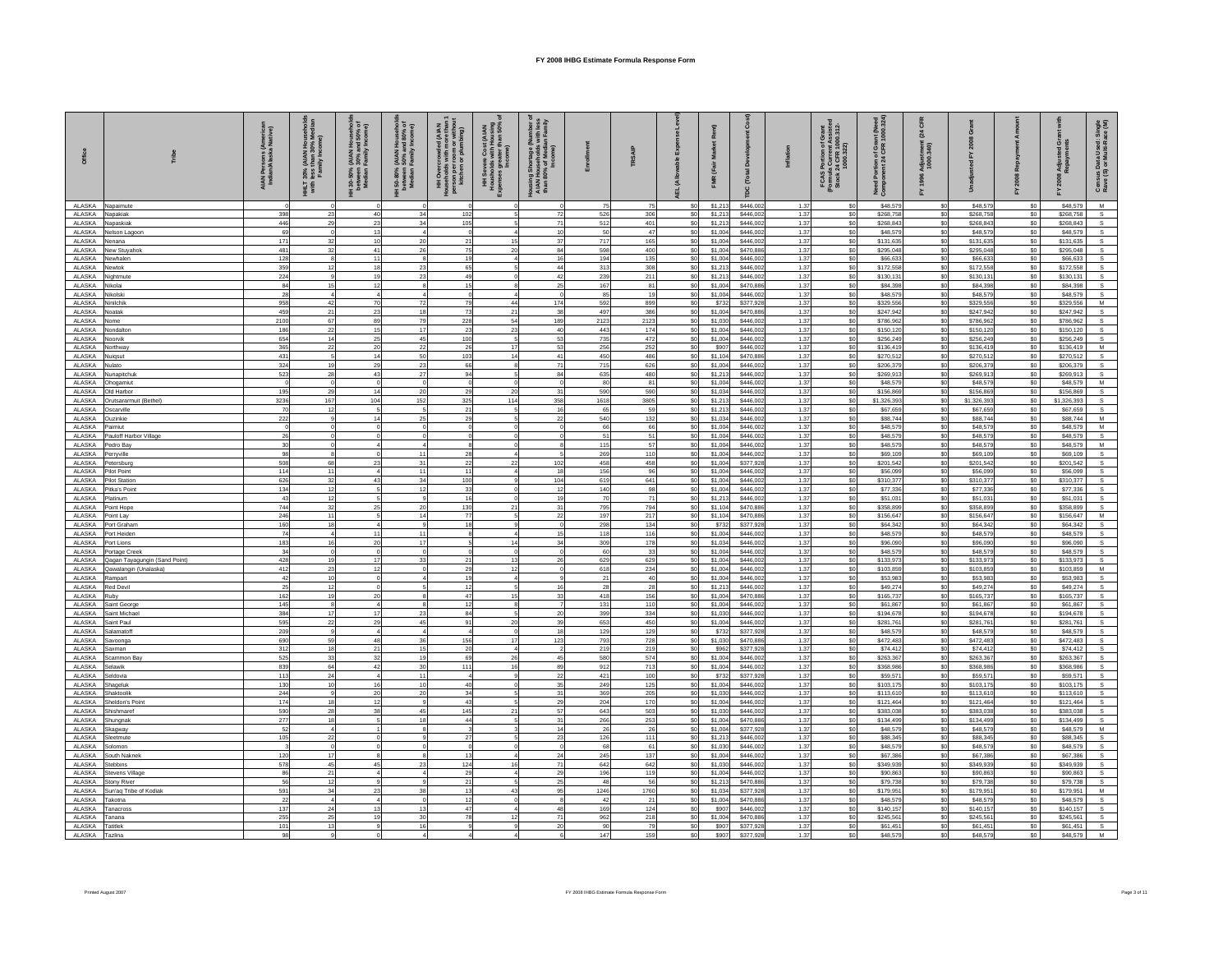|                   | řibe                                           | AIAN Persons (America<br>Indian/Alaska Native) | T 30% (AIAN<br>hess than 3<br>Family Inc<br>THET<br>With | H 30-50% (AIAN Household<br>between 30% and 50% of<br>Median Family Income) | AIAN Househole) ،<br>1 50% and 80% of به 50% and 80%<br>Family Income)<br>150-80%<br>between<br>Median F | room or with<br>or plumbing)<br>HH Overcrowde<br>nuseholds with I<br>Houseno<br>person per i<br>kitchen | HH Severe Cost (AIAN<br>Housholds with Housing<br>Expenses greater than 50%<br>Income) | Housing Shortage (M-<br>AIAN Households<br>than 80% of Media<br>Income) |            | <b>TRSAIP</b>  |                                  |                    | Dev<br>[Total          | $\overline{5}$ | FCAS Portion of Grant<br>(Formula Current Assisted<br>Stock 24 CFR 1000.312- | Portion of Grant (Need<br>phent 24 CFR 1000.324<br>Need<br>Corri | $\boldsymbol{z}$<br>.<br>೧೯೮<br>೧೯<br>Adjust<br>1000. |                        |               | ō<br>Adju<br>Repa      | åξ<br>Census Data Used: Sir<br>Rave (S) or Multi-Race |
|-------------------|------------------------------------------------|------------------------------------------------|----------------------------------------------------------|-----------------------------------------------------------------------------|----------------------------------------------------------------------------------------------------------|---------------------------------------------------------------------------------------------------------|----------------------------------------------------------------------------------------|-------------------------------------------------------------------------|------------|----------------|----------------------------------|--------------------|------------------------|----------------|------------------------------------------------------------------------------|------------------------------------------------------------------|-------------------------------------------------------|------------------------|---------------|------------------------|-------------------------------------------------------|
| ALASKA            | Napaimute                                      |                                                |                                                          |                                                                             |                                                                                                          |                                                                                                         |                                                                                        |                                                                         | 75         | 75             | S <sub>0</sub>                   | \$1,213            | \$446,002              | 1.37           | \$0                                                                          | \$48,579                                                         | \$0                                                   | \$48,579               | \$0           | \$48,579               | M                                                     |
| ALASKA            | lapakiak                                       | 398                                            | 23                                                       |                                                                             | 34                                                                                                       | 102                                                                                                     |                                                                                        | 72                                                                      | 526        | 306            | \$0                              | \$1,213            | \$446,002              | 1.37           | \$0                                                                          | \$268,758                                                        | \$0                                                   | \$268,758              | \$0           | \$268,758              |                                                       |
| ALASKA<br>ALASKA  | Napaskiak<br><b>Velson Lagoor</b>              | 446<br>69                                      | 29                                                       |                                                                             | 34<br>$\overline{a}$                                                                                     | 105                                                                                                     |                                                                                        | 71<br>10                                                                | 512<br>50  | 401<br>47      | \$0<br>S <sub>0</sub>            | \$1,213<br>\$1,004 | \$446,002<br>\$446,002 | 1.37<br>1.37   | \$0<br>\$0                                                                   | \$268.843<br>\$48,579                                            | \$0<br>\$0                                            | \$268.84<br>\$48,579   | \$0<br>\$0    | \$268,843<br>\$48,579  |                                                       |
| ALASKA            | Venana                                         | 171                                            | 32                                                       |                                                                             | 20                                                                                                       | 21                                                                                                      | 15                                                                                     | 37                                                                      | 717        | 165            | \$0                              | \$1,004            | \$446,002              | 1.37           | \$0                                                                          | \$131,635                                                        | \$0                                                   | \$131,635              | \$0           | \$131.635              |                                                       |
| ALASKA            | New Stuyahol                                   | 481                                            | 32                                                       | 41                                                                          | 26                                                                                                       | 75                                                                                                      | 20                                                                                     | 84                                                                      | 598        | 400            | \$0                              | \$1,004            | \$470,886              | 1.37           | \$0                                                                          | \$295,048                                                        | \$0                                                   | \$295.04               | \$0           | \$295.048              | s                                                     |
| ALASKA<br>ALASKA  | lewhalen<br>lewtok                             | 128<br>359                                     | 12                                                       | -11                                                                         | $\mathbf{a}$<br>23                                                                                       | 19<br>65                                                                                                |                                                                                        | 16<br>44                                                                | 194<br>313 | 135<br>308     | \$0<br>\$0                       | \$1,004<br>\$1,213 | \$446,002<br>\$446,002 | 1.37<br>1.37   | \$0<br>\$0                                                                   | \$66,633<br>\$172,558                                            | \$0<br>\$0                                            | \$66,633<br>\$172,558  | \$0<br>\$0    | \$66,633<br>\$172,558  |                                                       |
| ALASKA            | Nightmute                                      | 224                                            |                                                          |                                                                             | 23                                                                                                       | 49                                                                                                      |                                                                                        | 42                                                                      | 239        | 211            | \$0                              | \$1,213            | \$446,002              | 1.37           | \$0                                                                          | \$130,131                                                        | \$0                                                   | \$130,13               | \$0           | \$130,131              |                                                       |
| ALASKA            | Nikolai                                        | 84                                             | 15                                                       |                                                                             | $\mathbf{a}$                                                                                             | 15                                                                                                      |                                                                                        | 25                                                                      | 167        | 81             | \$0                              | \$1,004            | \$470,886              | 1.37           | \$0                                                                          | \$84,398                                                         | \$0                                                   | \$84,398               | \$0           | \$84,398               |                                                       |
| ALASKA<br>ALASKA  | Nikolski<br>Ninilchik                          | 28<br>958                                      | 42                                                       | 70                                                                          | $\overline{4}$<br>72                                                                                     | 79                                                                                                      | 44                                                                                     | 174                                                                     | 85<br>592  | 19<br>899      | S <sub>0</sub><br>S <sub>0</sub> | \$1,004<br>\$732   | \$446,002<br>\$377,928 | 1.37<br>1.37   | \$0<br>\$0                                                                   | \$48,579<br>\$329,556                                            | \$0<br>\$0                                            | \$48,579<br>\$329,556  | \$0<br>\$0    | \$48,579<br>\$329,556  | M                                                     |
| AI ASKA           | Noatak                                         | 459                                            | 21                                                       | 23                                                                          | 18                                                                                                       | 73                                                                                                      | 21                                                                                     | 38                                                                      | 497        | 386            | \$0                              | \$1,004            | \$470,886              | 1.37           | sol                                                                          | \$247.943                                                        | \$0                                                   | \$247.943              | \$0           | \$247.942              | $\mathbf{s}$                                          |
| ALASKA            | ome                                            | 2100                                           | 67                                                       | 89                                                                          | 79<br>17                                                                                                 | 228                                                                                                     | 54                                                                                     | 189<br>40 <sup>1</sup>                                                  | 2123       | 2123           | \$0                              | \$1,030            | \$446,002              | 1.37           | \$0                                                                          | \$786,962                                                        | \$0                                                   | \$786.96               | \$0           | \$786,962              |                                                       |
| ALASKA<br>ALASKA  | Nondalton<br>Voorvik                           | 186<br>654                                     | 22<br>14                                                 | 15<br>25                                                                    | 45                                                                                                       | 23<br>100                                                                                               | 23<br>$\overline{5}$                                                                   | 53                                                                      | 443<br>735 | 174<br>472     | \$0<br>S <sub>0</sub>            | \$1,004<br>\$1,004 | \$446,002<br>\$446,002 | 1.37<br>1.37   | \$0<br>\$0                                                                   | \$150,120<br>\$256.249                                           | \$0<br>\$0                                            | \$150,120<br>\$256,249 | $$0\,$<br>\$0 | \$150,120<br>\$256,249 | s                                                     |
| ALASKA            | Northway                                       | 365                                            | 22                                                       | 20                                                                          | 22                                                                                                       | 26                                                                                                      | 17                                                                                     | 53                                                                      | 256        | 252            | \$0                              | \$907              | \$446,002              | 1.37           | \$0                                                                          | \$136,419                                                        | \$0                                                   | \$136,419              | \$0           | \$136,419              |                                                       |
| ALASKA            | Nuigsut                                        | 431                                            |                                                          | 14                                                                          | 50                                                                                                       | 103                                                                                                     | 14                                                                                     | 41                                                                      | 450        | 486            | \$0                              | \$1,104            | \$470,886              | 1.37           | \$0                                                                          | \$270,512                                                        | \$0                                                   | \$270,51               | \$0           | \$270,512              |                                                       |
| ALASKA<br>ALASKA  | Vulato<br>lunapitchul                          | 324<br>523                                     | 19<br>28                                                 | 29<br>43                                                                    | 23<br>27                                                                                                 | 66<br>94                                                                                                |                                                                                        | 71<br>84                                                                | 715<br>635 | 626<br>480     | \$0<br>\$0                       | \$1,004<br>\$1,213 | \$446,002<br>\$446,002 | 1.37<br>1.37   | \$0<br>\$0                                                                   | \$206,379<br>\$269,913                                           | \$0<br>\$0                                            | \$206,379<br>\$269,91  | \$0<br>\$0    | \$206,379<br>\$269,913 |                                                       |
| ALASKA            | hogamiut                                       |                                                |                                                          |                                                                             | $\Omega$                                                                                                 |                                                                                                         |                                                                                        |                                                                         | 80         | 81             | \$0                              | \$1,004            | \$446,002              | 1.37           | \$0                                                                          | \$48,579                                                         | \$0                                                   | \$48,579               | $$0$          | \$48,579               | M                                                     |
| ALASKA            | Old Harbor                                     | 195                                            | 29                                                       |                                                                             | 20                                                                                                       | 29                                                                                                      | 20                                                                                     | 31                                                                      | 590        | 590            | so                               | \$1,034            | \$446,002              | 1.37           | sol                                                                          | \$156,869                                                        | \$0                                                   | \$156,869              | \$0           | \$156,869              |                                                       |
| ALASKA            | Orutsararmuit (Bethel)                         | 3236                                           | 167<br>12                                                | 104                                                                         | 152<br>5                                                                                                 | 325                                                                                                     | 114                                                                                    | 358                                                                     | 1618       | 3805           | \$0                              | \$1,213            | \$446,002              | 1.37           | \$0                                                                          | \$1,326,393                                                      | \$0                                                   | \$1,326,393            | \$0           | \$1,326,393            |                                                       |
| ALASKA<br>ALASKA  | Oscarville<br>Juzinkie                         | 70<br>222                                      |                                                          |                                                                             | 25                                                                                                       | 21<br>29                                                                                                |                                                                                        | 16<br>22                                                                | 65<br>540  | 59<br>132      | S <sub>0</sub><br>\$0            | \$1,213<br>\$1,034 | \$446,002<br>\$446,002 | 1.37<br>1.37   | \$0<br>\$0                                                                   | \$67,659<br>\$88,744                                             | \$0<br>\$0                                            | \$67,659<br>\$88.74    | \$0<br>\$0    | \$67,659<br>\$88,744   | s<br>M                                                |
| ALASKA            | aimiut                                         |                                                |                                                          |                                                                             | $\circ$                                                                                                  |                                                                                                         |                                                                                        |                                                                         | 66         | 66             | \$0                              | \$1,004            | \$446,002              | 1.37           | \$0                                                                          | \$48,579                                                         | \$0                                                   | \$48,579               | \$0           | \$48,579               | M                                                     |
| ALASKA            | Pauloff Harbor Village                         | 26                                             |                                                          |                                                                             | $\circ$                                                                                                  |                                                                                                         |                                                                                        |                                                                         | 51         | 51             | \$0                              | \$1,004            | \$446,002              | 1.37           | \$0                                                                          | \$48,579                                                         | \$0                                                   | \$48,57                | $$0$          | \$48,579               | $\mathbb S$                                           |
| ALASKA<br>ALASKA  | edro Bay<br>erryville                          | 30<br>98                                       |                                                          |                                                                             | $\boldsymbol{\Lambda}$<br>11                                                                             | 28                                                                                                      |                                                                                        |                                                                         | 115<br>269 | 57<br>110      | S <sub>0</sub><br>\$0            | \$1,004<br>\$1,004 | \$446,002<br>\$446,002 | 1.37<br>1.37   | \$0<br>\$0                                                                   | \$48,579<br>\$69,109                                             | \$0<br>\$0                                            | \$48,579<br>\$69,109   | so.<br>$\$0$  | \$48,579<br>\$69,109   | M                                                     |
| AI ASKA           | etersburg                                      | 508                                            | 68                                                       |                                                                             | 31                                                                                                       | 22                                                                                                      | 22                                                                                     | 102                                                                     | 458        | 458            | \$0                              | \$1,004            | \$377,928              | 1.37           | \$0                                                                          | \$201,542                                                        | \$0                                                   | \$201.54               | \$0           | \$201,542              |                                                       |
| ALASKA            | flot Point                                     | 114                                            | 11                                                       |                                                                             | 11                                                                                                       | 11                                                                                                      |                                                                                        | 18                                                                      | 156        | 96             | \$0                              | \$1,004            | \$446,002              | 1.37           | \$0                                                                          | \$56,099                                                         | \$0                                                   | \$56,099               | \$0           | \$56,099               | s                                                     |
| ALASKA<br>ALASKA  | flot Station<br>itka's Poin                    | 626<br>134                                     | 32<br>12                                                 |                                                                             | 34<br>12                                                                                                 | 100<br>33                                                                                               |                                                                                        | 104<br>12                                                               | 619<br>140 | 641<br>98      | \$0<br>\$0                       | \$1,004<br>\$1,004 | \$446,002<br>\$446,002 | 1.37<br>1.37   | \$0<br>\$0                                                                   | \$310,377<br>\$77,336                                            | \$0<br>\$0                                            | \$310,377<br>\$77,336  | \$0<br>\$0    | \$310,377<br>\$77,336  |                                                       |
| ALASKA            | latinum                                        | 43                                             | 12 <sup>12</sup>                                         |                                                                             | $\alpha$                                                                                                 | 16                                                                                                      |                                                                                        | 19                                                                      | 70         | $\overline{7}$ | \$0                              | \$1,213            | \$446,002              | 1.37           | \$0                                                                          | \$51,03                                                          | \$0                                                   | \$51,03                | \$0           | \$51,031               | s                                                     |
| ALASKA            | Point Hope                                     | 744                                            | 32                                                       |                                                                             | 20                                                                                                       | 130                                                                                                     | 21                                                                                     | 31                                                                      | 795        | 794            | \$0                              | \$1,104            | \$470,886              | 1.37           | \$0                                                                          | \$358,899                                                        | \$0                                                   | \$358,899              | \$0           | \$358,899              |                                                       |
| ALASKA<br>AI ASKA | Point Lay<br>ort Graham                        | 246<br>160                                     | 11<br>18                                                 |                                                                             | 14<br>$\mathbf{q}$                                                                                       | 77<br>18                                                                                                | 5                                                                                      | 22                                                                      | 197<br>298 | 217<br>134     | S <sub>0</sub><br>\$0            | \$1,104<br>\$732   | \$470,886<br>\$377,928 | 1.37<br>1.37   | \$0<br>\$0                                                                   | \$156,647<br>\$64,342                                            | \$0<br>\$0                                            | \$156,647<br>\$64,342  | \$0<br>\$0    | \$156,647<br>\$64,342  | M<br>$\mathbf{s}$                                     |
| ALASKA            | ort Heiden                                     | 74                                             |                                                          |                                                                             | 11                                                                                                       |                                                                                                         |                                                                                        | 15                                                                      | 118        | 116            | \$0                              | \$1,004            | \$446,002              | 1.37           | \$0                                                                          | \$48,579                                                         | \$0                                                   | \$48,579               | $\$0$         | \$48,579               |                                                       |
| ALASKA            | Port Lions                                     | 183                                            | 16                                                       |                                                                             | 17                                                                                                       |                                                                                                         | 14                                                                                     | 34                                                                      | 309        | 178            | \$0                              | \$1,034            | \$446,002              | 1.37           | \$0                                                                          | \$96,090                                                         | \$0                                                   | \$96,090               | \$0           | \$96,090               |                                                       |
| ALASKA<br>ALASKA  | Portage Creel<br>Qagan Tayagungin (Sand Point) | 34<br>428                                      | 19                                                       |                                                                             | $\Omega$<br>33                                                                                           | 21                                                                                                      | 13                                                                                     | 26                                                                      | 60<br>629  | 33<br>629      | S <sub>0</sub><br>S <sub>0</sub> | \$1,004<br>\$1,004 | \$446,002<br>\$446,002 | 1.37<br>1.37   | \$0<br>\$0                                                                   | \$48,579<br>\$133,973                                            | \$0<br>\$0                                            | \$48,579<br>\$133,973  | \$0<br>\$0    | \$48,579<br>\$133,973  |                                                       |
| ALASKA            | Qawalangin (Unalaska)                          | 412                                            | 23                                                       | 12                                                                          | $\circ$                                                                                                  | 29                                                                                                      | 12                                                                                     |                                                                         | 618        | 234            | \$0                              | \$1,004            | \$446,002              | 1.37           | \$0                                                                          | \$103,859                                                        | \$0                                                   | \$103,859              | \$0           | \$103,859              |                                                       |
| ALASKA            | tampart                                        | 42                                             |                                                          |                                                                             |                                                                                                          | 19                                                                                                      |                                                                                        |                                                                         | 21         | 40             | \$0                              | \$1,004            | \$446,002              | 1.37           | \$0                                                                          | \$53,983                                                         | \$0                                                   | \$53,983               | \$0           | \$53,983               |                                                       |
| ALASKA<br>ALASKA  | ed Devil<br>uby                                | 25<br>162                                      | 12<br>19                                                 |                                                                             |                                                                                                          | 12<br>47                                                                                                | 15                                                                                     | 16<br>33                                                                | 28<br>418  | 28<br>156      | \$0<br>\$0                       | \$1,213<br>\$1,004 | \$446,002<br>\$470,886 | 1.37<br>1.37   | \$0<br>\$0                                                                   | \$49,274<br>\$165,737                                            | \$0<br>\$0                                            | \$49,274<br>\$165,737  | \$0<br>\$0    | \$49,274<br>\$165,737  |                                                       |
| ALASKA            | Saint George                                   | 145                                            |                                                          |                                                                             | $\mathbf{a}$                                                                                             | 12                                                                                                      |                                                                                        |                                                                         | 131        | 110            | so                               | \$1,004            | \$446,002              | 1.37           | \$0                                                                          | \$61,867                                                         | \$0                                                   | \$61,867               | \$0           | \$61,867               |                                                       |
| ALASKA            | Saint Michael                                  | 384                                            | 17                                                       |                                                                             | 23                                                                                                       | 84                                                                                                      |                                                                                        | 20                                                                      | 399        | 334            | S <sub>0</sub>                   | \$1,030            | \$446,002              | 1.37           | \$0                                                                          | \$194,678                                                        | \$0                                                   | \$194,678              | \$0           | \$194,678              |                                                       |
| ALASKA<br>AI ASKA | Saint Paul<br>Salamatoff                       | 595<br>209                                     | 22                                                       | 29                                                                          | 45                                                                                                       | 91                                                                                                      | 20                                                                                     | 39<br>18                                                                | 653<br>129 | 450<br>129     | \$0<br>\$0                       | \$1,004<br>\$732   | \$446,002<br>\$377.928 | 1.37<br>1.37   | \$0<br>\$0                                                                   | \$281,761<br>\$48,579                                            | \$0<br>\$0                                            | \$281,761<br>\$48,579  | \$0<br>so.    | \$281,761<br>\$48,579  |                                                       |
| ALASKA            | avoonga                                        | 690                                            | 59                                                       | 48                                                                          | 36                                                                                                       | 156                                                                                                     | 17                                                                                     | 123                                                                     | 793        | 728            | \$0                              | \$1,030            | \$470,88               | 1.37           | \$0                                                                          | \$472,483                                                        | \$0                                                   | \$472,483              | \$0           | \$472,483              |                                                       |
| ALASKA            | Saxman                                         | 312                                            | 18                                                       | 21                                                                          | 15                                                                                                       | 20                                                                                                      |                                                                                        | 2 <sup>1</sup>                                                          | 219        | 219            | \$0                              | \$962              | \$377,928              | 1.37           | \$0                                                                          | \$74,412                                                         | \$0                                                   | \$74,412               | \$0           | \$74,412               |                                                       |
| ALASKA<br>ALASKA  | cammon Bar<br>Selawik                          | 525<br>839                                     | 33<br>64                                                 | 42                                                                          | 19<br>30                                                                                                 | 69<br>111                                                                                               | 26<br>16                                                                               | 45<br>89                                                                | 580<br>912 | 574<br>713     | S <sub>0</sub><br>\$0            | \$1,004<br>\$1,004 | \$446,002<br>\$446,002 | 1.37<br>1.37   | \$0<br>\$0                                                                   | \$263,367<br>\$368,986                                           | \$0<br>\$0                                            | \$263,36<br>\$368,986  | \$0<br>\$0    | \$263,367<br>\$368,986 |                                                       |
| ALASKA            | Seldovia                                       | 113                                            | 24                                                       |                                                                             | 11                                                                                                       | $\overline{4}$                                                                                          |                                                                                        | 22                                                                      | 421        | 100            | S <sub>0</sub>                   | \$732              | \$377,928              | 1.37           | \$0                                                                          | \$59,571                                                         | \$0                                                   | \$59,571               | \$0           | \$59,571               |                                                       |
| ALASKA            | hageluk                                        | 130                                            | 10                                                       |                                                                             | 10                                                                                                       | 40                                                                                                      |                                                                                        | 35                                                                      | 249        | 125            | \$0                              | \$1,004            | \$446,002              | 1.37           | \$0                                                                          | \$103,175                                                        | \$0                                                   | \$103,17               | \$0           | \$103,175              |                                                       |
| ALASKA<br>ALASKA  | haktoolik<br>heldon's Poir                     | 244<br>174                                     | 18                                                       |                                                                             | 20<br>$\alpha$                                                                                           | 34<br>43                                                                                                |                                                                                        | 31<br>29                                                                | 369<br>204 | 205<br>170     | \$0<br>\$0                       | \$1,030<br>\$1,004 | \$446,002<br>\$446,002 | 1.37<br>1.37   | \$0<br>\$0                                                                   | \$113,610<br>\$121,464                                           | \$0<br>\$0                                            | \$113,610<br>\$121,464 | \$0<br>\$0    | \$113,610<br>\$121,464 |                                                       |
| ALASKA            | Shishmaref                                     | 590                                            | 28                                                       |                                                                             | 45                                                                                                       | 145                                                                                                     | 21                                                                                     | 57                                                                      | 643        | 503            | <b>SO</b>                        | \$1,030            | \$446,002              | 1.37           | sol                                                                          | \$383,038                                                        | \$0                                                   | \$383.03               | \$0           | \$383,038              |                                                       |
| ALASKA            | Shungnak                                       | 277                                            | 18                                                       |                                                                             | 18                                                                                                       | 44                                                                                                      |                                                                                        | 31                                                                      | 266        | 253            | \$0                              | \$1,004            | \$470,886              | 1.37           | \$0                                                                          | \$134,499                                                        | \$0                                                   | \$134,499              | \$0           | \$134,499              |                                                       |
| ALASKA<br>ALASKA  | Skagway<br>leetmute                            | 52<br>105                                      | $\overline{a}$<br>22                                     |                                                                             | 8                                                                                                        | 27                                                                                                      |                                                                                        | 14<br>23                                                                | 26<br>126  | 26<br>111      | \$0<br>\$0                       | \$1,004<br>\$1,213 | \$377,928<br>\$446,002 | 1.37<br>1.37   | \$0<br>\$0                                                                   | \$48,579<br>\$88,345                                             | \$0<br>\$0                                            | \$48,579<br>\$88,345   | \$0<br>\$0    | \$48,579<br>\$88,345   | M<br>s                                                |
| ALASKA            | olomon                                         |                                                |                                                          |                                                                             |                                                                                                          |                                                                                                         |                                                                                        |                                                                         | 68         | 61             | \$0                              | \$1,030            | \$446,002              | 1.37           | \$0                                                                          | \$48,579                                                         | \$0                                                   | \$48,579               | \$0           | \$48,579               |                                                       |
| ALASKA            | outh Naknel                                    | 120                                            | 17                                                       |                                                                             | $\mathbf{a}$                                                                                             | 13                                                                                                      |                                                                                        | 24                                                                      | 245        | 137            | \$0                              | \$1,004            | \$446,002              | 1.37           | \$0                                                                          | \$67,386                                                         | \$0                                                   | \$67,386               | \$0           | \$67,386               |                                                       |
| ALASKA<br>ALASKA  | tehhins<br>evens Village                       | 578<br>86                                      | 45<br>21                                                 |                                                                             | 23                                                                                                       | 124<br>29                                                                                               | 16                                                                                     | 71<br>29                                                                | 642<br>196 | 642<br>119     | so<br>\$0                        | \$1,030<br>\$1,004 | \$446,002<br>\$446,002 | 1.37<br>1.37   | \$0<br>\$0                                                                   | \$349.939<br>\$90,863                                            | \$0<br>\$0                                            | \$349,939<br>\$90,863  | \$0<br>$\$0$  | \$349,939<br>\$90,863  |                                                       |
| ALASKA            | <b>Stony River</b>                             | 56                                             | 12                                                       |                                                                             | $\mathbf{Q}$                                                                                             | 21                                                                                                      |                                                                                        | 25                                                                      | 48         | 56             | \$0                              | \$1,213            | \$470,886              | 1.37           | \$0                                                                          | \$79,738                                                         | \$0                                                   | \$79,738               | \$0           | \$79,738               |                                                       |
| ALASKA            | Sun'aq Tribe of Kodiak                         | 591                                            | 34                                                       |                                                                             | 38                                                                                                       | 13                                                                                                      | 43                                                                                     | 95                                                                      | 1246       | 1760           | \$0                              | \$1,034            | \$377,928              | 1.37           | \$0                                                                          | \$179.95                                                         | \$0                                                   | \$179,951              | \$0           | \$179,951              | M                                                     |
| ALASKA            | akotna                                         | $\mathcal{L}$                                  | 24                                                       |                                                                             | 13                                                                                                       | 12<br>47                                                                                                |                                                                                        | 48                                                                      | 42<br>169  | $\overline{2}$ | \$0                              | \$1,004            | \$470,886              | 1.37           | \$0                                                                          | \$48,579                                                         | \$0                                                   | \$48,579               | \$0           | \$48,579               |                                                       |
| ALASKA<br>ALASKA  | anacros<br>anana                               | 137<br>255                                     | 25                                                       |                                                                             | 30 <sup>1</sup>                                                                                          | 78                                                                                                      | 12                                                                                     | 71                                                                      | 962        | 124<br>218     | \$0<br>so                        | \$907<br>\$1,004   | \$446,002<br>\$470,886 | 1.37<br>1.37   | \$0<br>sol                                                                   | \$140,157<br>\$245.56                                            | \$0<br>sol                                            | \$140,157<br>\$245.56  | \$0<br>\$0    | \$140,157<br>\$245,561 |                                                       |
| ALASKA            | atitlek                                        | 101                                            | 13                                                       |                                                                             | 16                                                                                                       |                                                                                                         |                                                                                        | 20                                                                      | 90         | 79             | S <sub>0</sub>                   | \$907              | \$377.928              | 1.37           | \$0                                                                          | \$61,451                                                         | \$0                                                   | \$61,451               | \$0           | \$61,451               |                                                       |
| AI ASKA           |                                                | 98                                             |                                                          |                                                                             |                                                                                                          |                                                                                                         |                                                                                        |                                                                         | 147        | 159            | $\mathsf{so}$                    | \$907              | \$377 928              | 1.37           | SO <sub>2</sub>                                                              | \$48,579                                                         | SO <sub>2</sub>                                       | \$48,579               | sn            | \$48,579               |                                                       |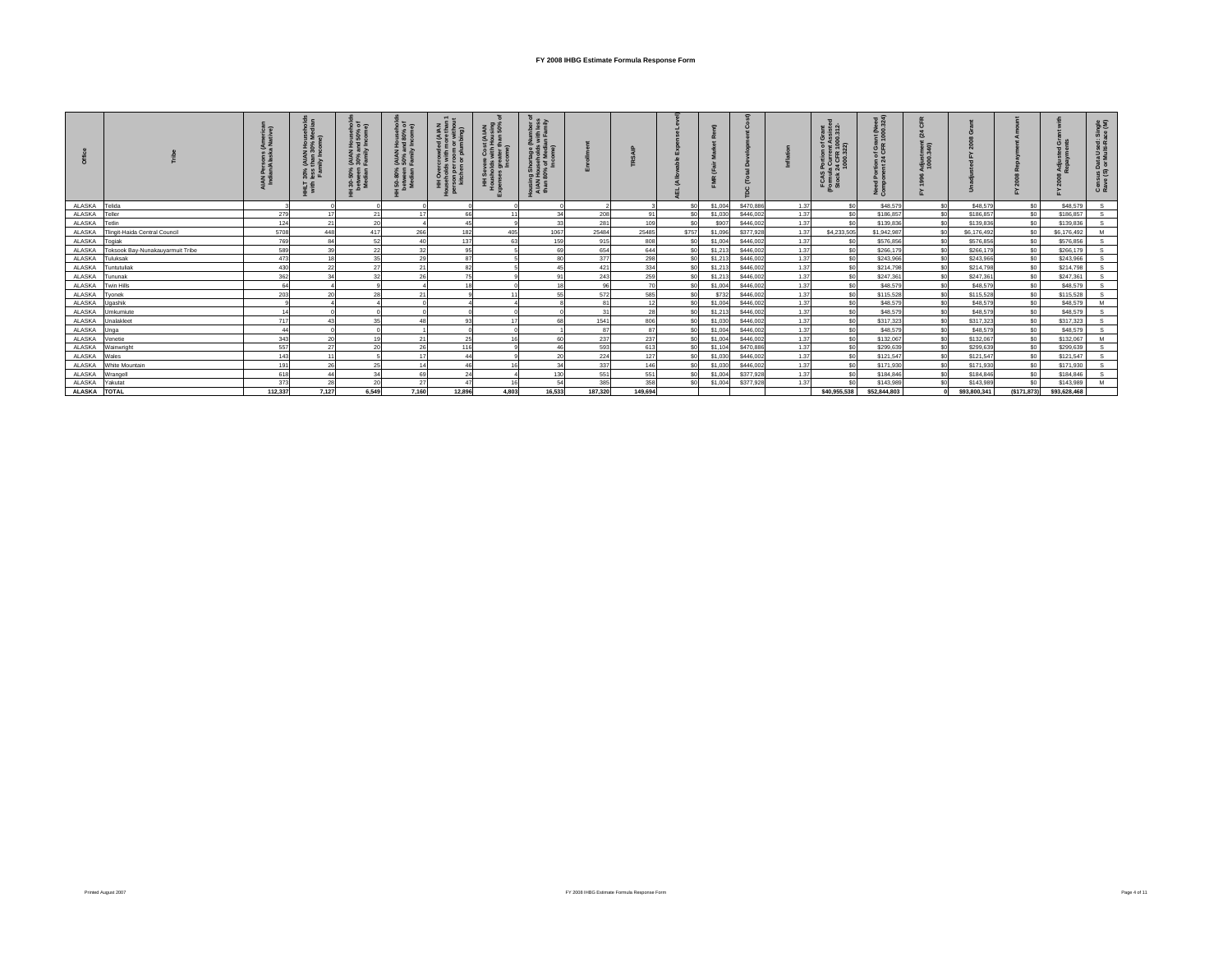|               |                                  | (Ameri<br>a Nativ<br><b>IAN</b> | 3.5<br>30%<br>less<br>걸 | $\overline{Q}$ $\overline{Q}$ $\overline{Q}$<br>ສ ທ<br>$\vec{3}$<br>50%<br>veen<br>ನೆ ಕೆ | 007<br>80%<br>오 홀 르<br>(AIAN <del>I</del><br>50% an<br>Family I<br>50-80%<br>etween<br>Median I |                | ΞŠ    | 下垂山<br>호호증<br>ousin<br>AIAN<br>than 8 |           |         |                |         |           |      | FCA          | រ នី<br>혼90.<br>εč<br>n of<br>24 CF<br>ž 8 |              |              |                |              | us Dat<br>(S) or<br>تت ت |
|---------------|----------------------------------|---------------------------------|-------------------------|------------------------------------------------------------------------------------------|-------------------------------------------------------------------------------------------------|----------------|-------|---------------------------------------|-----------|---------|----------------|---------|-----------|------|--------------|--------------------------------------------|--------------|--------------|----------------|--------------|--------------------------|
| ALASKA        | Telida                           |                                 |                         |                                                                                          |                                                                                                 |                |       |                                       |           |         |                | \$1,004 | \$470,886 | 1.37 |              | \$48,579                                   | \$0          | \$48,579     | \$n            | \$48,579     |                          |
| ALASKA        | Teller                           | 279                             |                         | 21                                                                                       | 17                                                                                              | 66             | 11    |                                       | 208       | 91      | S0             | \$1,030 | \$446,002 | 1.37 | ¢n           | \$186,857                                  | \$0          | \$186,857    | \$0            | \$186,857    |                          |
| ALASKA        | Tetlin                           | 124                             |                         | 20                                                                                       |                                                                                                 | 4 <sup>5</sup> |       | 33                                    | 281       | 109     | -SO            | \$907   | \$446,002 | 1.37 |              | \$139,836                                  | \$ſ          | \$139,836    | \$0            | \$139,836    |                          |
| <b>ALASKA</b> | Tlingit-Haida Central Council    | 5708                            | 448                     | 417                                                                                      | 266                                                                                             | 182            | 405   | 1067                                  | 25484     | 25485   | \$757          | \$1,096 | \$377,928 | 1.37 | \$4,233,505  | \$1,942.98                                 | \$0          | \$6,176,492  | $\epsilon$     | \$6,176,492  |                          |
| ALASKA        | Togiak                           | 769                             | 84                      | 52                                                                                       |                                                                                                 | 137            |       | 159                                   | 915       | 808     | S <sub>0</sub> | \$1,004 | \$446,002 | 1.37 |              | \$576,856                                  | \$n          | \$576,856    | \$0            | \$576,856    |                          |
| ALASKA        | Toksook Bay-Nunakauyarmuit Tribe | 589                             |                         | 22                                                                                       |                                                                                                 | 95             |       |                                       | 654       | 644     | S <sub>0</sub> | \$1,213 | \$446,002 | 1.37 |              | \$266,179                                  | \$ſ          | \$266,179    | \$0            | \$266,179    |                          |
| ALASKA        | Tuluksak                         | 473                             |                         | 35                                                                                       | 29                                                                                              | 87             |       |                                       | 377       | 298     | $\alpha$       | \$1,213 | \$446,002 | 1.37 |              | \$243,966                                  |              | \$243,966    | $\epsilon$     | \$243,966    |                          |
| ALASKA        | Tuntutuliak                      | 430                             |                         |                                                                                          |                                                                                                 | 82             |       |                                       | 421       | 334     |                | \$1,213 | \$446,002 | 1.37 |              | \$214,798                                  |              | \$214,798    | \$0            | \$214,798    |                          |
| ALASKA        | Tununak                          | 362                             |                         |                                                                                          |                                                                                                 |                |       |                                       | 243       | 259     |                | \$1,213 | \$446,002 | 1.37 |              | \$247.36                                   |              | \$247.361    | so.            | \$247.361    |                          |
| ALASKA        | <b>Twin Hills</b>                |                                 |                         |                                                                                          |                                                                                                 |                |       |                                       | <b>Q6</b> |         |                | \$1,004 | \$446,002 | 1.37 |              | \$48,579                                   |              | \$48,579     | sn             | \$48,579     |                          |
| ALASKA        | Tyonek                           | 203                             |                         | 28                                                                                       |                                                                                                 |                |       |                                       | 572       | 585     |                | \$732   | \$446,002 | 1.37 |              | \$115,52                                   |              | \$115,528    | S.             | \$115,528    |                          |
| ALASKA        | Ugashik                          |                                 |                         |                                                                                          |                                                                                                 |                |       |                                       | 81        |         | S0             | \$1,004 | \$446,002 | 1.37 |              | \$48,579                                   |              | \$48,579     | \$n            | \$48,579     |                          |
| ALASKA        | Umkumiute                        |                                 |                         |                                                                                          |                                                                                                 |                |       |                                       | 31        | 28      | S0             | \$1,213 | \$446,002 | 1.37 |              | \$48,579                                   | \$0          | \$48,579     | \$0            | \$48,579     |                          |
| ALASKA        | Unalakleet                       | 717                             |                         | 35                                                                                       |                                                                                                 | 93             |       |                                       | 1541      | 806     | S0             | \$1,030 | \$446,002 | 1.37 | ¢n           | \$317,323                                  | \$0          | \$317,323    | \$0            | \$317,323    |                          |
| ALASKA        | Unga                             | 44                              |                         |                                                                                          |                                                                                                 |                |       |                                       | 87        | 87      |                | \$1,004 | \$446,002 | 1.37 |              | \$48,579                                   |              | \$48,579     | \$0            | \$48,579     |                          |
| ALASKA        | Venetie                          | 343                             |                         | 19                                                                                       |                                                                                                 | 25             |       |                                       | 237       | 237     | S0             | \$1,004 | \$446,002 | 1.37 |              | \$132,067                                  | \$0          | \$132,067    | S <sub>0</sub> | \$132,067    |                          |
| ALASKA        | Wainwright                       | 557                             | 27                      | 20                                                                                       | 26                                                                                              | 116            |       |                                       | 593       | 613     |                | \$1,104 | \$470,886 | 1.37 |              | \$299,639                                  | $\mathbb{C}$ | \$299,639    | sn.            | \$299,639    |                          |
| ALASKA        | Wales                            | 143                             |                         |                                                                                          |                                                                                                 |                |       |                                       | 224       | 127     | SC             | \$1,030 | \$446,002 | 1.37 |              | \$121.547                                  | \$ſ          | \$121.547    | so.            | \$121,547    |                          |
| ALASKA        | White Mountain                   | 191                             | 26                      | 25                                                                                       | 14                                                                                              | 46             |       |                                       | 337       | 146     | s.             | \$1,030 | \$446,002 | 1.37 |              | \$171,930                                  | \$0          | \$171,930    | so.            | \$171,930    |                          |
| ALASKA        | Wrangell                         | 618                             |                         | 34                                                                                       | 69                                                                                              | 24             |       | 130                                   | 551       | 551     |                | \$1,004 | \$377,928 | 1.37 |              | \$184,846                                  |              | \$184,846    | \$0            | \$184,846    |                          |
| ALASKA        | Yakutat                          | 373                             | 28                      | 20                                                                                       | 27                                                                                              |                |       | 54                                    | 385       | 358     |                | \$1,004 | \$377,928 | 1.37 |              | \$143,989                                  |              | \$143,989    | $\epsilon$     | \$143,989    |                          |
| ALASKA TOTAL  |                                  | 112.337                         | 7.127                   | 6.549                                                                                    | 7.160                                                                                           | 12,896         | 4.803 | 16.533                                | 187.320   | 149.694 |                |         |           |      | \$40,955,538 | \$52,844,803                               |              | \$93,800,341 | (S171.873)     | \$93,628,468 |                          |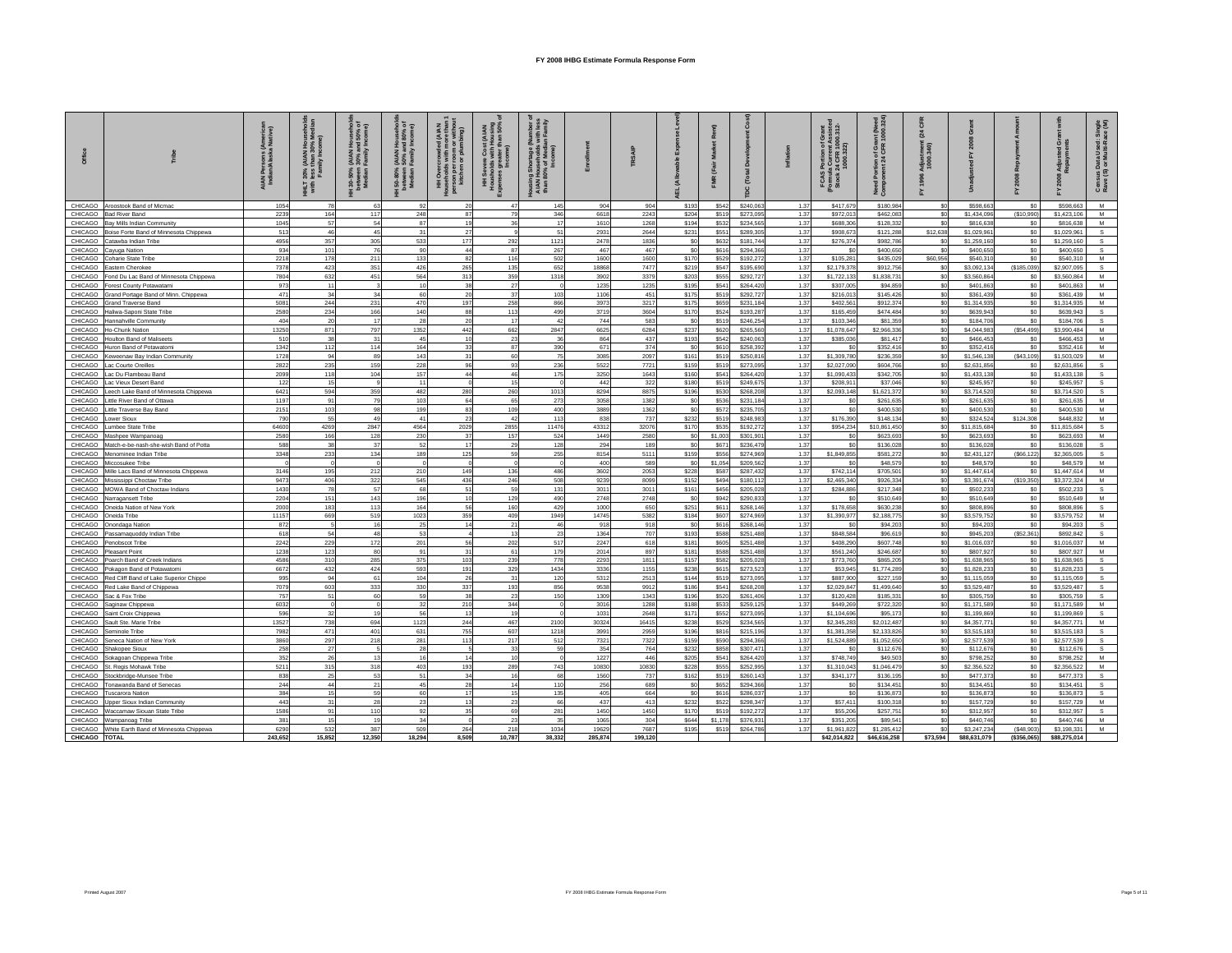|                    |                                                                  | (America<br>a Native)<br>Persons<br>lan/Alask<br>india<br>India | 30%<br>less t<br>다보다<br>With | use<br>50%<br>(AIAN I<br>30% ar<br>Family<br>  30-50%<br>petween<br>Median F | Househ<br>1d 80%<br>Income<br>(AIAN H)<br>50% an<br>Family I<br>50-80%<br>petween<br>Median I | $\widehat{\sigma}$<br><b>Blum</b><br>Overc<br>holds<br>son per<br>kitchen<br>ΞĪ | $8\overline{5}$<br>토홀 |              |               |               |                         |                | å                      |              | rent Assiste<br>R 1000.312-<br>.322)<br>ö<br>Portion<br>a Curren<br>24 CFR 1<br>1000.32:<br>FCAS<br>Formula<br>Stock 2 | int (Need<br>1000.324)<br>ntion of Grau<br>ent 24 CFR 1<br>ž g | nem<br>អន  |                            |                       |                            | åξ<br>តី ខ<br>형훈<br>5 i<br>sus Data<br>(S) or Mu<br>Cens<br>Rave |
|--------------------|------------------------------------------------------------------|-----------------------------------------------------------------|------------------------------|------------------------------------------------------------------------------|-----------------------------------------------------------------------------------------------|---------------------------------------------------------------------------------|-----------------------|--------------|---------------|---------------|-------------------------|----------------|------------------------|--------------|------------------------------------------------------------------------------------------------------------------------|----------------------------------------------------------------|------------|----------------------------|-----------------------|----------------------------|------------------------------------------------------------------|
| CHICAGO            | roostook Band of Micmac                                          | 1054                                                            |                              | 63                                                                           | 92                                                                                            | 20                                                                              |                       | 145          | 904           | 904           | \$193                   | \$542          | \$240,063              | 1.37         | \$417,679                                                                                                              | \$180,984                                                      | \$0        | \$598,66                   | \$0                   | \$598.663                  | M                                                                |
| CHICAGO            | <b>Bad River Band</b>                                            | 2239                                                            | 164                          | 117                                                                          | 248                                                                                           | 87                                                                              | 79                    | 346          | 6618          | 2243          | \$204                   | \$519          | \$273,095              | 1.37         | \$972,013                                                                                                              | \$462,083                                                      | \$0        | \$1,434,096                | (\$10,990)            | \$1,423,106                | M                                                                |
| CHICAGO            | lay Mills Indian Community                                       | 1045                                                            | 57                           | 54                                                                           | 87                                                                                            | 19                                                                              | 36                    | 17           | 1610          | 1268          | \$194                   | \$532          | \$234,565              | 1.37         | \$688,306                                                                                                              | \$128,332                                                      | \$0        | \$816,638                  | \$0                   | \$816,638                  | M                                                                |
| CHICAGO            | Boise Forte Band of Minnesota Chippewa                           | 513                                                             | 46                           | 45                                                                           | 31                                                                                            | 27                                                                              |                       | 51           | 2931          | 2644          | \$231                   | \$551          | \$289,305              | 1.37         | \$908,673                                                                                                              | \$121,288                                                      | \$12,638   | \$1,029,961                | \$0                   | \$1.029.961                | s                                                                |
| CHICAGO<br>CHICAGO | Catawba Indian Tribe                                             | 4956<br>934                                                     | 357<br>101                   | 305<br>76                                                                    | 533<br>90                                                                                     | 177<br>44                                                                       | 292<br>87             | 1121<br>267  | 2478<br>467   | 1836<br>467   | \$0<br>S <sub>0</sub>   | \$632<br>\$616 | \$181,744<br>\$294,366 | 1.37<br>1.37 | \$276,374<br><sub>so</sub>                                                                                             | \$982,786<br>\$400,650                                         | \$0<br>\$0 | \$1,259,160<br>\$400,650   | \$0<br>SO             | \$1,259,160<br>\$400,650   | S.<br>$\mathbf{s}$                                               |
| CHICAGO            | Cayuga Nation<br>pharie State Tribe                              | 2218                                                            | 178                          | 211                                                                          | 133                                                                                           | 82                                                                              | 116                   | 502          | 1600          | 1600          | \$170                   | \$529          | \$192,272              | 1.37         | \$105,281                                                                                                              | \$435,029                                                      | \$60,956   | \$540,31                   | \$0                   | \$540,310                  | M                                                                |
| CHICAGO            | astern Cherokee                                                  | 7378                                                            | 423                          | 351                                                                          | 426                                                                                           | 265                                                                             | 135                   | 652          | 18868         | 7477          | \$219                   | \$547          | \$195,690              | 1.37         | \$2,179,378                                                                                                            | \$912,756                                                      | \$0        | \$3,092,134                | ( \$185,039]          | \$2,907,095                |                                                                  |
| CHICAGO            | ond Du Lac Band of Minnesota Chippewa                            | 7804                                                            | 632                          | 451                                                                          | 564                                                                                           | 313                                                                             | 359                   | 1318         | 3902          | 3379          | \$203                   | \$555          | \$292,727              | 1.37         | \$1,722,133                                                                                                            | \$1,838,731                                                    | \$0        | \$3,560,864                | \$0                   | \$3,560,864                | M                                                                |
| CHICAGO            | orest County Potawatami                                          | 973                                                             | 11                           |                                                                              | 10 <sup>10</sup>                                                                              | 38                                                                              | 27                    |              | 1235          | 1235          | \$195                   | \$541          | \$264,420              | 1.37         | \$307,005                                                                                                              | \$94,859                                                       | \$0        | \$401,863                  | \$0                   | \$401.863                  | M                                                                |
| CHICAGO            | Grand Portage Band of Minn. Chippewa                             | 471                                                             | 34                           | 34                                                                           | 60                                                                                            | 20                                                                              | 37                    | 103          | 1106          | 451           | \$175                   | \$519          | \$292,727              | 1.37         | \$216,013                                                                                                              | \$145,426                                                      | \$0        | \$361,439                  | \$0                   | \$361,439                  | M                                                                |
| CHICAGO            | <b>Grand Traverse Band</b>                                       | 5081                                                            | 244                          | 231                                                                          | 470                                                                                           | 197                                                                             | 258                   | 866          | 3973          | 3217          | \$175                   | \$659          | \$231,184              | 1.37         | \$402.561                                                                                                              | \$912,374                                                      | \$0        | \$1,314,935                | \$0                   | \$1,314,935                | M                                                                |
| CHICAGO<br>CHICAGO | Haliwa-Saponi State Tribe                                        | 2580<br>404                                                     | 234<br>20                    | 166<br>17                                                                    | 140<br>28                                                                                     | 88                                                                              | 113<br>17             | 499<br>42    | 3719<br>744   | 3604<br>583   | \$170<br>S <sub>0</sub> | \$524          | \$193,287<br>\$246,254 | 1.37<br>1.37 | \$165,459<br>\$103,346                                                                                                 | \$474,484<br>\$81,359                                          | \$0<br>\$0 | \$639,943<br>\$184,706     | \$0<br>S <sub>0</sub> | \$639,943<br>\$184,706     |                                                                  |
| CHICAGO            | Hannahville Community<br><b>Io-Chunk Nation</b>                  | 13250                                                           | 871                          | 797                                                                          | 1352                                                                                          | 20<br>442                                                                       | 662                   | 2847         | 6625          | 6284          | \$237                   | \$519<br>\$620 | \$265,560              | 1.37         | \$1.078.647                                                                                                            | \$2,966,336                                                    | \$0        | \$4,044.983                | (\$54,499)            | \$3,990.484                | M                                                                |
| CHICAGO            | loulton Band of Maliseets                                        | 510                                                             | 38                           | 31                                                                           | 45                                                                                            | 10                                                                              | 23                    | 36           | 864           | 437           | \$193                   | \$542          | \$240,063              | 1.37         | \$385,036                                                                                                              | \$81,417                                                       | \$0        | \$466,453                  | \$0                   | \$466,453                  | M                                                                |
| CHICAGO            | luron Band of Potawatomi                                         | 1342                                                            | 112                          | 114                                                                          | 164                                                                                           | 33                                                                              | 87                    | 390          | 671           | 374           | \$0                     | \$610          | \$258,392              | 1.37         | \$0                                                                                                                    | \$352,416                                                      | \$0        | \$352,416                  | \$0                   | \$352,416                  | M                                                                |
| CHICAGO            | Keweenaw Bay Indian Community                                    | 1728                                                            | 94                           | 89                                                                           | 143                                                                                           | 31                                                                              | 60                    | 75           | 3085          | 2097          | \$161                   | \$519          | \$250,816              | 1.37         | \$1,309,780                                                                                                            | \$236,359                                                      | \$0        | \$1,546,138                | (\$43,109)            | \$1,503.029                | M                                                                |
| CHICAGO            | ac Courte Oreilles                                               | 2822                                                            | 235                          | 159                                                                          | 228                                                                                           | 96                                                                              | 93                    | 236          | 5522          | 772'          | \$159                   | \$519          | \$273,095              | 1.37         | \$2,027,090                                                                                                            | \$604,766                                                      | \$0        | \$2,631,856                | \$0                   | \$2,631,856                | s                                                                |
| CHICAGO            | ac Du Flambeau Band                                              | 2099                                                            | 118                          | 104                                                                          | 157                                                                                           | 44                                                                              | 46                    | 175          | 3250          | 1643          | \$160                   | \$541          | \$264,420              | 1.37         | \$1,090,433                                                                                                            | \$342,705                                                      | \$0        | \$1,433,138                | \$0                   | \$1,433,138                | s                                                                |
| CHICAGO            | ac Vieux Desert Band                                             | 122                                                             | 15                           |                                                                              | 11                                                                                            |                                                                                 | 15                    | $\circ$      | 442           | 322           | \$180                   | \$519          | \$249,675              | 1.37         | \$208,911                                                                                                              | \$37,046                                                       | \$0        | \$245,95                   | \$0                   | \$245,957                  | s                                                                |
| CHICAGO            | eech Lake Band of Minnesota Chippewa                             | 6421<br>1197                                                    | 594<br>91                    | 359<br>79                                                                    | 482<br>103                                                                                    | 280                                                                             | 260<br>65             | 1013         | 8294          | 8875<br>1382  | \$196                   | \$530          | \$268,208              | 1.37<br>1.37 | \$2,093,148                                                                                                            | \$1.621.37                                                     | sol        | \$3,714.520                | \$0                   | \$3,714.520                | $\mathbf{S}$<br>M                                                |
| CHICAGO<br>CHICAGO | ittle River Band of Ottawa<br>ittle Traverse Bay Band            | 215'                                                            | 103                          | 98                                                                           | 199                                                                                           | 64<br>83                                                                        | 109                   | 273<br>400   | 3058<br>3889  | 1362          | \$0<br>\$0              | \$536<br>\$572 | \$231,184<br>\$235,705 | 1.37         | \$0<br>\$0                                                                                                             | \$261,635<br>\$400,530                                         | \$0<br>\$0 | \$261,635<br>\$400,530     | \$0<br>\$0            | \$261,635<br>\$400,530     | M                                                                |
| CHICAGO            | ower Sioux                                                       | 790                                                             | 55                           | 49                                                                           | 41                                                                                            | 23                                                                              | 42                    | 113          | 838           | 737           | \$232                   | \$519          | \$248,983              | 1.37         | \$176,390                                                                                                              | \$148,134                                                      | \$0        | \$324,524                  | \$124,308             | \$448,832                  | M                                                                |
| CHICAGO            | umbee State Tribe                                                | 64600                                                           | 4269                         | 2847                                                                         | 4564                                                                                          | 2029                                                                            | 2855                  | 11476        | 43312         | 32076         | \$170                   | \$535          | \$192,272              | 1.37         | \$954,234                                                                                                              | \$10,861,450                                                   | \$0        | \$11,815,684               | \$0                   | \$11,815,684               | $\mathbf{s}$                                                     |
| CHICAGO            | Mashpee Wampanoag                                                | 2580                                                            | 166                          | 128                                                                          | 230                                                                                           | 37                                                                              | 157                   | 524          | 1449          | 2580          | \$0                     | \$1,003        | \$301,901              | 1.37         | \$0                                                                                                                    | \$623,693                                                      | \$0        | \$623,693                  | \$0                   | \$623,693                  | M                                                                |
| CHICAGO            | Match-e-be-nash-she-wish Band of Potta                           | 588                                                             | 38                           | 37                                                                           | 52                                                                                            | 17                                                                              | 29                    | 128          | 294           | 189           | \$0                     | \$671          | \$236,479              | 1.37         | \$0                                                                                                                    | \$136,028                                                      | \$0        | \$136,028                  | \$0                   | \$136,028                  | s                                                                |
| CHICAGO            | Menominee Indian Tribe                                           | 3348                                                            | 233                          | 134                                                                          | 189                                                                                           | 125                                                                             | 59                    | 255          | 8154          | 5111          | \$159                   | \$556          | \$274.969              | 1.37         | \$1,849,855                                                                                                            | \$581,272                                                      | \$0        | \$2,431,127                | (\$66, 122)           | \$2,365,005                |                                                                  |
| CHICAGO            | Miccosukee Tribe                                                 |                                                                 |                              |                                                                              | $\Omega$                                                                                      |                                                                                 |                       |              | 400           | 589           | <sub>SO</sub>           | \$1,054        | \$209,562              | 1.37         | \$0                                                                                                                    | \$48,579                                                       | \$0        | \$48,579                   | \$0                   | \$48,579                   | м                                                                |
| CHICAGO<br>CHICAGO | Mille Lacs Band of Minnesota Chippewa                            | 3146<br>9473                                                    | 195<br>406                   | 212<br>322                                                                   | 210<br>545                                                                                    | 149<br>436                                                                      | 136<br>246            | 486<br>508   | 3602<br>9239  | 2053<br>8099  | \$228<br>\$152          | \$587<br>\$494 | \$287,432<br>\$180,112 | 1.37<br>1.37 | \$742,114<br>\$2,465,340                                                                                               | \$705,501<br>\$926,334                                         | \$0<br>\$0 | \$1,447,614<br>\$3,391,674 | \$0<br>(\$19,350)     | \$1,447.614<br>\$3,372,324 | м<br>M                                                           |
| CHICAGO            | Mississippi Choctaw Tribe<br><b>MOWA Band of Choctaw Indians</b> | 1430                                                            | 78                           | 57                                                                           | 68                                                                                            | 51                                                                              | 59                    | 131          | 3011          | 3011          | \$161                   | \$456          | \$205,028              | 1.37         | \$284,886                                                                                                              | \$217,348                                                      | \$0        | \$502,23                   | \$0                   | \$502,233                  |                                                                  |
| CHICAGO            | larragansett Tribe                                               | 2204                                                            | 151                          | 143                                                                          | 196                                                                                           | 10                                                                              | 129                   | 490          | 2748          | 2748          | \$0                     | \$942          | \$290,833              | 1.37         | \$0                                                                                                                    | \$510,649                                                      | \$0        | \$510,649                  | \$0                   | \$510,649                  | м                                                                |
| CHICAGO            | Ineida Nation of New York                                        | 2000                                                            | 183                          | 113                                                                          | 164                                                                                           | 56                                                                              | 160                   | 429          | 1000          | 650           | \$251                   | \$611          | \$268,146              | 1.37         | \$178,658                                                                                                              | \$630,238                                                      | sol        | \$808,896                  | \$0                   | \$808,896                  |                                                                  |
| CHICAGO            | Oneida Tribe                                                     | 11157                                                           | 669                          | 519                                                                          | 1023                                                                                          | 359                                                                             | 409                   | 1949         | 14745         | 5382          | \$184                   | \$607          | \$274.969              | 1.37         | \$1,390,977                                                                                                            | \$2,188,775                                                    | \$0        | \$3,579,752                | S <sub>0</sub>        | \$3,579,752                | M                                                                |
| CHICAGO            | <b>Onondaga Nation</b>                                           | 872                                                             |                              | 16                                                                           | 25                                                                                            | 14                                                                              | 21                    | 46           | 918           | 918           | \$0                     | \$616          | \$268.146              | 1.37         | \$0                                                                                                                    | \$94,203                                                       | \$0        | \$94,203                   | \$0                   | \$94,203                   |                                                                  |
| CHICAGO            | Passamaquoddy Indian Tribe                                       | 618                                                             | 54                           | 48                                                                           | 53                                                                                            |                                                                                 | 13                    | 23           | 1364          | 707           | \$193                   | \$588          | \$251,488              | 1.37         | \$848,584                                                                                                              | \$96,619                                                       | \$0        | \$945,203                  | (\$52,361)            | \$892,842                  | S.                                                               |
| CHICAGO            | enobscot Tribe                                                   | 2242                                                            | 229                          | 172<br>80                                                                    | 201<br>91                                                                                     | 56<br>31                                                                        | 202<br>61             | 517          | 2247          | 618           | \$181                   | \$605          | \$251.488              | 1.37         | \$408,290                                                                                                              | \$607.748                                                      | \$0<br>\$0 | \$1,016,037                | SO <sub>2</sub>       | \$1,016,037                | M<br>M                                                           |
| CHICAGO<br>CHICAGO | leasant Point<br>oarch Band of Creek Indians                     | 1238<br>4586                                                    | 123<br>310                   | 285                                                                          | 375                                                                                           | 103                                                                             | 239                   | 179<br>778   | 2014<br>2293  | 897<br>1811   | \$181<br>\$157          | \$588<br>\$582 | \$251,488<br>\$205,028 | 1.37<br>1.37 | \$561,240<br>\$773,760                                                                                                 | \$246,687<br>\$865,205                                         | \$0        | \$807,927<br>\$1,638,965   | \$0<br>\$0            | \$807,927<br>\$1,638,965   |                                                                  |
| CHICAGO            | Pokagon Band of Potawatomi                                       | 6672                                                            | 432                          | 424                                                                          | 593                                                                                           | 191                                                                             | 329                   | 1434         | 3336          | 1155          | \$238                   | \$615          | \$273,523              | 1.37         | \$53,945                                                                                                               | \$1,774,289                                                    | \$0        | \$1,828,23                 | \$0                   | \$1,828,233                |                                                                  |
| CHICAGO            | Red Cliff Band of Lake Superior Chippe                           | 995                                                             | 94                           | 61                                                                           | 104                                                                                           | 26                                                                              | 31                    | 120          | 5312          | 2513          | \$144                   | \$519          | \$273.095              | 1.37         | \$887,900                                                                                                              | \$227.159                                                      | sol        | \$1,115,059                | \$0                   | \$1,115,059                |                                                                  |
| CHICAGO            | Red Lake Band of Chippewa                                        | 7079                                                            | 603                          | 333                                                                          | 330                                                                                           | 337                                                                             | 193                   | 856          | 9538          | 9912          | <b>S186</b>             | \$541          | \$268,208              | 1.37         | \$2.029.847                                                                                                            | \$1,499,640                                                    | \$0        | \$3,529.487                | S <sub>0</sub>        | \$3,529.487                |                                                                  |
| CHICAGO            | Sac & Fox Tribe                                                  | 757                                                             | 51                           | 60                                                                           | 59                                                                                            | 38                                                                              | 23                    | 150          | 1309          | 1343          | \$196                   | \$520          | \$261,406              | 1.37         | \$120,428                                                                                                              | \$185,331                                                      | \$0        | \$305,759                  | \$0                   | \$305,759                  | s                                                                |
| CHICAGO            | Saginaw Chippewa                                                 | 6032                                                            |                              |                                                                              | 32                                                                                            | 210                                                                             | 344                   |              | 3016          | 1288          | \$188                   | \$533          | \$259,125              | 1.37         | \$449,269                                                                                                              | \$722,320                                                      | \$0        | \$1,171,589                | \$0                   | \$1,171,589                | м                                                                |
| CHICAGO            | Saint Croix Chippewa                                             | 596                                                             | 32                           |                                                                              | 56                                                                                            | 13                                                                              | 19<br>467             |              | 1031          | 2648          | \$171                   | \$552          | \$273,095              | 1.37         | \$1,104,696                                                                                                            | \$95,173                                                       | \$0        | \$1,199,86                 | SO <sub>2</sub>       | \$1,199,869                | M                                                                |
| CHICAGO<br>CHICAGO | Sault Ste, Marie Tribe<br>eminole Tribe                          | 13527<br>7982                                                   | 738<br>471                   | 694<br>401                                                                   | 1123<br>631                                                                                   | 244<br>755                                                                      | 607                   | 2100<br>1218 | 30324<br>3991 | 16415<br>2959 | \$238<br>\$196          | \$529<br>\$816 | \$234,565<br>\$215,196 | 1.37<br>1.37 | \$2,345,283<br>\$1,381,358                                                                                             | \$2,012,487<br>\$2,133,826                                     | \$0<br>\$0 | \$4,357,771<br>\$3,515,18  | \$0<br>\$0            | \$4,357,771<br>\$3,515,183 |                                                                  |
| CHICAGO            | eneca Nation of New York                                         | 3860                                                            | 297                          | 218                                                                          | 281                                                                                           | 113                                                                             | 217                   | 512          | 7321          | 7322          | \$159                   | \$590          | \$294,366              | 1.37         | \$1,524,889                                                                                                            | \$1,052,65                                                     | \$0        | \$2,577,539                | \$0                   | \$2,577,539                |                                                                  |
| CHICAGO            | hakopee Sioux                                                    | 258                                                             | 27                           |                                                                              | 28                                                                                            |                                                                                 | 33                    | 59           | 354           | 764           | \$232                   | \$858          | \$307,471              | 1.37         | \$0                                                                                                                    | \$112,676                                                      | \$0        | \$112,67                   | \$0                   | \$112,676                  | $\mathbf{s}$                                                     |
| CHICAGO            | Sokagoan Chippewa Tribe                                          | 352                                                             | 26                           |                                                                              | 16                                                                                            | 14                                                                              | 10                    |              | 1227          | 446           | \$205                   | \$541          | \$264,420              | 1.37         | \$748,749                                                                                                              | \$49,503                                                       | \$0        | \$798,25                   | \$0                   | \$798.252                  | M                                                                |
| CHICAGO            | St. Regis Mohawk Tribe                                           | 5211                                                            | 315                          | 318                                                                          | 403                                                                                           | 193                                                                             | 289                   | 743          | 10830         | 10830         | \$228                   | \$555          | \$252,995              | 1.37         | \$1,310,043                                                                                                            | \$1,046,479                                                    | \$0        | \$2,356,522                | \$0                   | \$2,356,522                | M                                                                |
| CHICAGO            | Stockbridge-Munsee Tribe                                         | 838                                                             | 25                           | 53                                                                           | 51                                                                                            | 34                                                                              | 16                    | 68           | 1560          | 737           | \$162                   | \$519          | \$260,143              | 1.37         | \$341,177                                                                                                              | \$136,195                                                      | \$0        | \$477,373                  | \$0                   | \$477,373                  | $\mathbf{s}$                                                     |
| CHICAGO            | Tonawanda Band of Senecas                                        | 244                                                             | 44<br>15                     | 21<br>59                                                                     | 45                                                                                            | 28                                                                              | 14                    | 110<br>135   | 256           | 689           | \$0                     | \$652          | \$294,366              | 1.37         | \$0                                                                                                                    | \$134,451                                                      | \$0<br>\$0 | \$134.45                   | \$0                   | \$134.451                  | S.<br>$\mathbf{s}$                                               |
| CHICAGO<br>CHICAGO | uscarora Nation<br>per Sioux Indian Community                    | 384<br>443                                                      | 31                           | 28                                                                           | 60<br>23                                                                                      | 17<br>13                                                                        | 15<br>23              | 66           | 405<br>437    | 664<br>413    | S <sub>0</sub><br>\$232 | \$616<br>\$522 | \$286,037<br>\$298,347 | 1.37<br>1.37 | \$0<br>\$57,411                                                                                                        | \$136,873<br>\$100,318                                         | \$0        | \$136,873<br>\$157,729     | \$0<br>\$0            | \$136,873<br>\$157,729     | M                                                                |
| CHICAGO            | Vaccamaw Siouan State Tribe                                      | 1586                                                            | 91                           | 110                                                                          | 92                                                                                            | 35                                                                              | 69                    | 281          | 1450          | 1450          | \$170                   | \$519          | \$192,272              | 1.37         | \$55,206                                                                                                               | \$257,75                                                       | \$0        | \$312,95                   | \$0                   | \$312,957                  |                                                                  |
| CHICAGO            | Vampanoag Tribe                                                  | 381                                                             | 15                           | 19                                                                           | 34                                                                                            |                                                                                 | 23                    | 35           | 1065          | 304           | \$644                   | \$1 178        | \$376,931              | 1.37         | \$351,205                                                                                                              | \$89,541                                                       | \$0        | \$440,746                  | \$0                   | \$440,746                  | M                                                                |
| CHICAGO            | White Earth Band of Minnesota Chippewa                           | 6290                                                            | 532                          | 387                                                                          | 509                                                                                           | 264                                                                             | 218                   | 1034         | 19629         | 7687          | \$195                   | \$519          | \$264,786              | 1.37         | \$1,961,822                                                                                                            | \$1,285.41                                                     | \$0        | \$3,247.234                | (\$48,903             | \$3,198,331                | M                                                                |
| CHICAGO            | <b>TOTAL</b>                                                     | 243.652                                                         | 15.852                       | 12.350                                                                       | 18.294                                                                                        | 8.509                                                                           | 10.787                | 38.332       | 285.874       | 199.120       |                         |                |                        |              | \$42,014,822                                                                                                           | \$46,616,258                                                   | \$73,594   | \$88,631,079               | ( \$356.065)          | \$88,275.014               |                                                                  |

Printed August 2007 FY 2008 IHBG Estimate Formula Response Form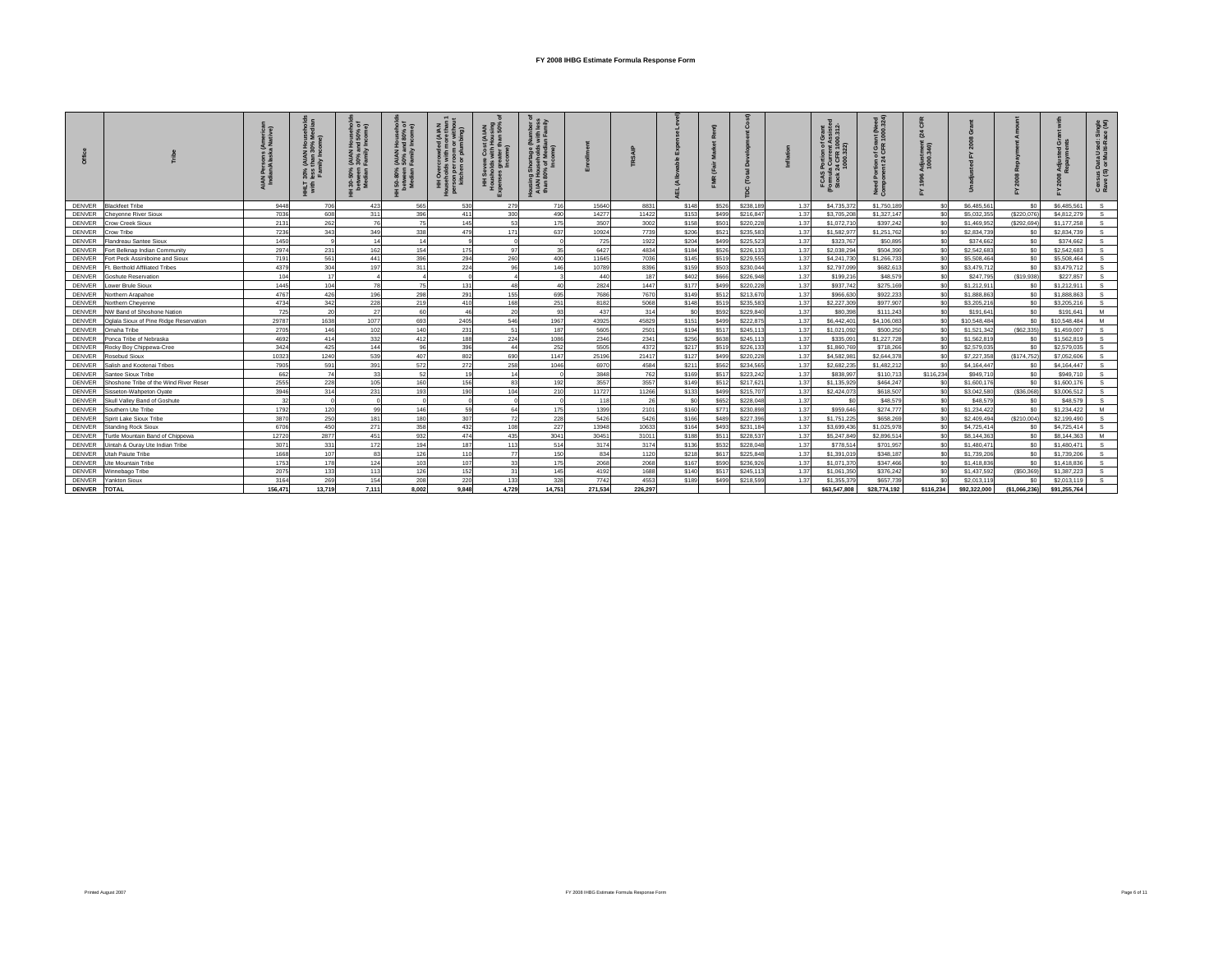|               |                                        | <b>AN</b> |        |       | $(MAN)$<br>50% ar<br>ន់ | $\delta$ .<br>Ŧ, | $\frac{1}{2}$ in $\frac{1}{2}$<br>₹į | ousin<br>AIAN<br>than 8 |         |         |             |       |           |      | 2 <sub>o</sub><br>$\frac{16}{27}$<br>FCAS<br>(Formul<br>Stock | Ž۶<br>$\alpha$<br>西正<br>ㅎ<br>ž 8 |           |              |                |              | us Data Used:<br>(S) or Multi-Ra<br>Cens<br>Rave |
|---------------|----------------------------------------|-----------|--------|-------|-------------------------|------------------|--------------------------------------|-------------------------|---------|---------|-------------|-------|-----------|------|---------------------------------------------------------------|----------------------------------|-----------|--------------|----------------|--------------|--------------------------------------------------|
| <b>DENVER</b> | <b>Blackfeet Tribe</b>                 | 9448      | 706    | 423   | 565                     | 530              | 279                                  | 716                     | 15640   | 8831    | \$148       | \$526 | \$238,189 | 1.37 | \$4,735,37                                                    | \$1,750,189                      | \$0       | \$6,485.561  | S0             | \$6,485,561  | s.                                               |
| <b>DENVER</b> | Cheyenne River Sioux                   | 7036      | 608    | 311   | 396                     | 411              | 300                                  | 490                     | 14277   | 11422   | \$153       | \$499 | \$216,847 | 1.37 | \$3,705,20                                                    | \$1,327,147                      | $\sin$    | \$5.032.355  | (\$220,076     | \$4,812,279  | $\mathbf{s}$                                     |
| <b>DENVER</b> | Crow Creek Sioux                       | 2131      | 262    | 76    | 75                      | 145              | 63                                   | 175                     | 3507    | 3002    | \$158       | \$501 | \$220,228 | 1.37 | \$1,072,710                                                   | \$397,242                        | \$0       | \$1,469.952  | (\$292,694     | \$1,177,258  | $\mathbf{s}$                                     |
| <b>DENVER</b> | Crow Tribe                             | 7236      | 343    | 349   | 338                     | 479              | 171                                  | 637                     | 10924   | 7739    | \$206       | \$521 | \$235.583 | 1.37 | \$1,582.977                                                   | \$1,251,762                      | \$0       | \$2.834.739  | S <sub>0</sub> | \$2.834.739  | $\mathbf{s}$                                     |
| <b>DENVER</b> | Flandreau Santee Sioux                 | 1450      |        | 14    | 14                      |                  |                                      |                         | 725     | 1922    | \$204       | \$499 | \$225,523 | 1.37 | \$323,767                                                     | \$50,895                         | $\sin$    | \$374,662    | S <sub>0</sub> | \$374,662    | $\mathbf{s}$                                     |
| <b>DENVER</b> | Fort Belknap Indian Community          | 2974      | 231    | 162   | 154                     | 175              |                                      |                         | 6427    | 4834    | \$184       | \$526 | \$226,133 | 1.37 | \$2,038.294                                                   | \$504,390                        | \$0       | \$2,542.683  | S <sub>0</sub> | \$2.542.683  | s.                                               |
| <b>DENVER</b> | Fort Peck Assiniboine and Sioux        | 7191      | 561    | 441   | 396                     | 294              | 260                                  | 400                     | 11645   | 7036    | <b>S145</b> | \$519 | \$229.555 | 1.37 | \$4,241,730                                                   | \$1,266,733                      | \$0       | \$5,508.464  | S <sub>0</sub> | \$5,508.464  | <b>S</b>                                         |
| <b>DENVER</b> | Ft. Berthold Affiliated Tribes         | 4379      | 304    | 197   | 311                     | 224              |                                      | 146                     | 10789   | 8396    | \$159       | \$503 | \$230,044 | 1.37 | \$2,797,099                                                   | \$682,613                        | \$0       | \$3,479.712  | S <sub>0</sub> | \$3,479.712  | s.                                               |
| <b>DENVER</b> | <b>Goshute Reservation</b>             | 104       | 17     |       |                         |                  |                                      |                         | 440     | 187     | \$402       | \$666 | \$226,948 | 1.37 | \$199,216                                                     | \$48,579                         | \$0       | \$247,795    | (\$19,938)     | \$227.857    | s.                                               |
| <b>DENVER</b> | ower Brule Sioux                       | 1445      | 104    |       |                         | 131              |                                      |                         | 2824    | 1447    | \$177       | \$499 | \$220,228 | 1.37 | \$937,742                                                     | \$275,169                        | \$0       | \$1,212,911  | S <sub>0</sub> | \$1,212,911  | $\mathbf{s}$                                     |
| <b>DENVER</b> | Northern Arapahoe                      | 4767      | 426    | 196   | 298                     | 291              | 155                                  | 695                     | 7686    | 7670    | \$149       | \$512 | \$213,670 | 1.37 | \$966,630                                                     | \$922,233                        | \$0       | \$1,888,863  | S <sub>0</sub> | \$1,888,863  | s                                                |
| <b>DENVER</b> | Northern Cheyenne                      | 4734      | 342    | 228   | 219                     | 410              | 168                                  | 251                     | 8182    | 5068    | <b>S148</b> | \$519 | \$235.583 | 1.37 | \$2,227,309                                                   | \$977.907                        | \$0       | \$3,205.216  | S <sub>0</sub> | \$3,205,216  | $\mathbf{s}$                                     |
| <b>DENVER</b> | NW Band of Shoshone Nation             | 725       | 20     | 27    | 60                      | 46               | 20                                   | 93                      | 437     | 314     | \$0         | \$592 | \$229,840 | 1.37 | \$80,398                                                      | \$111,243                        | \$0       | \$191.641    | S <sub>0</sub> | \$191.641    | M                                                |
| <b>DENVER</b> | Oglala Sioux of Pine Ridge Reservation | 29787     | 1638   | 1077  | 693                     | 2405             | 546                                  | 1967                    | 43925   | 45829   | <b>S151</b> | \$499 | \$222.875 | 1.37 | \$6,442.401                                                   | \$4,106,083                      | \$0       | \$10,548.484 | \$0            | \$10,548,484 | M                                                |
| <b>DENVER</b> | Omaha Tribe                            | 2705      | 146    | 102   | 140                     | 231              | 51                                   | 187                     | 5605    | 2501    | \$194       | \$517 | \$245.113 | 1.37 | \$1,021,092                                                   | \$500.250                        | \$0       | \$1,521,342  | (\$62,335)     | \$1,459,007  | s                                                |
| <b>DENVER</b> | Ponca Tribe of Nebraska                | 4692      | 414    | 332   | 412                     | 188              | 224                                  | 1086                    | 2346    | 2341    | \$256       | \$638 | \$245,113 | 1.37 | \$335.091                                                     | \$1,227,728                      | \$0       | \$1,562.819  | S <sub>0</sub> | \$1,562.819  | s.                                               |
| <b>DENVER</b> | Rocky Boy Chippewa-Cree                | 3424      | 425    | 144   | 96                      | 396              | $\overline{a}$                       | 252                     | 5505    | 4372    | \$217       | \$519 | \$226.133 | 1.37 | \$1,860,769                                                   | \$718,266                        | \$0       | \$2,579,035  | so             | \$2,579.035  | $\mathbf{s}$                                     |
| <b>DENVER</b> | Rosebud Sioux                          | 10323     | 1240   | 539   | 407                     | 802              | 690                                  | 1147                    | 25196   | 21417   | \$127       | \$499 | \$220,228 | 1.37 | \$4,582.981                                                   | \$2,644,378                      | \$0       | \$7,227,358  | (\$174,752)    | \$7,052,606  | $\mathbf{s}$                                     |
| <b>DENVER</b> | Salish and Kootenai Tribes             | 7905      | 591    | 391   | 572                     | 272              | 258                                  | 1046                    | 6970    | 4584    | \$211       | \$562 | \$234,565 | 1.37 | \$2,682.235                                                   | \$1,482.212                      | \$0       | \$4,164,447  | S <sub>0</sub> | \$4,164,447  | <b>S</b>                                         |
| <b>DENVER</b> | Santee Sioux Tribe                     | 662       | 74     | 33    | 52                      | 19               |                                      |                         | 3848    | 762     | \$169       | \$517 | \$223,242 | 1.37 | \$838.997                                                     | \$110,713                        | \$116,234 | \$949.710    | S <sub>0</sub> | \$949,710    | $\mathbf{s}$                                     |
| DENVER        | Shoshone Tribe of the Wind River Reser | 2555      | 228    | 105   | 160                     | 156              | 83                                   | 192                     | 3557    | 3557    | \$149       | \$512 | \$217,621 | 1.37 | \$1,135,929                                                   | \$464,247                        | \$0       | \$1,600,176  | S <sub>0</sub> | \$1,600.176  | $\mathbf{s}$                                     |
| <b>DENVER</b> | Sisseton-Wahpeton Ovate                | 3946      | 314    | 231   | 193                     | 190              | 104                                  | 210                     | 11727   | 11266   | \$133       | \$499 | \$215,707 | 1.37 | \$2,424.073                                                   | \$618,507                        | $\sin$    | \$3,042,580  | (\$36,068)     | \$3,006.512  | S                                                |
| <b>DENVER</b> | Skull Valley Band of Goshute           | 32        |        |       |                         |                  |                                      |                         | 118     | 26      | \$0         | \$652 | \$228,048 | 1.37 | $5$                                                           | \$48,579                         | \$0       | \$48,579     | \$0            | \$48,579     | $\mathbf{s}$                                     |
| <b>DENVER</b> | Southern Ute Tribe                     | 1792      | 120    | 99    | 146                     | 59               | R4                                   | 175                     | 1399    | 2101    | \$160       | \$771 | \$230,898 | 1.37 | \$959,646                                                     | \$274,777                        | \$0       | \$1,234,422  | S <sub>0</sub> | \$1,234,422  | M                                                |
| <b>DENVER</b> | Spirit Lake Sioux Tribe                | 3870      | 250    | 181   | 180                     | 307              | 72                                   | 228                     | 5426    | 5426    | <b>S166</b> | \$489 | \$227,396 | 1.37 | \$1,751,225                                                   | \$658.269                        | \$0       | \$2.409.494  | (\$210,004)    | \$2.199.490  | S.                                               |
| <b>DENVER</b> | <b>Standing Rock Sioux</b>             | 6706      | 450    | 271   | 358                     | 432              | 10 <sub>s</sub>                      | 227                     | 13948   | 10633   | \$164       | \$493 | \$231,184 | 1.37 | \$3,699,436                                                   | \$1,025,978                      | \$0       | \$4,725,414  | S <sub>0</sub> | \$4,725,414  | $\mathbf{s}$                                     |
| <b>DENVER</b> | Turtle Mountain Band of Chippewa       | 12720     | 2877   | 451   | 932                     | 474              | 435                                  | 3041                    | 30451   | 31011   | \$188       | \$511 | \$228,537 | 1.37 | \$5,247,849                                                   | \$2,896,514                      | \$0       | \$8,144,363  | S <sub>0</sub> | \$8,144,363  | <b>M</b>                                         |
| <b>DENVER</b> | Jintah & Ouray Ute Indian Tribe        | 3071      | 331    | 172   | 194                     | 187              | 113                                  | 514                     | 3174    | 3174    | \$136       | \$532 | \$228,048 | 1.37 | \$778.514                                                     | \$701.957                        | \$0       | \$1,480,471  | S <sub>0</sub> | \$1,480.471  | $\mathbf{s}$                                     |
| <b>DENVER</b> | Utah Paiute Tribe                      | 1668      | 107    | 83    | 126                     | 110              | 77                                   | 150                     | 834     | 1120    | \$218       | \$617 | \$225,848 | 1.37 | \$1,391.01                                                    | \$348,187                        | $\sin$    | \$1,739,206  | S <sub>0</sub> | \$1,739,206  | s.                                               |
| <b>DENVER</b> | Ute Mountain Tribe                     | 1753      | 178    | 124   | 103                     | 107              |                                      | 175                     | 2068    | 2068    | \$167       | \$590 | \$236,926 | 1.37 | \$1,071,370                                                   | \$347,466                        | $\sin$    | \$1,418,836  | S <sub>0</sub> | \$1,418,836  | $\mathbf{s}$                                     |
| <b>DENVER</b> | Winnebago Tribe                        | 2075      | 133    | 113   | 126                     | 152              | 31                                   | 145                     | 4192    | 1688    | \$140       | \$517 | \$245,113 | 1.37 | \$1,061,350                                                   | \$376,242                        | \$0       | \$1,437,592  | (\$50,369      | \$1,387,223  | s.                                               |
| <b>DENVER</b> | Yankton Sioux                          | 3164      | 269    | 154   | 208                     | 220              | 133                                  | 328                     | 7742    | 4553    | \$189       | \$499 | \$218,599 | 1.37 | \$1,355.37                                                    | \$657.739                        |           | \$2,013,119  | \$C            | \$2,013.119  | S.                                               |
| <b>DENVER</b> | <b>TOTAL</b>                           | 156.471   | 13.719 | 7.111 | 8.002                   | 9.848            | 4.729                                | 14.751                  | 271.534 | 226.297 |             |       |           |      | \$63,547,808                                                  | \$28,774,192                     | \$116,234 | \$92,322,000 | (\$1.066.236)  | \$91.255.764 |                                                  |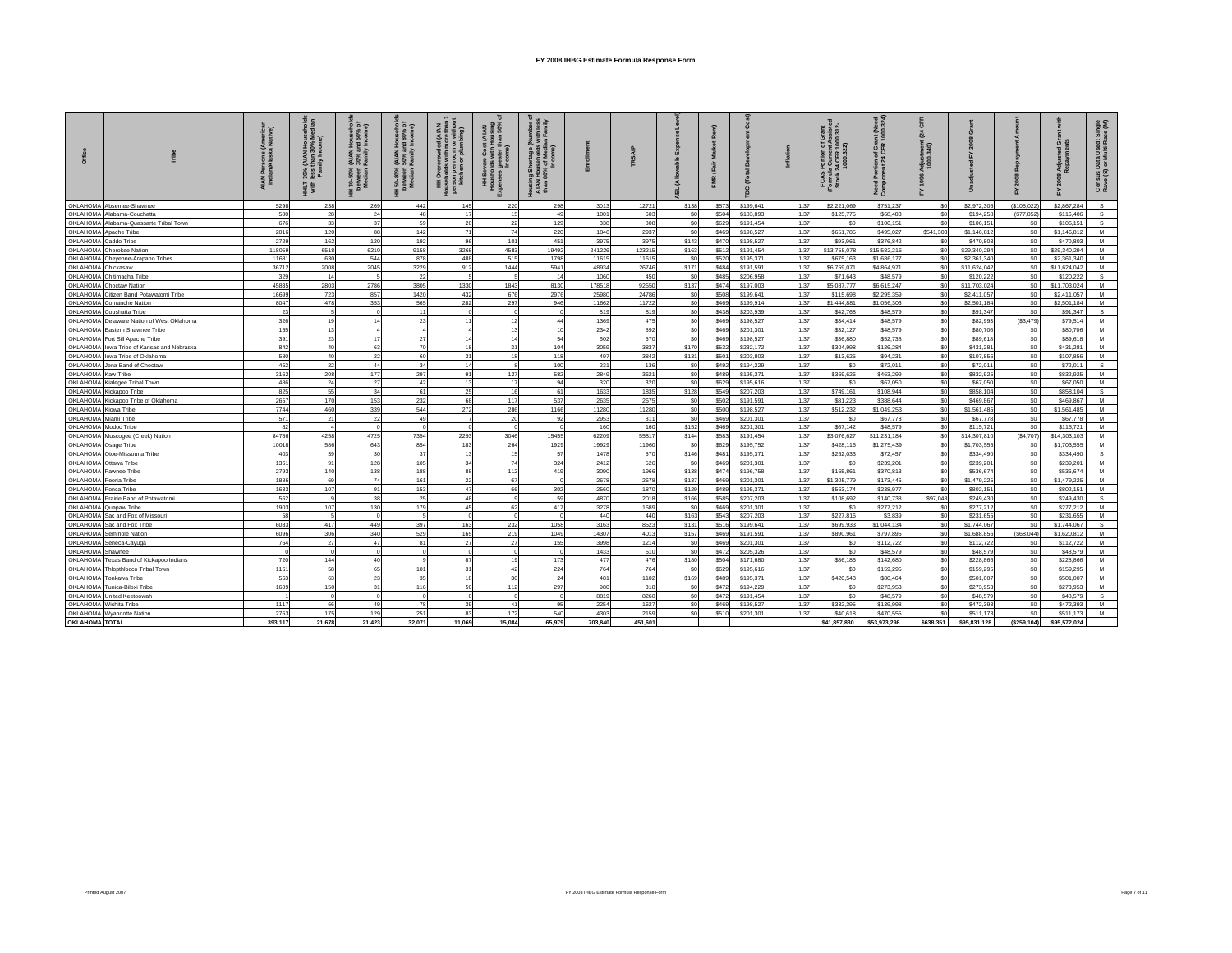|                        |                                                        | Americal<br>Native)<br>Persons<br>Ian/Alask:<br>a<br>Indi | $30%$<br>less<br>HHLT<br>with | (AIAN Hours)<br>30% and 5<br>Family Inc<br>30-50%<br>petween<br>Median | (AIAN Househo)<br>50% and 80% c<br>Family Income)<br>  50-80%<br>petween<br>Median | (A IAN<br>re tha<br>E a<br>num or wi<br>$rac{6}{2}$<br>son<br>kitcl | 8 ई<br>포홀       | ng Shortage (Nuu<br>I Households wit<br>80% of Median F<br>Income)<br>ឨន្ធី<br>ousin<br>AIAN<br>than i |              |              |                         |                | ĉ                      |              | Grant<br>Assister<br>00.312-<br>ortion<br>Currer<br>I CFR<br>FCAS<br>Formula<br>Stock: | nnt (Need<br>1000.324)<br>tion of Gran<br>nt 24 CFR 1 | ទី ទី      |                         |                        |                         | åξ<br>តី ខិ<br>Census Data Used: \$<br>Rave (S) or Multi-Rac |
|------------------------|--------------------------------------------------------|-----------------------------------------------------------|-------------------------------|------------------------------------------------------------------------|------------------------------------------------------------------------------------|---------------------------------------------------------------------|-----------------|--------------------------------------------------------------------------------------------------------|--------------|--------------|-------------------------|----------------|------------------------|--------------|----------------------------------------------------------------------------------------|-------------------------------------------------------|------------|-------------------------|------------------------|-------------------------|--------------------------------------------------------------|
|                        | OKLAHOMA Absentee-Shawnee                              | 5298                                                      | 238                           | 269                                                                    | 442                                                                                | 145                                                                 | 220             | 298                                                                                                    | 3013         | 12721        | <b>S138</b>             | \$573          | \$199,641              | 1.37         | \$2,221.069                                                                            | \$751.237                                             | \$0        | \$2,972,306             | (\$105.022             | \$2,867.284             | $\mathbf{s}$                                                 |
|                        | OKLAHOMA Alabama-Couchatta                             | 500                                                       | 28                            | 24                                                                     | 48                                                                                 | 17                                                                  | 15              | 49                                                                                                     | 1001         | 603          | so.                     | \$504          | \$183,893              | 1.37         | \$125,775                                                                              | \$68,483                                              | sn         | \$194,258               | (\$77.852)             | \$116,406               | $\mathbf{s}$                                                 |
|                        | OKLAHOMA Alabama-Quassarte Tribal Town                 | 676                                                       | 33                            | 37                                                                     | 59                                                                                 | 20                                                                  | 22              | 129                                                                                                    | 338          | 808          | \$0                     | \$629          | \$191,454              | 1.37         | \$0                                                                                    | \$106,151                                             | sol        | \$106,151               | \$0                    | \$106,151               | $\mathsf{s}$                                                 |
|                        | OKLAHOMA Apache Tribe                                  | 2016                                                      | 120                           | 88                                                                     | 142                                                                                | 71                                                                  | 74              | 220                                                                                                    | 1846         | 2937         | S <sub>0</sub>          | \$469          | \$198,527              | 1.37         | \$651,785                                                                              | \$495,027                                             | \$541,303  | \$1,146,812             | SO                     | \$1,146,812             | M                                                            |
| OKLAHOMA Caddo Tribe   |                                                        | 2729                                                      | 162                           | 120                                                                    | 192                                                                                | 96                                                                  | 101             | 451                                                                                                    | 3975         | 3975         | \$143                   | \$470          | \$198,527              | 1.37         | \$93,961                                                                               | \$376,842                                             | \$0        | \$470,803               | SO                     | \$470,803               | M                                                            |
|                        | OKLAHOMA Cherokee Nation                               | 118059                                                    | 6518                          | 6210                                                                   | 9158                                                                               | 3268                                                                | 4583            | 19492                                                                                                  | 241226       | 123215       | \$163                   | \$512          | \$191.454              | 1.37         | \$13,758,078                                                                           | \$15,582,216                                          | so         | \$29,340,294            | \$0                    | \$29,340.294            | M                                                            |
|                        | OKLAHOMA Cheyenne-Arapaho Tribes                       | 11681                                                     | 630                           | 544                                                                    | 878                                                                                | 488                                                                 | 515             | 1798                                                                                                   | 11615        | 11615        | \$0                     | \$520          | \$195,371              | 1.37         | \$675,163                                                                              | \$1,686,177                                           | sol        | \$2,361,340             | \$0                    | \$2,361,340             | M                                                            |
| OKLAHOMA Chickasaw     |                                                        | 36712                                                     | 2008                          | 2045                                                                   | 3229                                                                               | 912                                                                 | 1444            | 5941                                                                                                   | 48934        | 26746        | \$171                   | \$484          | \$191,591              | 1.37         | \$6,759,07                                                                             | \$4,864,971                                           | \$0        | \$11,624,042            | SO <sub>1</sub>        | \$11,624,042            | M                                                            |
|                        | OKLAHOMA Chitimacha Tribe                              | 329                                                       | 14                            |                                                                        | 22                                                                                 |                                                                     |                 | 14                                                                                                     | 1060         | 450          | S <sub>0</sub>          | \$485          | \$206,958              | 1.37         | \$71,643                                                                               | \$48,579                                              | \$0        | \$120,222               | \$0                    | \$120.222               | s                                                            |
|                        | OKLAHOMA Choctaw Nation                                | 45835                                                     | 2803<br>723                   | 2786                                                                   | 3805                                                                               | 1330<br>432                                                         | 1843            | 8130<br>2976                                                                                           | 178518       | 92550        | \$137                   | \$474          | \$197,003              | 1.37         | \$5,087,777                                                                            | \$6,615,247<br>\$2,295,359                            | \$0<br>so  | \$11,703,024            | SO <sub>2</sub><br>\$0 | \$11,703,024            | M                                                            |
|                        | OKLAHOMA Citizen Band Potawatomi Tribe                 | 16699                                                     |                               | 857                                                                    | 1420                                                                               |                                                                     | 676             |                                                                                                        | 25980        | 24786        | S <sub>0</sub>          | \$508          | \$199,641              | 1.37         | \$115,698                                                                              |                                                       |            | \$2,411.057             |                        | \$2.411.057             | M<br>M                                                       |
|                        | OKLAHOMA Comanche Nation<br>OKLAHOMA Coushatta Tribe   | 8047<br>23                                                | 478<br>$\overline{a}$         | 353<br>$\Omega$                                                        | 565<br>11                                                                          | 282<br>$\sqrt{2}$                                                   | 297<br>$\Omega$ | 946                                                                                                    | 11662<br>819 | 11722<br>819 | \$0<br>\$0              | \$469          | \$199,914              | 1.37<br>1.37 | \$1,444.88<br>\$42,768                                                                 | \$1,056,303                                           | \$0<br>sol | \$2,501.184<br>\$91,347 | \$0<br>\$0             | \$2,501.184<br>\$91.347 | s                                                            |
|                        | OKLAHOMA Delaware Nation of West Oklahoma              | 326                                                       | 19                            | 14                                                                     | 23                                                                                 | 11                                                                  | 12              | 44                                                                                                     | 1369         | 475          | \$0                     | \$438<br>\$469 | \$203,939<br>\$198,527 | 1.37         | \$34,414                                                                               | \$48,579<br>\$48,579                                  | \$0        | \$82,993                | ( \$3,479)             | \$79,514                | M                                                            |
|                        | OKLAHOMA Eastern Shawnee Tribe                         | 155                                                       | 13                            |                                                                        |                                                                                    |                                                                     | 13              | 10                                                                                                     | 2342         | 592          | S <sub>0</sub>          | \$469          | \$201.301              | 1.37         | \$32.127                                                                               | \$48,579                                              | sol        | \$80,706                | \$0                    | \$80,706                | M                                                            |
|                        | OKLAHOMA Fort Sill Apache Tribe                        | 391                                                       | 23                            | 17                                                                     | 27                                                                                 | 14                                                                  | 14              | 54                                                                                                     | 602          | 570          | \$0                     | \$469          | \$198,527              | 1.37         | \$36,880                                                                               | \$52,738                                              | sol        | \$89,618                | SO                     | \$89,618                | M                                                            |
|                        | OKLAHOMA lowa Tribe of Kansas and Nebraska             | 842                                                       | 40 <sup>1</sup>               | 63                                                                     | 70                                                                                 | 18                                                                  | 31              | 104                                                                                                    | 3059         | 3837         | \$170                   | \$532          | \$232,172              | 1.37         | \$304.998                                                                              | \$126,284                                             | \$0        | \$431.281               | \$0                    | \$431.281               | M                                                            |
|                        | OKLAHOMA lowa Tribe of Oklahoma                        | 580                                                       | 40                            | 22                                                                     | 60                                                                                 | 31                                                                  | 18              | 118                                                                                                    | 497          | 3842         | \$131                   | \$501          | \$203,803              | 1.37         | \$13,625                                                                               | \$94.231                                              | sol        | \$107,856               | SO                     | \$107.856               | M                                                            |
|                        | OKLAHOMA Jena Band of Choctaw                          | 462                                                       | 22                            | 44                                                                     | 34                                                                                 | 14                                                                  | $\mathbf{R}$    | 100                                                                                                    | 231          | 136          | \$0                     | \$492          | \$194,229              | 1.37         | \$0                                                                                    | \$72,011                                              | \$0        | \$72,011                | \$0                    | \$72,011                | S.                                                           |
| OKLAHOMA Kaw Tribe     |                                                        | 3162                                                      | 208                           | 177                                                                    | 297                                                                                | 91                                                                  | 127             | 582                                                                                                    | 2849         | 3621         | S <sub>0</sub>          | \$489          | \$195,371              | 1.37         | \$369,626                                                                              | \$463.299                                             | sol        | \$832.925               | so I                   | \$832.925               | M                                                            |
|                        | OKLAHOMA Kialegee Tribal Town                          | 486                                                       | 24                            | 27                                                                     | 42                                                                                 | 13                                                                  | 17              | 94                                                                                                     | 320          | 320          | \$0                     | \$629          | \$195,616              | 1.37         | \$0                                                                                    | \$67,050                                              | \$0        | \$67,050                | \$0                    | \$67,050                | M                                                            |
|                        | OKLAHOMA Kickapoo Tribe                                | 825                                                       | 55                            | 34                                                                     | 61                                                                                 | 25                                                                  | 16              | 61                                                                                                     | 1633         | 1835         | \$128                   | \$549          | \$207,203              | 1.37         | \$749.161                                                                              | \$108,944                                             | \$0        | \$858,104               | \$0                    | \$858,104               | S.                                                           |
|                        | OKLAHOMA Kickapoo Tribe of Oklahoma                    | 2657                                                      | 170                           | 153                                                                    | 232                                                                                | 68                                                                  | 117             | 537                                                                                                    | 2635         | 2675         | \$0                     | \$502          | \$191,591              | 1.37         | \$81,223                                                                               | \$388,644                                             | \$0        | \$469,867               | \$0                    | \$469,867               | M                                                            |
| OKLAHOMA Kiowa Tribe   |                                                        | 7744                                                      | 460                           | 339                                                                    | 544                                                                                | 272                                                                 | 286             | 1166                                                                                                   | 11280        | 11280        | \$0                     | \$500          | \$198,527              | 1.37         | \$512,232                                                                              | \$1,049,253                                           | \$0        | \$1,561,485             | \$0                    | \$1,561,485             | M                                                            |
| OKLAHOMA Miami Tribe   |                                                        | 571                                                       | 21                            | 22                                                                     | 49                                                                                 |                                                                     | 20              | 92                                                                                                     | 2953         | 811          | \$0                     | \$469          | \$201,301              | 1.37         | \$0                                                                                    | \$67,778                                              | \$0        | \$67,778                | \$0                    | \$67,778                | M                                                            |
| OKLAHOMA Modoc Tribe   |                                                        | 82                                                        |                               | $\Omega$                                                               | $\Omega$                                                                           |                                                                     | $\Omega$        |                                                                                                        | 160          | 160          | \$152                   | \$469          | \$201.301              | 1.37         | \$67,142                                                                               | \$48,579                                              | sol        | \$115,721               | \$0                    | \$115,721               | M                                                            |
|                        | OKLAHOMA Muscogee (Creek) Nation                       | 84786                                                     | 4258                          | 4725                                                                   | 7354                                                                               | 2293                                                                | 3046            | 15455                                                                                                  | 62209        | 55817        | S144                    | \$583          | \$191.454              | 1.37         | \$3,076,627                                                                            | \$11,231,184                                          | \$0        | \$14,307,810            | (S4.707)               | \$14,303.103            | M                                                            |
| OKLAHOMA Osage Tribe   |                                                        | 10018                                                     | 586                           | 643                                                                    | 854                                                                                | 183                                                                 | 264             | 1929                                                                                                   | 19929        | 11960        | S <sub>0</sub>          | \$629          | \$195,752              | 1.37         | \$428.116                                                                              | \$1,275,439                                           | \$0        | \$1,703,555             | \$0                    | \$1,703,555             | M                                                            |
|                        | OKLAHOMA Otoe-Missouria Tribe                          | 403                                                       | 39                            | 30                                                                     | 37                                                                                 | 13                                                                  | 15              | 57                                                                                                     | 1478         | 570          | \$146                   | \$481          | \$195,371              | 1.37         | \$262,033                                                                              | \$72,457                                              | sol        | \$334,490               | SO                     | \$334,490               | S.                                                           |
| OKLAHOMA Ottawa Tribe  |                                                        | 1361                                                      | 91                            | 128                                                                    | 105                                                                                | 34                                                                  | 74              | 324                                                                                                    | 2412         | 526          | S <sub>0</sub>          | \$469          | \$201,301              | 1.37         | \$0                                                                                    | \$239,201                                             | sol        | \$239,201               | \$0                    | \$239,201               | M                                                            |
|                        | OKLAHOMA Pawnee Tribe                                  | 2793                                                      | 140                           | 138                                                                    | 188                                                                                | 88                                                                  | 112             | 419                                                                                                    | 3090         | 1966         | \$138                   | \$474          | \$196,758              | 1.37         | \$165,861                                                                              | \$370,813                                             | sol        | \$536,674               | SO                     | \$536,674               | M                                                            |
| OKLAHOMA Peoria Tribe  |                                                        | 1886                                                      | 69                            | 74                                                                     | 161                                                                                | 22                                                                  | 67              |                                                                                                        | 2678         | 2678         | \$137                   | \$469          | \$201,301              | 1.37         | \$1,305,779                                                                            | \$173,446                                             | \$0        | \$1,479,225             | \$0                    | \$1,479,225             | M                                                            |
| OKI AHOMA Ponca Tribe  |                                                        | 1633                                                      | 107                           | 91                                                                     | 153                                                                                | 47                                                                  | 66              | 302                                                                                                    | 2560         | 1870         | \$129                   | \$489          | \$195,371              | 1.37         | \$563.174                                                                              | \$238,977                                             | \$0        | \$802.151               | \$0                    | \$802.151               | M                                                            |
|                        | OKLAHOMA Prairie Band of Potawatomi                    | 562                                                       | $\alpha$                      | 38                                                                     | 25                                                                                 | 48                                                                  | $\alpha$        | 59                                                                                                     | 4870         | 2018         | \$166                   | \$585          | \$207,203              | 1.37         | \$108,692                                                                              | \$140,738                                             | \$97,048   | \$249,430               | \$0                    | \$249,430               | $\mathbf{S}$                                                 |
|                        | OKLAHOMA Quapaw Tribe                                  | 1903                                                      | 107                           | 130                                                                    | 179                                                                                | 45                                                                  | 62              | 417                                                                                                    | 3278         | 1689         | S <sub>0</sub>          | \$469          | \$201,301              | 1.37         | \$0                                                                                    | \$277.212                                             | \$0        | \$277.212               | \$0                    | \$277.212               | M                                                            |
|                        | OKLAHOMA Sac and Fox of Missouri                       | 58                                                        | $\tilde{R}$                   | $\Omega$                                                               |                                                                                    | $\sqrt{2}$                                                          | $\Omega$        | $\sqrt{2}$                                                                                             | 440          | 440          | \$163                   | \$543          | \$207,203              | 1.37         | \$227,816                                                                              | \$3,839                                               | \$0        | \$231,655               | \$0                    | \$231,655               | M                                                            |
|                        | OKLAHOMA Sac and Fox Tribe                             | 6033                                                      | 417                           | 449                                                                    | 397                                                                                | 163                                                                 | 232             | 1058                                                                                                   | 3163         | 8523         | S <sub>131</sub>        | \$516          | \$199,641              | 1.37         | \$699.933                                                                              | \$1,044,134                                           | \$0        | \$1,744.067             | \$0                    | \$1,744.067             | S.                                                           |
|                        | OKLAHOMA Seminole Nation                               | 6096                                                      | 306                           | 340                                                                    | 529                                                                                | 165                                                                 | 219             | 1049                                                                                                   | 14307        | 4013         | \$157                   | \$469          | \$191.591              | 1.37         | \$890.961                                                                              | \$797.895                                             | sol        | \$1,688,856             | (S68.044)              | \$1,620.812             | M                                                            |
|                        | OKLAHOMA Seneca-Cayuga                                 | 764                                                       | 27                            | 47                                                                     | 81                                                                                 | 27                                                                  | 27              | 155                                                                                                    | 3998         | 1214         | \$0                     | \$469          | \$201,301              | 1.37         | \$0                                                                                    | \$112,722                                             | \$0        | \$112,722               | \$0                    | \$112,722               | M                                                            |
| OKLAHOMA Shawnee       |                                                        |                                                           |                               | $\Omega$                                                               | $\alpha$                                                                           | $\sqrt{2}$                                                          | $\Omega$        | $\sqrt{2}$                                                                                             | 1433         | 510          | S <sub>0</sub>          | \$472          | \$205,326              | 1.37         | \$0                                                                                    | \$48,579                                              | sol        | \$48,579                | \$0                    | \$48,579                | M                                                            |
|                        | OKLAHOMA Texas Band of Kickapoo Indians                | 720                                                       | 144                           | 40                                                                     |                                                                                    | 87                                                                  | 19              | 173                                                                                                    | 477          | 476          | \$180                   | \$504          | \$171,680              | 1.37         | \$86,185                                                                               | \$142,680                                             | \$0        | \$228,866               | \$0                    | \$228,866               | M                                                            |
|                        | OKLAHOMA Thloothlocco Tribal Town                      | 1161                                                      | 58<br>63                      | 65                                                                     | 101<br>35                                                                          | 31                                                                  | 42              | 224<br>24                                                                                              | 764          | 764          | S <sub>0</sub>          | \$629          | \$195,616              | 1.37         | \$0<br>\$420,543                                                                       | \$159,295<br>\$80,464                                 | \$0        | \$159,295               | \$0                    | \$159,295<br>\$501.007  | M<br>M                                                       |
|                        | OKLAHOMA Tonkawa Tribe<br>OKLAHOMA Tunica-Biloxi Tribe | 563<br>1609                                               | 150                           | 23<br>31                                                               | 116                                                                                | 18<br>50                                                            | 30<br>112       | 297                                                                                                    | 481<br>980   | 1102<br>318  | \$169<br>S <sub>0</sub> | \$489<br>\$472 | \$195,371<br>\$194,229 | 1.37<br>1.37 | \$0                                                                                    | \$273.953                                             | \$0<br>\$0 | \$501.007<br>\$273.953  | \$0<br>\$0             | \$273.953               | M                                                            |
|                        | OKLAHOMA United Keetoowah                              |                                                           |                               |                                                                        |                                                                                    |                                                                     |                 |                                                                                                        | 8819         | 8260         | S <sub>0</sub>          | \$472          | \$191.454              | 1.37         | \$0                                                                                    | \$48,579                                              | \$0        | \$48,579                | SO                     | \$48,579                | $\mathbf{s}$                                                 |
| OKLAHOMA Wichita Tribe |                                                        | 1117                                                      | 66                            | 49                                                                     | 78                                                                                 | 39                                                                  | 41              | 95                                                                                                     | 2254         | 1627         | \$0                     | \$46           | \$198,527              | 1.37         | \$332.395                                                                              | \$139,998                                             | sol        | \$472,393               | \$0                    | \$472.393               | M                                                            |
|                        | OKLAHOMA Wyandotte Nation                              | 2763                                                      | 175                           | 129                                                                    | 251                                                                                | 83                                                                  | 172             | 540                                                                                                    | 4303         | 2159         | S <sub>0</sub>          | \$510          | \$201.301              | 1.37         | \$40,618                                                                               | \$470.555                                             | \$0        | \$511.173               | \$0                    | \$511.173               | M                                                            |
| <b>OKLAHOMA TOTAL</b>  |                                                        | 393.117                                                   | 21.678                        | 21.423                                                                 | 32.071                                                                             | 11.069                                                              | 15.084          | 65.979                                                                                                 | 703.840      | 451.601      |                         |                |                        |              | \$41,857,830                                                                           | \$53,973,298                                          | \$638,351  | \$95.831.128            | (S259.104)             | \$95.572.024            |                                                              |
|                        |                                                        |                                                           |                               |                                                                        |                                                                                    |                                                                     |                 |                                                                                                        |              |              |                         |                |                        |              |                                                                                        |                                                       |            |                         |                        |                         |                                                              |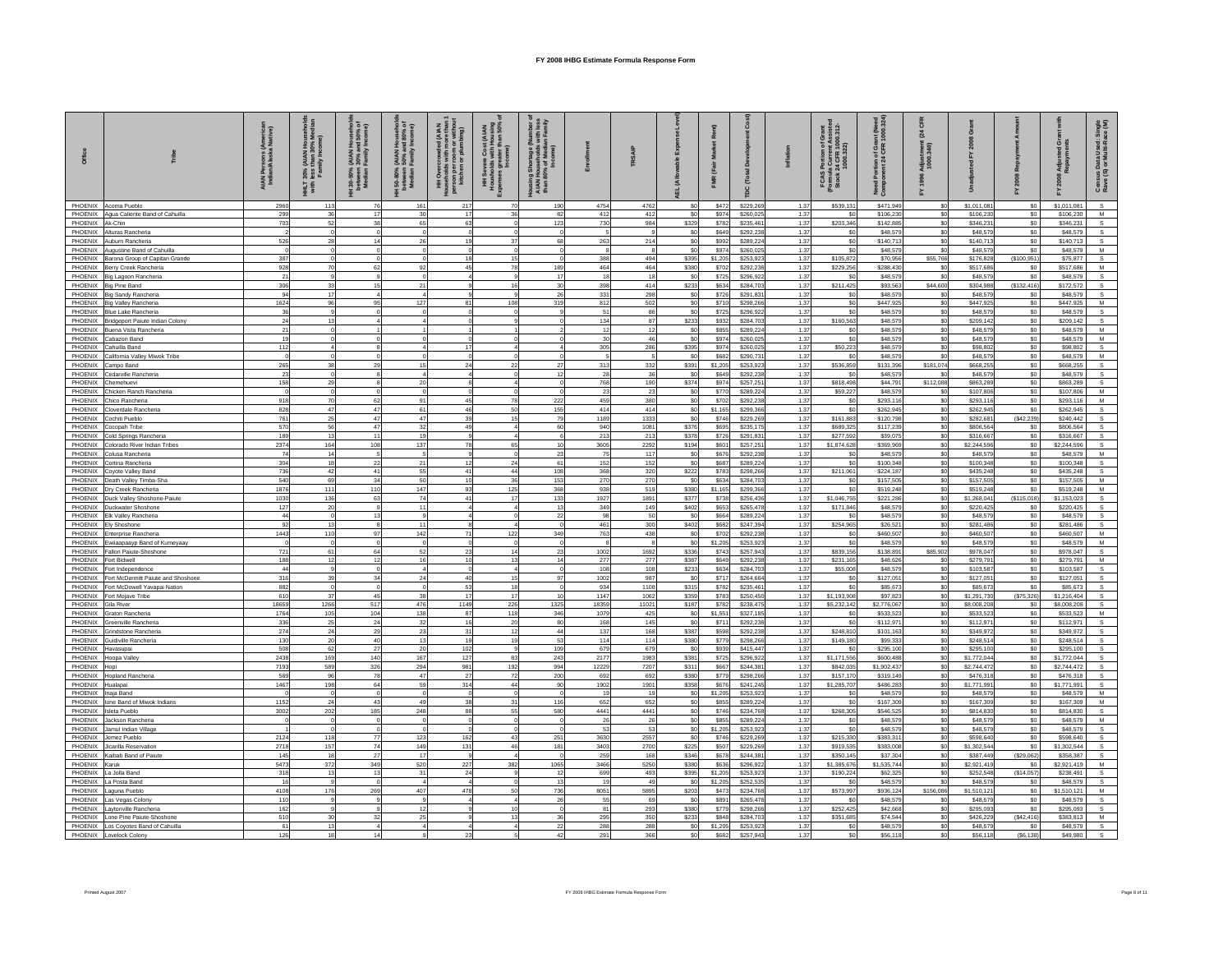| Office                     |                                                                           | AIAN Persons (America<br>Indian/Alaska Native) | 30% (AIAN<br>less than 31<br>Family Inc<br>다<br>기타 | Househ<br>md 50%<br>/ Income<br>(AIAN I<br>30% ar<br>Family<br>l 30-50%<br>between<br>Median I | نا (AIAN Househ)<br>- 90% and 80%<br>- Family Income<br>l 50-80%<br>between<br>Median I | 통륜<br><b>HH</b> Overci<br>rson per<br>kitchen<br>홒 | t (AIAN<br>Housing<br>han 50%<br>$\begin{array}{c}\n\bullet \text{Cost} \\ \bullet \text{ of } \\ \text{d} \\ \text{d} \\ \text{d} \\ \text{f} \\ \text{f} \\ \text{f} \\ \text{f} \\ \text{f} \\ \text{f} \\ \text{f} \\ \text{f} \\ \text{f} \\ \text{f} \\ \text{f} \\ \text{f} \\ \text{f} \\ \text{f} \\ \text{f} \\ \text{f} \\ \text{f} \\ \text{f} \\ \text{f} \\ \text{f} \\ \text{f} \\ \text{f} \\ \text{f} \\ \text{f} \\ \text{f} \\ \text{f} \\ \text{f} \\ \text{f} \\ \text{f} \\ \text{f$<br>HH Severe<br>Housholds w<br>penses great | hortage (<br>useholds<br>of Media<br>Income)<br>Housing She<br>AIAN Hous<br>than 80% c |                   | TRSAIP       |                                  |                    | å<br>[Total            | $\overline{5}$ | S Portion of Grant<br>Ila Current Assistec<br>c 24 CFR 1000.312-<br>1000.322)<br>FCAS P<br>(Formula 1)<br>Stock 24 | Portion of Grant (Need<br>ment 24 CFR 1000.324<br>Need<br>Comp | គ្គ<br>នី<br>Adjust<br>1000. |                          |                        | 줎                        | sus Data Used: Sin<br>9 (S) or Multi-Race (<br>Censu<br>Rave ( |
|----------------------------|---------------------------------------------------------------------------|------------------------------------------------|----------------------------------------------------|------------------------------------------------------------------------------------------------|-----------------------------------------------------------------------------------------|----------------------------------------------------|--------------------------------------------------------------------------------------------------------------------------------------------------------------------------------------------------------------------------------------------------------------------------------------------------------------------------------------------------------------------------------------------------------------------------------------------------------------------------------------------------------------------------------------------------------|----------------------------------------------------------------------------------------|-------------------|--------------|----------------------------------|--------------------|------------------------|----------------|--------------------------------------------------------------------------------------------------------------------|----------------------------------------------------------------|------------------------------|--------------------------|------------------------|--------------------------|----------------------------------------------------------------|
| PHOENIX                    | Acoma Pueblo                                                              | 2960                                           | 113                                                |                                                                                                | 16'                                                                                     | 217                                                | 70                                                                                                                                                                                                                                                                                                                                                                                                                                                                                                                                                     | 190                                                                                    | 4754              | 4762         | S <sub>0</sub>                   | \$472              | \$229,269              | 1.37           | \$539.131                                                                                                          | \$471,949                                                      | \$0                          | \$1,011.08               | S <sub>0</sub>         | \$1,011,081              | s                                                              |
|                            | PHOENIX Agua Caliente Band of Cahuilla                                    | 299                                            |                                                    | 17                                                                                             |                                                                                         | 17                                                 |                                                                                                                                                                                                                                                                                                                                                                                                                                                                                                                                                        | 82                                                                                     | 412               | 412          | \$0                              | \$974              | \$260,025              | 1.37           |                                                                                                                    | \$106,230                                                      | \$0                          | \$106,230                | \$0                    | \$106,230                | ${\mathsf M}$                                                  |
| PHOENIX Ak-Chin<br>PHOENIX | Alturas Rancheria                                                         | 703                                            | 50                                                 | 38                                                                                             | 65                                                                                      | $\mathbb{R}^n$                                     |                                                                                                                                                                                                                                                                                                                                                                                                                                                                                                                                                        | 123                                                                                    | 730               | 984          | \$329                            | \$782<br>\$649     | \$235,461              | 1.37<br>1.37   | \$203,346<br>\$0                                                                                                   | \$142,885<br>\$48,579                                          | \$0<br>\$0                   | \$346.23<br>\$48,579     | \$0<br>\$0             | \$346,231<br>\$48,579    | $\mathbf{s}$                                                   |
|                            | PHOENIX Auburn Rancheria                                                  | 526                                            | 28                                                 | 14                                                                                             |                                                                                         |                                                    | 37                                                                                                                                                                                                                                                                                                                                                                                                                                                                                                                                                     | 68                                                                                     | 263               | 214          | S <sub>0</sub><br>S <sub>0</sub> | \$992              | \$292,238<br>\$289,224 | 1.37           | \$0                                                                                                                | \$140,713                                                      | \$0                          | \$140,713                | \$0                    | \$140,713                | s                                                              |
|                            | PHOENIX Augustine Band of Cahuilla                                        | $\Omega$                                       |                                                    |                                                                                                |                                                                                         |                                                    | $\Omega$                                                                                                                                                                                                                                                                                                                                                                                                                                                                                                                                               |                                                                                        | 8                 |              | S <sub>0</sub>                   | \$974              | \$260,025              | 1.37           | \$0                                                                                                                | \$48,579                                                       | \$0                          | \$48,579                 | \$0                    | \$48,579                 | M                                                              |
| PHOENIX                    | Barona Group of Capitan Grande                                            | 387                                            |                                                    |                                                                                                |                                                                                         |                                                    | 15                                                                                                                                                                                                                                                                                                                                                                                                                                                                                                                                                     |                                                                                        | 388               | 494          | \$395                            | \$1.205            | \$253.923              | 1.37           | \$105.872                                                                                                          | \$70,956                                                       | \$55,766                     | \$176,828                | (S100, 951)            | \$75,877                 | $\mathbf{s}$                                                   |
| PHOENIX                    | Berry Creek Rancheria                                                     | 928<br>21                                      |                                                    | 62                                                                                             |                                                                                         | 45                                                 | 78<br>$\mathbf{a}$                                                                                                                                                                                                                                                                                                                                                                                                                                                                                                                                     | 189<br>17                                                                              | 464<br>18         | 464<br>18    | \$380<br>\$0                     | \$702              | \$292.23               | 1.37<br>1.37   | \$229.256<br>\$0                                                                                                   | \$288.43<br>\$48,579                                           | \$0                          | \$517,686<br>\$48,579    | \$0                    | \$517,686                | M<br>s                                                         |
| PHOENIX                    | PHOENIX Big Lagoon Rancheria<br><b>Big Pine Band</b>                      | 306                                            | 33                                                 | 15                                                                                             | 21                                                                                      |                                                    | 16                                                                                                                                                                                                                                                                                                                                                                                                                                                                                                                                                     | 30                                                                                     | 398               | 414          | \$233                            | \$725<br>\$634     | \$296,922<br>\$284,703 | 1.37           | \$211,425                                                                                                          | \$93,563                                                       | \$0<br>\$44,600              | \$304,988                | \$0<br>( \$132, 416)   | \$48,579<br>\$172.572    | S.                                                             |
|                            | PHOENIX Big Sandy Rancheria                                               | 94                                             | 17                                                 |                                                                                                |                                                                                         |                                                    | 9                                                                                                                                                                                                                                                                                                                                                                                                                                                                                                                                                      | 26                                                                                     | 331               | 298          | \$0                              | \$726              | \$291,831              | 1.37           | \$0                                                                                                                | \$48,579                                                       | \$0                          | \$48,579                 | \$0                    | \$48,579                 | s                                                              |
|                            | PHOENIX Big Valley Rancheria                                              | 1624                                           | 96                                                 | 95                                                                                             | 127                                                                                     | 81                                                 | 108                                                                                                                                                                                                                                                                                                                                                                                                                                                                                                                                                    | 319                                                                                    | 812               | 502          | S <sub>0</sub>                   | \$710              | \$298,266              | 1.37           | \$0                                                                                                                | \$447,925                                                      | \$0                          | \$447.92                 | \$0                    | \$447.925                | M                                                              |
| PHOENIX<br>PHOENIX         | Blue Lake Rancheria<br>Bridgeport Paiute Indian Colony                    | 36<br>24                                       |                                                    |                                                                                                |                                                                                         |                                                    |                                                                                                                                                                                                                                                                                                                                                                                                                                                                                                                                                        |                                                                                        | 51<br>134         | 86<br>87     | \$0<br>\$233                     | \$725<br>\$932     | \$296,922<br>\$284,703 | 1.37<br>1.37   | \$0<br>\$160,563                                                                                                   | \$48,579<br>\$48,579                                           | \$0<br>\$0                   | \$48,579<br>\$209.14     | \$0<br>\$0             | \$48,579<br>\$209,142    | s<br>s                                                         |
| PHOENIX                    | Buena Vista Rancheria                                                     | 21                                             |                                                    |                                                                                                |                                                                                         |                                                    |                                                                                                                                                                                                                                                                                                                                                                                                                                                                                                                                                        |                                                                                        | 12                | -12          | \$0                              | \$855              | \$289,224              | 1.37           | -SO                                                                                                                | \$48,579                                                       | \$0                          | \$48.57                  | \$0                    | \$48,579                 | M                                                              |
| PHOENIX                    | Cabazon Band                                                              | 19                                             |                                                    |                                                                                                |                                                                                         |                                                    |                                                                                                                                                                                                                                                                                                                                                                                                                                                                                                                                                        |                                                                                        | 30 <sub>o</sub>   |              | S <sub>0</sub>                   | \$974              | \$260,025              | 1.37           | \$0                                                                                                                | \$48,579                                                       | \$0                          | \$48,57                  | \$0                    | \$48,579                 | M                                                              |
|                            | PHOENIX Cahuilla Band                                                     | 112                                            |                                                    |                                                                                                |                                                                                         |                                                    |                                                                                                                                                                                                                                                                                                                                                                                                                                                                                                                                                        |                                                                                        | 305               | 286          | \$395                            | \$974              | \$260,025              | 1.37           | \$50,223                                                                                                           | \$48,579                                                       | \$0                          | \$98,802                 | \$0                    | \$98,802                 |                                                                |
| PHOENIX                    | PHOENIX California Valley Miwok Tribe                                     | $\Omega$<br>265                                |                                                    | 29                                                                                             |                                                                                         | 24                                                 | 22                                                                                                                                                                                                                                                                                                                                                                                                                                                                                                                                                     |                                                                                        | $\sqrt{2}$<br>313 | 332          | S <sub>0</sub><br>\$391          | \$682<br>\$1,205   | \$290.731<br>\$253,923 | 1.37<br>1.37   | \$0<br>\$536,859                                                                                                   | \$48,579<br>\$131,396                                          | \$0<br>\$181,074             | \$48,579<br>\$668.25     | \$0<br>SO <sub>2</sub> | \$48,579<br>\$668,255    | M<br>s                                                         |
| PHOENIX                    | Campo Band<br>Cedarville Rancheria                                        | 23                                             |                                                    |                                                                                                |                                                                                         |                                                    |                                                                                                                                                                                                                                                                                                                                                                                                                                                                                                                                                        |                                                                                        | 28                | 36           | S <sub>0</sub>                   | \$649              | \$292.23               | 1.37           |                                                                                                                    | \$48,579                                                       | \$0                          | \$48,579                 | \$0                    | \$48,579                 |                                                                |
| PHOENIX                    | Chemehuevi                                                                | 158                                            | 29                                                 |                                                                                                | 20                                                                                      |                                                    |                                                                                                                                                                                                                                                                                                                                                                                                                                                                                                                                                        |                                                                                        | 768               | 190          | \$374                            | \$974              | \$257.251              | 1.37           | \$818,498                                                                                                          | \$44,791                                                       | \$112,088                    | \$863.28                 | \$0                    | \$863,289                | s                                                              |
| PHOENIX                    | Chicken Ranch Rancheria                                                   |                                                |                                                    |                                                                                                |                                                                                         |                                                    |                                                                                                                                                                                                                                                                                                                                                                                                                                                                                                                                                        |                                                                                        | 23                | 23           | \$0                              | \$77               | \$289,224              | 1.37           | \$59,227                                                                                                           | \$48,579                                                       | \$0                          | \$107,806                | \$0                    | \$107,806                | M                                                              |
|                            | PHOENIX Chico Rancheria<br>PHOENIX Cloverdale Rancheria                   | 918<br>828                                     | 70<br>47                                           | 62<br>47                                                                                       | 91<br>61                                                                                | 45<br>46                                           | 78<br>50                                                                                                                                                                                                                                                                                                                                                                                                                                                                                                                                               | 222<br>155                                                                             | 459<br>414        | 380<br>414   | S <sub>0</sub>                   | \$702<br>\$1,165   | \$292,238              | 1.37<br>1.37   | \$0<br>\$0                                                                                                         | \$293,116                                                      | \$0                          | \$293,116                | \$0<br>\$0             | \$293,116                | M                                                              |
| PHOENIX                    | Cochiti Pueblo                                                            | 761                                            | 25                                                 | 47                                                                                             | 47                                                                                      | 39                                                 | 15                                                                                                                                                                                                                                                                                                                                                                                                                                                                                                                                                     | 79                                                                                     | 1189              | 1333         | \$0<br>S <sub>0</sub>            | \$746              | \$299,366<br>\$229,269 | 1.37           | \$161,883                                                                                                          | \$262,945<br>\$120,798                                         | \$0<br>\$0                   | \$262,945<br>\$282.68    | (S42.239)              | \$262,945<br>\$240,442   |                                                                |
| PHOENIX                    | Cocopah Tribe                                                             | 570                                            | 56                                                 | 47                                                                                             | 32                                                                                      | 49                                                 |                                                                                                                                                                                                                                                                                                                                                                                                                                                                                                                                                        | 60                                                                                     | 940               | 1081         | \$376                            | \$695              | \$235,175              | 1.37           | \$689,325                                                                                                          | \$117,239                                                      | \$0                          | \$806,564                | \$0                    | \$806,564                |                                                                |
| PHOENIX                    | Cold Springs Rancheria                                                    | 189                                            | 13                                                 | 11                                                                                             | 19                                                                                      |                                                    | $\mathbf{A}$                                                                                                                                                                                                                                                                                                                                                                                                                                                                                                                                           |                                                                                        | 213               | 213          | \$378                            | \$726              | \$291,831              | 1.37           | \$277,592                                                                                                          | \$39,075                                                       | \$0                          | \$316.66                 | \$0                    | \$316,667                |                                                                |
| PHOENIX                    | Colorado River Indian Tribes<br>PHOENIX Colusa Rancheria                  | 2374<br>74                                     | 164<br>14                                          | 108                                                                                            | 137                                                                                     | 78                                                 | 65<br>$\Omega$                                                                                                                                                                                                                                                                                                                                                                                                                                                                                                                                         | 23                                                                                     | 3605<br>75        | 2292<br>117  | \$194<br>S <sub>0</sub>          | \$601<br>\$676     | \$257,251<br>\$292.238 | 1.37<br>1.37   | \$1,874,628<br>\$0                                                                                                 | \$369,969<br>\$48,579                                          | \$0<br>\$0                   | \$2,244,596<br>\$48,579  | \$0<br>\$0             | \$2,244.596<br>\$48,579  | M                                                              |
| PHOENIX                    | Cortina Rancheria                                                         | 304                                            | 18                                                 | 22                                                                                             | 21                                                                                      | 12                                                 | 24                                                                                                                                                                                                                                                                                                                                                                                                                                                                                                                                                     | 61                                                                                     | 152               | 152          | S <sub>0</sub>                   | \$687              | \$289,224              | 1.37           | SO.                                                                                                                | \$100,348                                                      | \$0                          | \$100,34                 | \$0                    | \$100,348                | s                                                              |
| PHOENIX                    | Covote Valley Band                                                        | 736                                            | 42                                                 | 41                                                                                             | 55                                                                                      | 41                                                 | 44                                                                                                                                                                                                                                                                                                                                                                                                                                                                                                                                                     | 108                                                                                    | 368               | 320          | \$222                            | \$783              | \$298,266              | 1.37           | \$211,061                                                                                                          | \$224,187                                                      | \$0                          | \$435,248                | \$0                    | \$435,248                | S.                                                             |
| PHOENIX                    | Death Valley Timba-Sha                                                    | 540                                            | 69                                                 | 34                                                                                             |                                                                                         | 10                                                 | 36                                                                                                                                                                                                                                                                                                                                                                                                                                                                                                                                                     | 153                                                                                    | 270               | 270          | \$0                              | \$634              | \$284,703              | 1.37           |                                                                                                                    | \$157,505                                                      | \$0                          | \$157,505                | \$0                    | \$157,505                | M                                                              |
| PHOENIX<br>PHOENIX         | Dry Creek Rancheria<br>Duck Valley Shoshone-Paiute                        | 1876<br>1030                                   | 111<br>136                                         | 110<br>63                                                                                      | 147<br>74                                                                               | 93<br>41                                           | 125<br>17                                                                                                                                                                                                                                                                                                                                                                                                                                                                                                                                              | 368<br>133                                                                             | 938<br>1927       | 519<br>1891  | \$380<br>\$377                   | \$1,165<br>\$738   | \$299,366<br>\$256,436 | 1.37<br>1.37   | \$0<br>\$1,046,755                                                                                                 | \$519,248<br>\$221,286                                         | \$0<br>\$0                   | \$519,248<br>\$1,268.04  | \$0<br>(S115,018)      | \$519,248<br>\$1,153,023 | M                                                              |
|                            | PHOENIX Duckwater Shoshone                                                | 127                                            | 20                                                 |                                                                                                | 11                                                                                      |                                                    | $\overline{4}$                                                                                                                                                                                                                                                                                                                                                                                                                                                                                                                                         | 13                                                                                     | 349               | 149          | \$402                            | \$653              | \$265,478              | 1.37           | \$171,846                                                                                                          | \$48,579                                                       | \$0                          | \$220,425                | \$0                    | \$220,425                |                                                                |
|                            | PHOENIX Elk Valley Rancheria                                              | 44                                             |                                                    | 13                                                                                             |                                                                                         |                                                    |                                                                                                                                                                                                                                                                                                                                                                                                                                                                                                                                                        | 22                                                                                     | 98                | 50           | S <sub>0</sub>                   | \$664              | \$289,224              | 1.37           | -SO                                                                                                                | \$48,579                                                       | \$0                          | \$48,579                 | S <sub>0</sub>         | \$48,579                 | S.                                                             |
| PHOENIX<br>PHOENIX         | Elv Shoshone                                                              | 92<br>1443                                     | 13<br>110                                          | 97                                                                                             | 11<br>142                                                                               | 71                                                 | 122                                                                                                                                                                                                                                                                                                                                                                                                                                                                                                                                                    | 349                                                                                    | 461<br>763        | 300<br>438   | \$402<br>S <sub>0</sub>          | \$682              | \$247,394<br>\$292.23  | 1.37<br>1.37   | \$254,965                                                                                                          | \$26.52<br>\$460,507                                           | \$0<br>\$0                   | \$281.48<br>\$460,50     | \$0<br>\$0             | \$281,486<br>\$460,507   | $\mathbf{s}$<br>M                                              |
| PHOENIX                    | Enterprise Rancheria<br>Ewiiaapaayp Band of Kumeyaay                      |                                                |                                                    |                                                                                                |                                                                                         |                                                    | $\Omega$                                                                                                                                                                                                                                                                                                                                                                                                                                                                                                                                               |                                                                                        | $\mathbf{R}$      |              | \$0                              | \$702<br>\$1,205   | \$253,923              | 1.37           | \$0                                                                                                                | \$48,579                                                       | \$0                          | \$48,579                 | \$0                    | \$48,579                 | M                                                              |
|                            | PHOENIX Fallon Paiute-Shoshone                                            | 721                                            | 61                                                 | 64                                                                                             | 52                                                                                      | 22                                                 | 14                                                                                                                                                                                                                                                                                                                                                                                                                                                                                                                                                     |                                                                                        | 1002              | 1692         | \$336                            | \$743              | \$257.943              | 1.37           | \$839,156                                                                                                          | \$138,891                                                      | \$85.902                     | \$978.04                 | SO <sub>2</sub>        | \$978,047                |                                                                |
| PHOENIX Fort Bidwell       |                                                                           | 188                                            | 12                                                 | 12                                                                                             | 16                                                                                      | 10                                                 | 13                                                                                                                                                                                                                                                                                                                                                                                                                                                                                                                                                     | 14                                                                                     | 277               | 277          | \$387                            | \$649              | \$292,238              | 1.37           | \$231,165                                                                                                          | \$48,626                                                       | \$0                          | \$279,791                | \$0                    | \$279,791                | M                                                              |
| PHOENIX<br>PHOENIX         | Fort Independence<br>Fort McDermitt Paiute and Shoshone                   | 44<br>316                                      | 39                                                 | 34                                                                                             | 24                                                                                      | 40                                                 | $\overline{a}$<br>15                                                                                                                                                                                                                                                                                                                                                                                                                                                                                                                                   | 97                                                                                     | 108<br>1002       | 108<br>987   | \$233<br>\$0                     | \$634<br>\$717     | \$284,703<br>\$264,664 | 1.37<br>1.37   | \$55,008<br>\$0                                                                                                    | \$48,579<br>\$127.051                                          | \$0<br>\$0                   | \$103,587<br>\$127,051   | \$0<br>\$0             | \$103,587<br>\$127,051   |                                                                |
| PHOENIX                    | Fort McDowell Yavapai Nation                                              | 882                                            |                                                    |                                                                                                |                                                                                         | 53                                                 | 18                                                                                                                                                                                                                                                                                                                                                                                                                                                                                                                                                     |                                                                                        | 934               | 1108         | \$315                            | \$782              | \$235,461              | 1.37           | \$0                                                                                                                | \$85,673                                                       | \$0                          | \$85,673                 | \$0                    | \$85,673                 |                                                                |
| PHOENIX                    | Fort Mojave Tribe                                                         | 610                                            | 37                                                 | 45                                                                                             |                                                                                         | 17                                                 | 17                                                                                                                                                                                                                                                                                                                                                                                                                                                                                                                                                     |                                                                                        | 1147              | 1062         | \$359                            | \$783              | \$250,450              | 1.37           | \$1,193,908                                                                                                        | \$97,823                                                       | \$0                          | \$1,291,730              | (\$75,326)             | \$1,216,404              |                                                                |
| PHOENIX                    | Gila River                                                                | 18659                                          | 1266                                               | 517                                                                                            | 476                                                                                     | 1149                                               | 226                                                                                                                                                                                                                                                                                                                                                                                                                                                                                                                                                    | 1325                                                                                   | 18359             | 11021        | \$187                            | \$782              | \$238,475              | 1.37           | \$5,232,142                                                                                                        | \$2,776,067                                                    | \$0                          | \$8,008,208              | \$0                    | \$8,008,208              |                                                                |
|                            | PHOENIX Graton Rancheria<br>PHOENIX Greenville Rancheria                  | 1764<br>336                                    | 105<br>25                                          | 104<br>24                                                                                      | 138<br>32                                                                               | 87<br>16                                           | 118<br>20                                                                                                                                                                                                                                                                                                                                                                                                                                                                                                                                              | 346<br>80                                                                              | 1079<br>168       | 425<br>145   | S <sub>0</sub><br>S <sub>0</sub> | \$1,551<br>\$711   | \$327,185<br>\$292,238 | 1.37<br>1.37   | \$0<br>$\infty$                                                                                                    | \$533,523<br>\$112,971                                         | \$0<br>\$0                   | \$533.52<br>\$112.97     | \$0<br>\$0             | \$533.523<br>\$112.971   |                                                                |
| PHOENIX                    | Grindstone Rancheria                                                      | 274                                            | 24                                                 | 29                                                                                             | 23                                                                                      | 31                                                 | 12                                                                                                                                                                                                                                                                                                                                                                                                                                                                                                                                                     | 44                                                                                     | 137               | 168          | \$387                            | \$598              | \$292,238              | 1.37           | \$248.810                                                                                                          | \$101.163                                                      | \$0                          | \$349.97                 | \$0                    | \$349,972                |                                                                |
| PHOENIX                    | Guidiville Rancheria                                                      | 130                                            | 20                                                 | 40                                                                                             | 13                                                                                      | 19                                                 | 19                                                                                                                                                                                                                                                                                                                                                                                                                                                                                                                                                     | 53                                                                                     | 114               | 114          | \$380                            | \$779              | \$298,266              | 1.37           | \$149,180                                                                                                          | \$99,333                                                       | \$0                          | \$248,514                | \$0                    | \$248,514                |                                                                |
| PHOENIX<br>PHOENIX         | Havasupai                                                                 | 508<br>2438                                    | 62<br>169                                          | 27<br>140                                                                                      | 20<br>167                                                                               | 102<br>127                                         | 83                                                                                                                                                                                                                                                                                                                                                                                                                                                                                                                                                     | 109<br>243                                                                             | 679<br>2177       | 679<br>1983  | S <sub>0</sub><br>\$381          | \$939<br>\$725     | \$415,447<br>\$296,922 | 1.37<br>1.37   | -SO<br>\$1,171,556                                                                                                 | \$295,100<br>\$600,488                                         | \$0<br>\$0                   | \$295,100<br>\$1,772,044 | \$0<br>SO <sub>2</sub> | \$295,100<br>\$1,772,044 |                                                                |
| PHOENIX                    | Hoopa Valley<br>Hopi                                                      | 7193                                           | 589                                                | 326                                                                                            | 294                                                                                     | 981                                                | 192                                                                                                                                                                                                                                                                                                                                                                                                                                                                                                                                                    | 994                                                                                    | 12229             | 7207         | \$311                            | \$667              | \$244,381              | 1.37           | \$842,035                                                                                                          | \$1,902,437                                                    | \$0                          | \$2,744,472              | \$0                    | \$2,744,472              |                                                                |
|                            | PHOENIX Hopland Rancheria                                                 | 569                                            | 96                                                 | 78                                                                                             | 47                                                                                      | 27                                                 | 72                                                                                                                                                                                                                                                                                                                                                                                                                                                                                                                                                     | 200                                                                                    | 692               | 692          | \$380                            | \$779              | \$298,266              | 1.37           | \$157,170                                                                                                          | \$319,149                                                      | \$0                          | \$476,31                 | \$0                    | \$476,318                |                                                                |
| PHOENIX                    | Hualapai                                                                  | 1467                                           | 198                                                | 64                                                                                             | 59                                                                                      | 314                                                | 44<br>$\sim$                                                                                                                                                                                                                                                                                                                                                                                                                                                                                                                                           | 90                                                                                     | 1902              | 1901         | \$358                            | \$676              | \$241,245              | 1.37           | \$1,285,707                                                                                                        | \$486,283                                                      | \$0                          | \$1,771,991              | \$0                    | \$1,771,991              |                                                                |
| PHOENIX<br>PHOENIX         | Inaja Band<br>Ione Band of Miwok Indians                                  | 1152                                           | 24                                                 | $\Omega$<br>43                                                                                 | 49                                                                                      | 38                                                 | 31                                                                                                                                                                                                                                                                                                                                                                                                                                                                                                                                                     | 116                                                                                    | 19<br>652         | 19<br>652    | \$0<br>S <sub>0</sub>            | \$1,205<br>\$855   | \$253,923<br>\$289,224 | 1.37<br>1.37   | \$0<br><b>SO</b>                                                                                                   | \$48,579<br>\$167,309                                          | \$0<br>\$0                   | \$48,579<br>\$167.30     | \$0<br>\$0             | \$48,579<br>\$167,309    | ${\mathsf M}$<br>M                                             |
| PHOENIX                    | <b>Isleta Pueblo</b>                                                      | 3002                                           | 202                                                | 185                                                                                            | 248                                                                                     | 88                                                 | 55                                                                                                                                                                                                                                                                                                                                                                                                                                                                                                                                                     | 580                                                                                    | 4441              | 4441         | S <sub>0</sub>                   | \$746              | \$234,768              | 1.37           | \$268,305                                                                                                          | \$546,525                                                      | \$0                          | \$814,830                | \$0                    | \$814,830                | S.                                                             |
|                            | PHOENIX Jackson Rancheria                                                 |                                                |                                                    |                                                                                                |                                                                                         |                                                    |                                                                                                                                                                                                                                                                                                                                                                                                                                                                                                                                                        |                                                                                        | 26                | 26           | S <sub>0</sub>                   | \$855              | \$289,224              | 1.37           | \$0                                                                                                                | \$48,579                                                       | \$0                          | \$48,579                 | \$0                    | \$48,579                 | M                                                              |
| PHOENIX                    | Jamul Indian Village                                                      |                                                |                                                    |                                                                                                |                                                                                         |                                                    |                                                                                                                                                                                                                                                                                                                                                                                                                                                                                                                                                        |                                                                                        | 53                | -53          | \$0                              | \$1,205            | \$253,923              | 1.37           | \$0                                                                                                                | \$48,579                                                       | \$0                          | \$48,579                 | \$0                    | \$48,579                 |                                                                |
| PHOENIX<br>PHOENIX         | Jemez Pueblo<br>Jicarilla Reservation                                     | 2124<br>2718                                   | 118<br>157                                         | $77\,$<br>74                                                                                   | 123<br>149                                                                              | 162<br>131                                         | 43<br>46                                                                                                                                                                                                                                                                                                                                                                                                                                                                                                                                               | 251<br>181                                                                             | 3630<br>3403      | 2557<br>2700 | \$0<br>\$225                     | \$746<br>\$507     | \$229,269<br>\$229,26  | 1.37<br>1.37   | \$215,330<br>\$919,53                                                                                              | \$383,311<br>\$383,008                                         | \$0<br>\$0                   | \$598,640<br>\$1,302,544 | \$0<br>\$0             | \$598,640<br>\$1,302,544 |                                                                |
| PHOENIX                    | Kaibab Band of Paiute                                                     | 145                                            | 18                                                 | $27\,$                                                                                         | 17                                                                                      |                                                    |                                                                                                                                                                                                                                                                                                                                                                                                                                                                                                                                                        |                                                                                        | 259               | 168          | \$346                            | \$678              | \$244,381              | 1.37           | \$350,145                                                                                                          | \$37,304                                                       | \$0                          | \$387,449                | (\$29,062)             | \$358,387                |                                                                |
| PHOENIX                    | Karuk                                                                     | 5473                                           | 372                                                | 349                                                                                            | 520                                                                                     | 227                                                | 382                                                                                                                                                                                                                                                                                                                                                                                                                                                                                                                                                    | 1065                                                                                   | 3466              | 5250         | \$380                            | \$636              | \$296,922              | 1.37           | \$1,385,676                                                                                                        | \$1.535.744                                                    | \$0                          | \$2,921,419              | S <sub>0</sub>         | \$2.921.419              |                                                                |
|                            | PHOENIX La Jolla Band<br>PHOENIX I a Posta Band                           | 318<br>16                                      | 13                                                 | 13                                                                                             | 31                                                                                      | 24                                                 |                                                                                                                                                                                                                                                                                                                                                                                                                                                                                                                                                        | 12<br>13                                                                               | 699<br>19         | 493<br>49    | \$395<br>S <sub>0</sub>          | \$1,205<br>\$1,205 | \$253,923<br>\$252,535 | 1.37<br>1.37   | \$190,224<br>-SO                                                                                                   | \$62,325<br>\$48,579                                           | \$0<br>\$0                   | \$252,548<br>\$48,579    | (\$14,057)<br>\$0      | \$238,491<br>\$48,579    | S.                                                             |
| PHOENIX                    | Laguna Pueblo                                                             | 4108                                           | 176                                                | 269                                                                                            | 407                                                                                     | 478                                                | 50                                                                                                                                                                                                                                                                                                                                                                                                                                                                                                                                                     | 736                                                                                    | 8051              | 5895         | \$203                            | \$473              | \$234,768              | 1.37           | \$573,997                                                                                                          | \$936,124                                                      | \$156,086                    | \$1,510.12               | SO                     | \$1,510,121              | M                                                              |
| PHOENIX                    | Las Vegas Colony                                                          | 110                                            |                                                    |                                                                                                |                                                                                         |                                                    |                                                                                                                                                                                                                                                                                                                                                                                                                                                                                                                                                        | 26                                                                                     | 55                | 69           | S <sub>0</sub>                   | \$89               | \$265,478              | 1.37           |                                                                                                                    | \$48,579                                                       | \$0                          | \$48,579                 | \$0                    | \$48,579                 |                                                                |
| PHOENIX                    | Laytonville Rancheria                                                     | 162                                            |                                                    |                                                                                                |                                                                                         |                                                    | 10 <sup>1</sup>                                                                                                                                                                                                                                                                                                                                                                                                                                                                                                                                        |                                                                                        | 81                | 293          | \$380                            | \$779              | \$298,266              | 1.37           | \$252.425                                                                                                          | \$42,668                                                       | \$0                          | \$295.09                 | \$0                    | \$295,093                |                                                                |
|                            | PHOENIX Lone Pine Paiute-Shoshone<br>PHOENIX Los Coyotes Band of Cahuilla | 510<br>61                                      | 30<br>13                                           | 32                                                                                             |                                                                                         |                                                    | 13 <sup>1</sup>                                                                                                                                                                                                                                                                                                                                                                                                                                                                                                                                        | 22                                                                                     | 295<br>288        | 350<br>288   | \$233<br>\$0                     | \$848<br>\$1,205   | \$284,703<br>\$253,923 | 1.37<br>1.37   | \$351,685<br>\$0                                                                                                   | \$74,544<br>\$48,579                                           | \$0<br>\$0                   | \$426,229<br>\$48,579    | (\$42,416)<br>\$0      | \$383,813<br>\$48,579    | s                                                              |
|                            | PHOENIX Lovelock Colony                                                   | 126                                            | 18                                                 | 14                                                                                             |                                                                                         | 23                                                 |                                                                                                                                                                                                                                                                                                                                                                                                                                                                                                                                                        | 42                                                                                     | 291               | 366          | <sub>SO</sub>                    | \$682              | \$257,943              | 1.37           | \$0                                                                                                                | \$56 118                                                       | \$0                          | \$56 118                 | (S6.138)               | \$49,980                 |                                                                |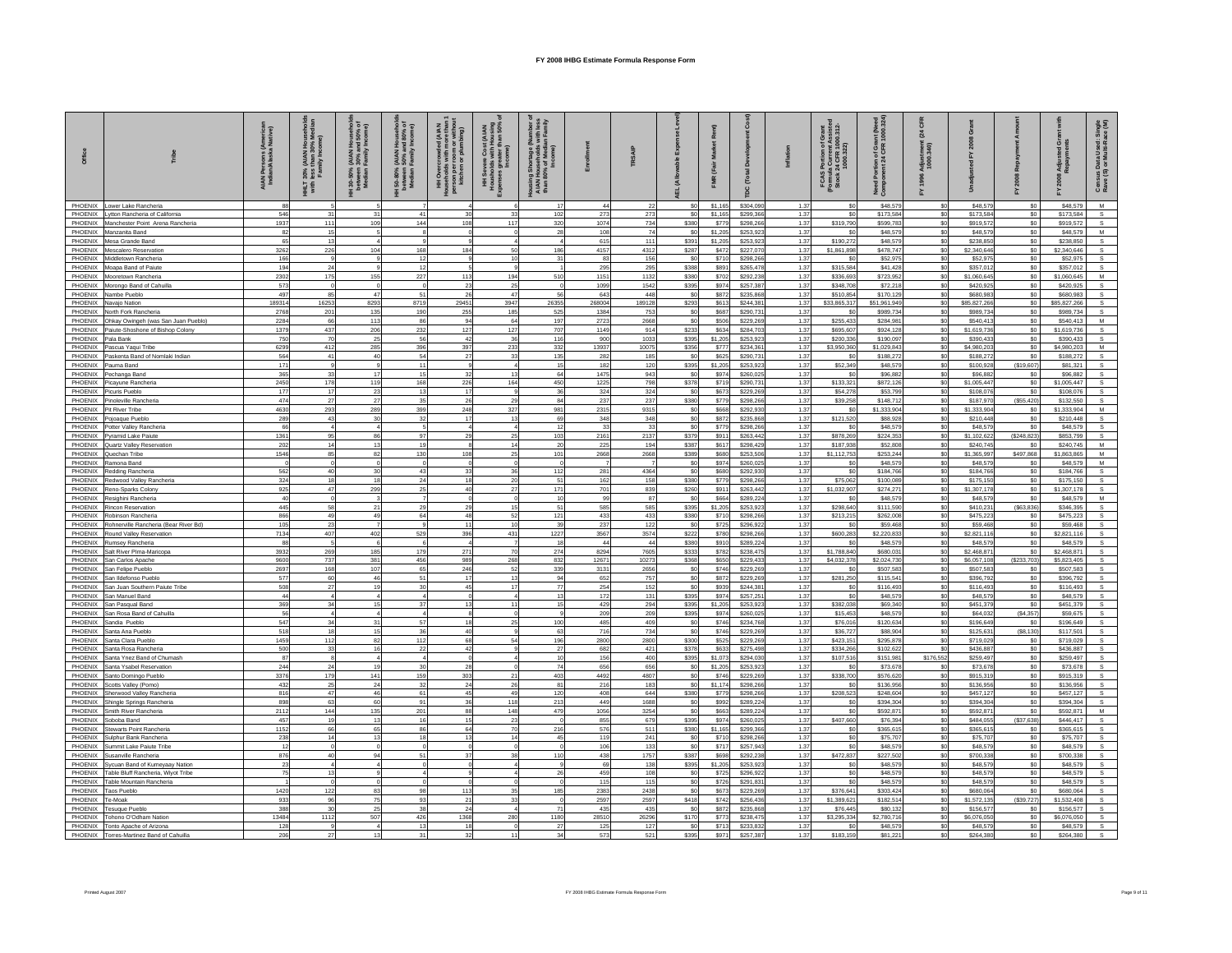| Office             |                                                                         | s (Americar<br>ka Native)<br>AIAN Persons<br>Indian/Alaska | 30% (AIAN<br>less than 3<br>Family Inc<br>THET<br>With | Househ<br>nd 50%<br>Income<br>(AIAN I<br>30% ar<br>Family<br>l 30-50%<br>between<br>Median | AIAN Househ) ,<br>- 90% and 80%<br>Family Income<br>l 50-80%<br>between<br>Median | ; 舌<br>HH Overc<br>puseholds<br>Househow<br>person per<br>kitchen | a Cost<br>As with H<br>greater<br>Incom<br>HH Severe<br>Housholds w<br>Openses great | 름 ㅎ 르<br>Housing She<br>AIAN Hous<br>than 80% c |                        | TRSAIP       |                         |                    | å<br>(Tota             |              | 5 Portion of Grant<br>la Current Assistec<br>: 24 CFR 1000.312-<br>1000.322)<br>FCAS P<br>(Formula<br>Stock 24 | Portion of Grant (Need<br>ภาent 24 CFR 1000.324<br>Need<br>Comp | ក<br>និង<br>Adjust<br>1000. |                         |                       |                          | sus Data Used: Sin<br>9 (S) or Multi-Race (<br>Censu<br>Rave ( |
|--------------------|-------------------------------------------------------------------------|------------------------------------------------------------|--------------------------------------------------------|--------------------------------------------------------------------------------------------|-----------------------------------------------------------------------------------|-------------------------------------------------------------------|--------------------------------------------------------------------------------------|-------------------------------------------------|------------------------|--------------|-------------------------|--------------------|------------------------|--------------|----------------------------------------------------------------------------------------------------------------|-----------------------------------------------------------------|-----------------------------|-------------------------|-----------------------|--------------------------|----------------------------------------------------------------|
| PHOENIX            | Lower Lake Rancheria                                                    |                                                            |                                                        |                                                                                            |                                                                                   |                                                                   |                                                                                      |                                                 | 44                     | 22           | S <sub>0</sub>          | \$1,165            | \$304,090              | 1.37         | \$0                                                                                                            | \$48,579                                                        | \$0                         | \$48,579                | \$0                   | \$48,579                 | M                                                              |
|                    | PHOENIX Lytton Rancheria of California                                  | 546                                                        |                                                        | 31                                                                                         | 4 <sup>1</sup>                                                                    |                                                                   | 33                                                                                   | 102                                             | 273                    | 273          | \$0                     | \$1,165            | \$299,366              | 1.37         |                                                                                                                | \$173,584                                                       | \$0                         | \$173,584               | \$0                   | \$173,584                |                                                                |
| PHOENIX            | PHOENIX Manchester Point Arena Rancheria<br>Manzanita Band              | 1937<br>82                                                 | 111                                                    | 109                                                                                        | 144                                                                               | 108                                                               | 117                                                                                  | 320                                             | 1074<br>108            | 734<br>74    | \$380<br>S <sub>0</sub> | \$779              | \$298,266              | 1.37<br>1.37 | \$319,790                                                                                                      | \$599.78<br>\$48,579                                            | \$0<br>\$0                  | \$919.57<br>\$48,579    | \$0<br>\$0            | \$919,572<br>\$48,579    | M                                                              |
|                    | PHOENIX Mesa Grande Band                                                | 65                                                         | 13                                                     |                                                                                            |                                                                                   |                                                                   |                                                                                      |                                                 | 615                    | 111          | \$391                   | \$1,205<br>\$1,205 | \$253,923<br>\$253,923 | 1.37         | \$190,272                                                                                                      | \$48,579                                                        | \$0                         | \$238.85                | \$0                   | \$238,850                |                                                                |
|                    | PHOENIX Mescalero Reservation                                           | 3262                                                       | 226                                                    | 104                                                                                        | 168                                                                               | 184                                                               | 50                                                                                   | 186                                             | 4157                   | 4312         | <b>\$287</b>            | \$47               | \$227,070              | 1.37         | \$1,861,898                                                                                                    | \$478,747                                                       | \$0                         | \$2,340,646             | \$0                   | \$2,340,646              |                                                                |
| PHOENIX            | Middletown Rancheria                                                    | 166                                                        |                                                        |                                                                                            |                                                                                   |                                                                   | 10                                                                                   | 31                                              | 83                     | 156          | S <sub>0</sub>          | \$710              | \$298,266              | 1.37         |                                                                                                                | \$52,975                                                        | \$0                         | \$52,975                | \$0                   | \$52,975                 |                                                                |
|                    | PHOENIX Moapa Band of Paiute                                            | 194                                                        | 2 <sup>i</sup>                                         | 155                                                                                        | 12                                                                                | 113                                                               | 194                                                                                  | 510                                             | 295<br>1151            | 295<br>1132  | \$388                   | \$89               | \$265,478              | 1.37         | \$315.584                                                                                                      | \$41,428                                                        | \$0                         | \$357.01<br>\$1,060,64  | \$0                   | \$357,012                | M                                                              |
| PHOENIX            | PHOENIX Mooretown Rancheria<br>Morongo Band of Cahuilla                 | 2302<br>573                                                | 175                                                    |                                                                                            | 227                                                                               | 23                                                                | 25                                                                                   |                                                 | 1099                   | 1542         | \$380<br>\$395          | \$702<br>\$974     | \$292,238<br>\$257,387 | 1.37<br>1.37 | \$336,693<br>\$348,708                                                                                         | \$723,952<br>\$72.218                                           | \$0<br>\$0                  | \$420,925               | \$0<br>\$0            | \$1,060,645<br>\$420,925 |                                                                |
|                    | PHOENIX Nambe Pueblo                                                    | 497                                                        | 85                                                     | 47                                                                                         | 51                                                                                | 26                                                                | 47                                                                                   | 56                                              | 643                    | 448          | \$0                     | \$872              | \$235,868              | 1.37         | \$510,854                                                                                                      | \$170.129                                                       | \$0                         | \$680.98                | \$0                   | \$680,983                |                                                                |
|                    | PHOENIX Navajo Nation                                                   | 189314                                                     | 16253                                                  | 8293                                                                                       | 8719                                                                              | 29451                                                             | 3947                                                                                 | 26355                                           | 268004                 | 189128       | \$293                   | \$613              | \$244,381              | 1.37         | \$33,865,317                                                                                                   | \$51.961.949                                                    | \$0                         | \$85,827,266            | \$0                   | \$85,827,266             |                                                                |
| PHOENIX            | North Fork Rancheria                                                    | 2768                                                       | 201                                                    | 135                                                                                        | 190                                                                               | 255                                                               | 185                                                                                  | 525                                             | 1384                   | 753          | S <sub>0</sub>          | \$687              | \$290.73               | 1.37         |                                                                                                                | \$989.734                                                       | \$0                         | \$989.73                | \$0                   | \$989.734                |                                                                |
| PHOENIX<br>PHOENIX | Ohkay Owingeh (was San Juan Pueblo)<br>Paiute-Shoshone of Bishop Colony | 2284<br>1379                                               | 66<br>437                                              | 113<br>206                                                                                 | 86<br>232                                                                         | 94<br>127                                                         | 64<br>127                                                                            | 197<br>707                                      | 2723<br>1149           | 2668<br>914  | \$0<br>\$233            | \$506<br>\$634     | \$229,26<br>\$284,703  | 1.37<br>1.37 | \$255.43<br>\$695,607                                                                                          | \$284.98<br>\$924,12                                            | \$0<br>\$0                  | \$540.41<br>\$1,619.73  | \$0<br>\$0            | \$540.413<br>\$1,619,736 | M                                                              |
| PHOENIX            | Pala Bank                                                               | 750                                                        | 70                                                     | 25                                                                                         | 56                                                                                | 42                                                                | 36                                                                                   | 116                                             | 900                    | 1033         | \$395                   | \$1,205            | \$253.923              | 1.37         | \$200,336                                                                                                      | \$190.097                                                       | \$0                         | \$390,433               | \$0                   | \$390,433                |                                                                |
|                    | PHOENIX Pascua Yaqui Tribe                                              | 6299                                                       | 412                                                    | 285                                                                                        | 396                                                                               | 397                                                               | 233                                                                                  | 332                                             | 13937                  | 10075        | \$356                   | \$777              | \$234,361              | 1.37         | \$3,950,360                                                                                                    | \$1,029,843                                                     | \$0                         | \$4,980,203             | \$0                   | \$4,980,203              |                                                                |
| PHOENIX            | Paskenta Band of Nomlaki Indian                                         | 564                                                        | 41                                                     | 40                                                                                         | 54                                                                                | 27                                                                | 33                                                                                   | 135                                             | 282                    | 185          | S <sub>0</sub>          | \$625              | \$290,731              | 1.37         | \$0                                                                                                            | \$188,272                                                       | \$0                         | \$188,272               | \$0                   | \$188,272                |                                                                |
| PHOENIX<br>PHOENIX | Pauma Band<br>Pechanga Band                                             | 171<br>365                                                 | 33                                                     | 17                                                                                         | 11                                                                                | 32                                                                | 13                                                                                   | 15<br>64                                        | 182<br>1475            | 120<br>943   | \$395<br>S <sub>0</sub> | \$1,205<br>\$97    | \$253.923<br>\$260,025 | 1.37<br>1.37 | \$52,349                                                                                                       | \$48,579<br>\$96,882                                            | \$0<br>\$0                  | \$100,928<br>\$96,88    | (\$19,607)<br>\$0     | \$81.321<br>\$96,882     |                                                                |
| PHOENIX            | Picayune Rancheria                                                      | 2450                                                       | 178                                                    | 119                                                                                        | 168                                                                               | 226                                                               | 164                                                                                  | 450                                             | 1225                   | 798          | \$378                   | \$719              | \$290,731              | 1.37         | \$133,321                                                                                                      | \$872,126                                                       | \$0                         | \$1,005.44              | $\$0$                 | \$1,005,447              | s                                                              |
| PHOENIX            | Picuris Pueblo                                                          | 177                                                        | 17                                                     | 23                                                                                         |                                                                                   | 17                                                                | $\alpha$                                                                             | 36                                              | 324                    | 324          | S <sub>0</sub>          | \$673              | \$229,269              | 1.37         | \$54,278                                                                                                       | \$53,799                                                        | \$0                         | \$108,076               | \$0                   | \$108,076                |                                                                |
| PHOENIX            | Pinoleville Rancheria                                                   | 474                                                        | 27                                                     | $27\,$                                                                                     |                                                                                   | 26                                                                | 29                                                                                   | 84                                              | 237                    | 237          | \$380                   | \$779              | \$298,266              | 1.37         | \$39,258                                                                                                       | \$148,712                                                       | \$0                         | \$187,970               | (\$55,420)            | \$132,550                |                                                                |
| PHOENIX            | PHOENIX Pit River Tribe<br>Pojoaque Pueblo                              | 4630<br>289                                                | 293<br>43                                              | 289<br>30                                                                                  | 399<br>32                                                                         | 248<br>17                                                         | 327<br>13                                                                            | 981<br>69                                       | 2315<br>348            | 9315<br>348  | \$0<br>S <sub>0</sub>   | \$668<br>\$872     | \$292,930<br>\$235,868 | 1.37<br>1.37 | \$0<br>\$121,520                                                                                               | \$1,333,904<br>\$88,928                                         | \$0<br>\$0                  | \$1,333,904<br>\$210.44 | S <sub>0</sub><br>\$0 | \$1,333,904<br>\$210,448 | M<br>s                                                         |
| PHOENIX            | Potter Valley Rancheria                                                 | 66                                                         |                                                        | $\overline{a}$                                                                             |                                                                                   |                                                                   |                                                                                      | 12                                              | 33                     | 33           | S <sub>0</sub>          | \$775              | \$298,266              | 1.37         | \$0                                                                                                            | \$48,579                                                        | \$0                         | \$48,579                | \$0                   | \$48,579                 |                                                                |
| PHOENIX            | Pyramid Lake Paiute                                                     | 1361                                                       | 95                                                     | 86                                                                                         | 97                                                                                | 29                                                                | 25                                                                                   | 103                                             | 2161                   | 2137         | \$379                   | \$91               | \$263,442              | 1.37         | \$878,269                                                                                                      | \$224,353                                                       | \$0                         | \$1,102,622             | (S248, 823)           | \$853,799                |                                                                |
| PHOENIX            | Quartz Valley Reservation                                               | 202                                                        |                                                        | 13                                                                                         |                                                                                   |                                                                   | 14                                                                                   | 20                                              | 225                    | 194          | \$387                   | \$617              | \$298,429              | 1.37         | \$187,938                                                                                                      | \$52,808                                                        | \$0                         | \$240,745               | \$0                   | \$240,745                | M                                                              |
|                    | PHOENIX Quechan Tribe<br>PHOENIX Ramona Band                            | 1546                                                       | 85                                                     | 82<br>$\Omega$                                                                             | 130                                                                               | 108                                                               | 25<br>$\Omega$                                                                       | 101                                             | 2668<br>$\overline{7}$ | 2668         | \$389<br>S <sub>0</sub> | \$680<br>\$974     | \$253,506<br>\$260,025 | 1.37<br>1.37 | \$1,112,753<br>\$0                                                                                             | \$253,244<br>\$48,579                                           | \$0<br>\$0                  | \$1,365,997<br>\$48,579 | \$497,868<br>\$0      | \$1,863,865<br>\$48,579  | M                                                              |
| PHOENIX            | Redding Rancheria                                                       | 562                                                        | 40                                                     | 30                                                                                         | 43                                                                                | 33                                                                | 36                                                                                   | 112                                             | 281                    | 4364         | S <sub>0</sub>          | \$680              | \$292,930              | 1.37         | \$0                                                                                                            | \$184,766                                                       | \$0                         | \$184,76                | \$0                   | \$184,766                | S.                                                             |
| PHOENIX            | Redwood Valley Rancheria                                                | 324                                                        | 18                                                     | 18                                                                                         |                                                                                   | 18                                                                | 20                                                                                   | 51                                              | 162                    | 158          | \$380                   | \$779              | \$298,266              | 1.37         | \$75,062                                                                                                       | \$100,089                                                       | \$0                         | \$175,150               | \$0                   | \$175,150                |                                                                |
| PHOENIX<br>PHOENIX | Reno-Sparks Colony                                                      | 925<br>40                                                  | 47                                                     | 299                                                                                        |                                                                                   | 40                                                                | 27<br>$\Omega$                                                                       | 171<br>10                                       | 701<br>99              | 839<br>87    | \$260<br>S <sub>0</sub> | \$91               | \$263,442              | 1.37<br>1.37 | \$1,032,907                                                                                                    | \$274,271<br>\$48,579                                           | \$0<br>\$0                  | \$1,307,178<br>\$48,579 | \$0<br>so.            | \$1,307,178<br>\$48,579  |                                                                |
| PHOENIX            | Resighini Rancheria<br>Rincon Reservation                               | 445                                                        | 58                                                     | 21                                                                                         |                                                                                   | 29                                                                | 15                                                                                   | 51                                              | 585                    | 585          | \$395                   | \$664<br>\$1,205   | \$289,224<br>\$253.923 | 1.37         | \$298,640                                                                                                      | \$111,590                                                       | \$0                         | \$410,23                | (\$63,836)            | \$346,395                |                                                                |
|                    | PHOENIX Robinson Rancheria                                              | 866                                                        | 49                                                     | 49                                                                                         | 64                                                                                | 48                                                                | 52                                                                                   | 121                                             | 433                    | 433          | \$380                   | \$710              | \$298,266              | 1.37         | \$213,215                                                                                                      | \$262,008                                                       | \$0                         | \$475,22                | \$0                   | \$475,223                |                                                                |
| PHOENIX            | Rohnerville Rancheria (Bear River Bd)                                   | 105                                                        | 23                                                     |                                                                                            |                                                                                   | 11                                                                | $10^{-1}$                                                                            | 39                                              | 237                    | 122          | \$0                     | \$725              | \$296,922              | 1.37         | \$0                                                                                                            | \$59,468                                                        | \$0                         | \$59,46                 | \$0                   | \$59,468                 |                                                                |
|                    | PHOENIX Round Valley Reservation                                        | 7134                                                       | 407                                                    | 402<br>6                                                                                   | 529                                                                               | 396                                                               | 431                                                                                  | 1227<br>18                                      | 3567<br>44             | 3574<br>44   | \$222                   | \$780              | \$298,266              | 1.37         | \$600,283                                                                                                      | \$2,220,833                                                     | \$0<br>\$0                  | \$2,821,116             | \$0                   | \$2,821,116              |                                                                |
| PHOENIX<br>PHOENIX | Rumsey Rancheria<br>Salt River Plma-Maricopa                            | 88<br>3932                                                 | 269                                                    | 185                                                                                        | 179                                                                               | 271                                                               | 70                                                                                   | 274                                             | 8294                   | 7605         | \$380<br>\$333          | \$910<br>\$782     | \$289,224<br>\$238,475 | 1.37<br>1.37 | \$1,788,840                                                                                                    | \$48,579<br>\$680.03                                            | \$0                         | \$48,57<br>\$2,468,871  | \$0<br>\$0            | \$48,579<br>\$2,468.871  |                                                                |
|                    | PHOENIX San Carlos Apache                                               | 9600                                                       | 737                                                    | 381                                                                                        | 456                                                                               | 989                                                               | 268                                                                                  | 832                                             | 12671                  | 10273        | \$368                   | \$650              | \$229,433              | 1.37         | \$4,032,378                                                                                                    | \$2,024,730                                                     | \$0                         | \$6,057,10              | (S233.703)            | \$5,823,405              |                                                                |
|                    | PHOENIX San Felipe Pueblo                                               | 2697                                                       | 168                                                    | 107                                                                                        | 65                                                                                | 246                                                               | 52                                                                                   | 339                                             | 3131                   | 2656         | \$0                     | \$746              | \$229,269              | 1.37         | \$0                                                                                                            | \$507,583                                                       | \$0                         | \$507,583               | \$0                   | \$507,583                |                                                                |
| PHOENIX<br>PHOENIX | San Ildefonso Pueblo<br>San Juan Southern Paiute Tribe                  | 577<br>508                                                 | 60<br>21                                               | 46<br>19                                                                                   | 5'                                                                                | -17<br>45                                                         | 13<br>17                                                                             | 94<br>77                                        | 652<br>254             | 757<br>152   | \$0<br>\$0              | \$872<br>\$939     | \$229,269<br>\$244,381 | 1.37<br>1.37 | \$281,250                                                                                                      | \$115.54<br>\$116,493                                           | \$0<br>\$0                  | \$396.79<br>\$116,49    | \$0<br>\$0            | \$396.792<br>\$116,493   |                                                                |
| PHOENIX            | San Manuel Band                                                         | AA                                                         |                                                        |                                                                                            |                                                                                   |                                                                   |                                                                                      |                                                 | 172                    | 131          | \$395                   | \$974              | \$257.25               | 1.37         | \$0                                                                                                            | \$48,579                                                        | \$0                         | \$48,579                | \$0                   | \$48,579                 |                                                                |
| PHOENIX            | San Pasqual Band                                                        | 369                                                        | 34                                                     | 15                                                                                         |                                                                                   |                                                                   | 11                                                                                   |                                                 | 429                    | 294          | \$395                   | \$1,205            | \$253,923              | 1.37         | \$382.038                                                                                                      | \$69,340                                                        | \$0                         | \$451.37                | S <sub>0</sub>        | \$451,379                |                                                                |
|                    | PHOENIX San Rosa Band of Cahuilla                                       | 56                                                         |                                                        |                                                                                            |                                                                                   | 18                                                                | $\Omega$                                                                             |                                                 | 209                    | 209          | \$395                   | \$974              | \$260,025              | 1.37         | \$15,453                                                                                                       | \$48,579                                                        | \$0                         | \$64,032                | (S4, 357)             | \$59,675                 |                                                                |
| PHOENIX            | PHOENIX Sandia Pueblo<br>Santa Ana Pueblo                               | 547<br>518                                                 | 34<br>18                                               | 31<br>15                                                                                   | 57                                                                                | 40                                                                | 25                                                                                   | 100<br>63                                       | 485<br>716             | 409<br>734   | \$0<br>S <sub>0</sub>   | \$746<br>\$746     | \$234,768<br>\$229,269 | 1.37<br>1.37 | \$76,016<br>\$36.72                                                                                            | \$120,634<br>\$88,904                                           | \$0<br>\$0                  | \$196,649<br>\$125.63   | \$0<br>(S8, 130)      | \$196,649<br>\$117,501   |                                                                |
|                    | PHOENIX Santa Clara Pueblo                                              | 1459                                                       | 112                                                    | 82                                                                                         | 112                                                                               | 68                                                                | 54                                                                                   | 196                                             | 2800                   | 2800         | \$300                   | \$525              | \$229,269              | 1.37         | \$423,151                                                                                                      | \$295,878                                                       | \$0                         | \$719.02                | \$0                   | \$719,029                |                                                                |
|                    | PHOENIX Santa Rosa Rancheria                                            | 500                                                        | 33                                                     | 16                                                                                         | 22                                                                                | 42                                                                | $\alpha$                                                                             | 27                                              | 682                    | 421          | \$378                   | \$633              | \$275,498              | 1.37         | \$334,266                                                                                                      | \$102,622                                                       | \$0                         | \$436.88                | \$0                   | \$436,887                |                                                                |
| PHOENIX            | Santa Ynez Band of Chumash                                              | 87                                                         | $\mathfrak{p}_i$                                       | 19                                                                                         |                                                                                   | 28                                                                |                                                                                      | 10<br>74                                        | 156<br>656             | 400          | \$395                   | \$1,073            | \$294,030              | 1.37<br>1.37 | \$107,516<br>\$0                                                                                               | \$151.981                                                       | \$176,552                   | \$259.49                | \$0                   | \$259,497                |                                                                |
|                    | PHOENIX Santa Ysabel Reservation<br>PHOENIX Santo Domingo Pueblo        | 244<br>3376                                                | 179                                                    | 141                                                                                        | 159                                                                               | 303                                                               | 21                                                                                   | 403                                             | 4492                   | 656<br>4807  | \$0<br>\$0              | \$1,205<br>\$746   | \$253,923<br>\$229,269 | 1.37         | \$338,700                                                                                                      | \$73,678<br>\$576,620                                           | \$0<br>\$0                  | \$73,678<br>\$915,319   | \$0<br>\$0            | \$73,678<br>\$915,319    |                                                                |
| PHOENIX            | Scotts Valley (Pomo)                                                    | 432                                                        | 25                                                     | 24                                                                                         | 32                                                                                | 24                                                                | 26                                                                                   | 81                                              | 216                    | 183          | S <sub>0</sub>          | \$1.17             | \$298,266              | 1.37         | \$0                                                                                                            | \$136,956                                                       | \$0                         | \$136,956               | SO                    | \$136,956                |                                                                |
|                    | PHOENIX Sherwood Valley Rancheria                                       | 816                                                        | 47                                                     | 46                                                                                         | 61                                                                                | 45                                                                | 49                                                                                   | 120                                             | 408                    | 644          | \$380                   | \$779              | \$298,266              | 1.37         | \$208,523                                                                                                      | \$248,604                                                       | \$0                         | \$457.12                | \$0                   | \$457.127                |                                                                |
| PHOENIX<br>PHOENIX | Shingle Springs Rancheria                                               | 898<br>2112                                                | 63<br>144                                              | 60<br>135                                                                                  | 91<br>201                                                                         | 36<br>88                                                          | 118<br>148                                                                           | 213<br>479                                      | 449<br>1056            | 1688<br>3254 | S <sub>0</sub><br>\$0   | \$992              | \$289,224              | 1.37<br>1.37 | \$0<br>\$0                                                                                                     | \$394,304<br>\$592.871                                          | \$0<br>\$0                  | \$394.30<br>\$592.87    | \$0<br>\$0            | \$394,304<br>\$592,871   | M                                                              |
|                    | Smith River Rancheria<br>PHOENIX Soboba Band                            | 457                                                        | 19                                                     | 13                                                                                         |                                                                                   |                                                                   | 23                                                                                   |                                                 | 855                    | 679          | \$395                   | \$663<br>\$974     | \$289,224<br>\$260,025 | 1.37         | \$407,660                                                                                                      | \$76,394                                                        | \$0                         | \$484,055               | (\$37,638)            | \$446.417                |                                                                |
|                    | PHOENIX Stewarts Point Rancheria                                        | 1152                                                       | 66                                                     | 65                                                                                         | 86                                                                                | 64                                                                | 70                                                                                   | 216                                             | 576                    | 511          | \$380                   | \$1,165            | \$299,366              | 1.37         | \$0                                                                                                            | \$365,615                                                       | \$0                         | \$365,615               | \$0                   | \$365,615                |                                                                |
| PHOENIX            | Sulphur Bank Rancheria                                                  | 238                                                        | 14                                                     | 13                                                                                         |                                                                                   | 12                                                                | 14                                                                                   | 45                                              | 119                    | 241          | S <sub>0</sub>          | \$710              | \$298,266              | 1.37         | \$0                                                                                                            | \$75,707                                                        | sol                         | \$75,707                | SO                    | \$75,707                 |                                                                |
|                    | PHOENIX Summit Lake Paiute Tribe                                        | 12                                                         |                                                        |                                                                                            |                                                                                   |                                                                   |                                                                                      |                                                 | 106                    | 133          | \$0                     | \$717              | \$257,943              | 1.37         | \$0                                                                                                            | \$48,579                                                        | \$0                         | \$48,579                | \$0                   | \$48,579                 |                                                                |
| PHOENIX<br>PHOENIX | Susanville Rancheria<br>Sycuan Band of Kumeyaay Nation                  | 876<br>23                                                  | 40                                                     | 94                                                                                         |                                                                                   | 31                                                                | 38                                                                                   | 110                                             | 438<br>69              | 1757<br>138  | \$387<br>\$395          | \$698<br>\$1,205   | \$292,23<br>\$253.923  | 1.37<br>1.37 | \$472,837<br>\$n                                                                                               | \$227,502<br>\$48,579                                           | \$0<br>\$0                  | \$700,33<br>\$48,579    | \$0<br>\$0            | \$700,338<br>\$48,579    |                                                                |
|                    | PHOENIX Table Bluff Rancheria, Wiyot Tribe                              | 75                                                         |                                                        |                                                                                            |                                                                                   |                                                                   |                                                                                      |                                                 | 459                    | 108          | \$0                     | \$725              | \$296,922              | 1.37         | \$O                                                                                                            | \$48,579                                                        | \$0                         | \$48,579                | \$0                   | \$48,579                 |                                                                |
| PHOENIX            | Table Mountain Rancheria                                                |                                                            |                                                        |                                                                                            |                                                                                   |                                                                   |                                                                                      |                                                 | 115                    | 115          | S <sub>0</sub>          | \$726              | \$291,831              | 1.37         | \$0                                                                                                            | \$48,579                                                        | \$0                         | \$48,579                | \$0                   | \$48,579                 |                                                                |
| PHOENIX<br>PHOENIX | <b>Taos Pueblo</b><br>Te-Moak                                           | 1420<br>933                                                | 122<br>96                                              | 83<br>75                                                                                   | 93                                                                                | 113<br>$\mathcal{P}$                                              | 35<br>33                                                                             | 185                                             | 2383<br>2597           | 2438<br>2597 | S <sub>0</sub><br>S418  | \$673<br>\$742     | \$229,269<br>\$256,436 | 1.37<br>1.37 | \$376,641<br>\$1,389,621                                                                                       | \$303.424<br>\$182,514                                          | \$0<br>\$0                  | \$680.06<br>\$1,572,135 | \$0<br>(S39.727)      | \$680.064<br>\$1,532,408 |                                                                |
| PHOENIX            | <b>Tesuque Pueblo</b>                                                   | 388                                                        | 30                                                     | 25                                                                                         | 38                                                                                | 24                                                                | $\Delta$                                                                             | 71                                              | 435                    | 435          | S <sub>0</sub>          | \$872              | \$235,868              | 1.37         | \$76,445                                                                                                       | \$80,132                                                        | \$0                         | \$156,577               | \$0                   | \$156,577                |                                                                |
| PHOENIX            | Tohono O'Odham Nation                                                   | 13484                                                      | 1112                                                   | 507                                                                                        | 426                                                                               | 1368                                                              | 280                                                                                  | 1180                                            | 28510                  | 26296        | \$170                   | \$773              | \$238,475              | 1.37         | \$3,295,334                                                                                                    | \$2,780,716                                                     | sol                         | \$6,076,050             | \$0                   | \$6,076,050              |                                                                |
| PHOENIX            | Tonto Apache of Arizona                                                 | 128                                                        |                                                        | $\overline{4}$                                                                             | 13                                                                                | 18                                                                | $\circ$                                                                              | 27                                              | 125                    | 127          | S <sub>0</sub>          | \$713              | \$233.832              | 1.37         | \$0                                                                                                            | \$48,579                                                        | \$0                         | \$48,579                | \$0                   | \$48,579                 |                                                                |
| PHOFNIX            | Torres-Martinez Band of Cabuilla                                        | 206                                                        | 27                                                     | 13                                                                                         |                                                                                   | 32                                                                | 11                                                                                   | 34                                              | 573                    | 521          | \$395                   | \$971              | \$257,387              | 1.37         | \$183 159                                                                                                      | \$81.221                                                        | SO <sub>2</sub>             | \$264,380               | \$0                   | \$264,380                |                                                                |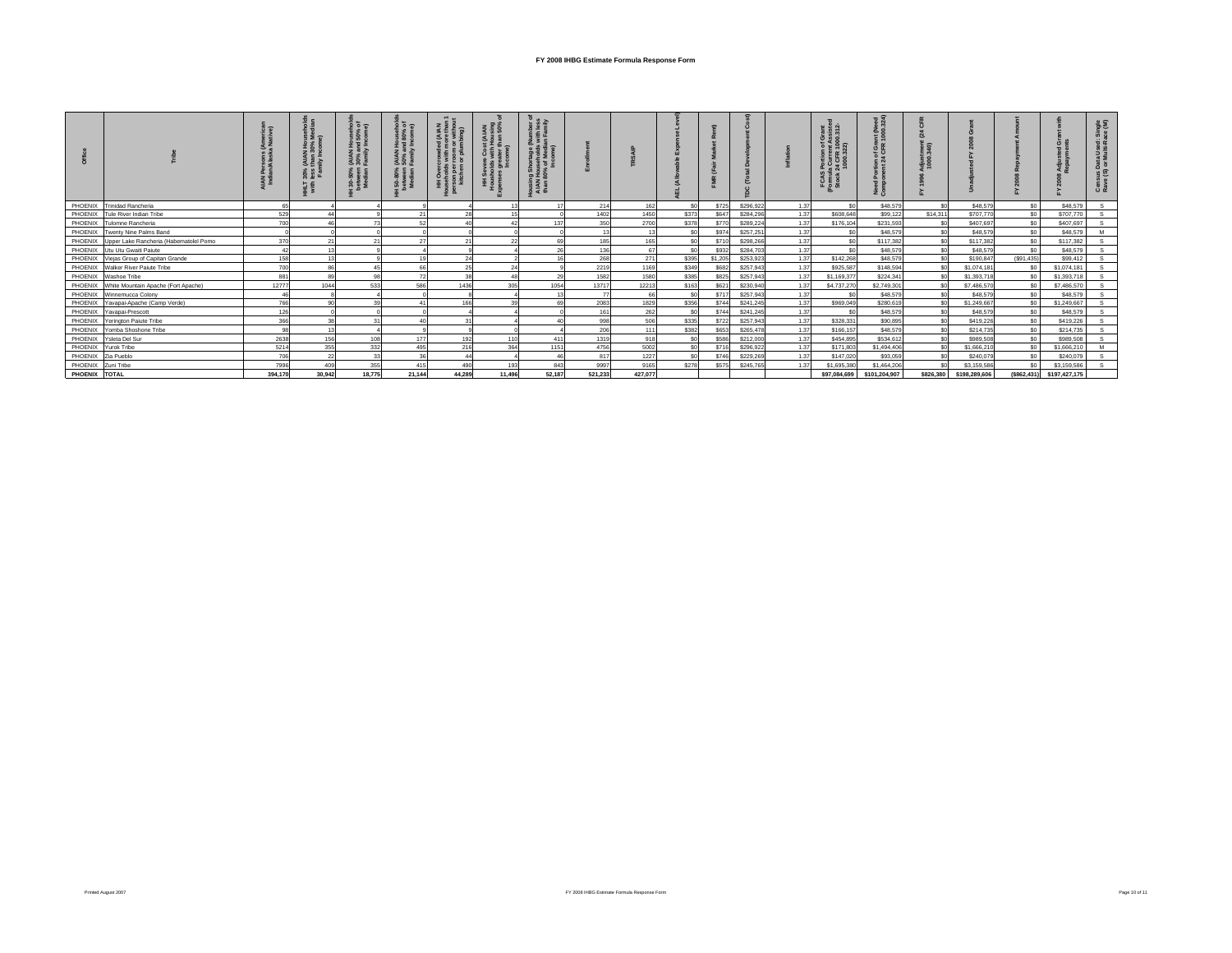|               |                                        |         |        | 医鼻唇<br>$\frac{1}{26}$ | 오 호 호<br>(AIAN)<br>50%<br>Eami<br>50-80%<br>etween<br>Modian I |                | ₹ ፣    | ber of<br>less<br>mily<br>≣ទៃយិ<br>ㅎ ᇙ ㅎ ᢄ<br>. 호 호 있<br>lousin<br>AIAN<br>than 8 |         |         |                |              |           |      |              | ៖ ន<br>そま<br>٤ē<br>∘ ≃<br>ுட<br>ᅙ읖<br>z న |           |               |            |               | us Dat<br>(S) or<br>ិ<br>សិស |
|---------------|----------------------------------------|---------|--------|-----------------------|----------------------------------------------------------------|----------------|--------|-----------------------------------------------------------------------------------|---------|---------|----------------|--------------|-----------|------|--------------|-------------------------------------------|-----------|---------------|------------|---------------|------------------------------|
| PHOENIX       | Trinidad Rancheria                     |         |        |                       |                                                                |                |        |                                                                                   | 214     |         |                | \$725        | \$296,922 | 1.37 |              | \$48,579                                  |           | \$48,579      |            | \$48,579      |                              |
| PHOENIX       | Tule River Indian Tribe                | 529     |        |                       |                                                                | 28             |        |                                                                                   | 1402    | 1450    | \$373          | <b>\$647</b> | \$284,296 | 1.37 | \$608,648    | \$99,122                                  | \$14,311  | \$707,770     | \$0        | \$707,770     |                              |
| PHOENIX       | Tulomne Rancheria                      | 700     |        |                       |                                                                |                |        | 13                                                                                | 350     | 2700    | \$378          | \$770        | \$289,224 | 1.37 | \$176,104    | \$231,593                                 |           | \$407,697     | \$0        | \$407,697     |                              |
| PHOENIX       | Twenty Nine Palms Band                 |         |        |                       |                                                                |                |        |                                                                                   |         |         | S0             | \$974        | \$257,251 | 1.37 |              | \$48,579                                  |           | \$48,579      | \$n        | \$48,579      |                              |
| PHOENIX       | Upper Lake Rancheria (Habematolel Pomo | 370     |        | 21                    |                                                                | 21             |        |                                                                                   | 185     | 161     |                | \$71         | \$298.266 | 1.37 |              | \$117,382                                 |           | \$117,382     | S0         | \$117,382     |                              |
| PHOENIX       | Utu Utu Gwaiti Paiute                  |         |        |                       |                                                                |                |        |                                                                                   | 136     | 67      | SC             | \$932        | \$284,703 | 1.37 |              | \$48,579                                  |           | \$48,579      | \$0        | \$48,579      |                              |
| PHOENIX       | Vieias Group of Capitan Grande         | 158     |        |                       |                                                                |                |        |                                                                                   | 268     | 271     | \$395          | \$1,205      | \$253.923 | 1.37 | \$142,268    | \$48,579                                  |           | \$190,847     | (S91.435)  | \$99,412      |                              |
| PHOENIX       | Walker River Paiute Tribe              | 700     |        |                       |                                                                | 25             |        |                                                                                   | 2219    | 1169    | \$349          | \$682        | \$257,943 | 1.37 | \$925,587    | \$148.59                                  |           | \$1,074.181   | $\alpha$   | \$1,074.181   |                              |
| PHOENIX       | Washoe Tribe                           | 881     |        | 98                    |                                                                | 38             |        |                                                                                   | 1582    | 1580    | \$385          | \$825        | \$257,943 | 1.37 | \$1,169,377  | \$224.341                                 |           | \$1,393,718   | $\epsilon$ | \$1,393,718   |                              |
| PHOENIX       | White Mountain Apache (Fort Apache)    | 12777   | 1044   | 533                   | 586                                                            | 1436           | 305    | 1054                                                                              | 13717   | 12213   | \$163          | \$621        | \$230,940 | 1.37 | \$4,737,270  | \$2,749.301                               |           | \$7,486,570   | $\sim$     | \$7,486,570   |                              |
| PHOENIX       | Winnemucca Colony                      |         |        |                       |                                                                |                |        |                                                                                   |         | 66      | S <sub>0</sub> | \$717        | \$257,943 | 1.37 |              | \$48,579                                  |           | \$48,579      | \$0        | \$48,579      |                              |
| PHOENIX       | Yavapai-Apache (Camp Verde)            | 766     |        |                       |                                                                | 161            |        |                                                                                   | 2083    | 1829    | \$356          | \$744        | \$241,245 | 1.37 | \$969,049    | \$280,61                                  |           | \$1,249,667   |            | \$1,249,667   |                              |
| PHOENIX       | Yavapai-Prescott                       | 126     |        |                       |                                                                |                |        |                                                                                   | 161     | 262     |                | \$744        | \$241.245 | 1.37 |              | \$48,57                                   |           | \$48,579      |            | \$48,579      |                              |
| PHOENIX       | Yerington Paiute Tribe                 | 366     |        |                       |                                                                |                |        |                                                                                   | 998     | 506     | \$335          | \$722        | \$257,943 | 1.37 | \$328,331    | \$90,895                                  |           | \$419,226     |            | \$419,226     |                              |
| PHOENIX       | Yomba Shoshone Tribe                   |         |        |                       |                                                                |                |        |                                                                                   | 206     | 111     | \$382          | \$653        | \$265,478 | 1.37 | \$166.15     | \$48,579                                  |           | \$214,735     |            | \$214,735     |                              |
| PHOENIX       | Ysleta Del Sur                         | 2638    |        |                       |                                                                | 192            |        | 411                                                                               | 1319    | 918     |                | \$586        | \$212,000 | 1.37 | \$454,895    | \$534,612                                 |           | \$989,508     |            | \$989,508     |                              |
| PHOENIX       | Yurok Tribe                            | 5214    | 355    | 332                   | 495                                                            | 216            | 364    | 1151                                                                              | 4756    | 5002    | S0             | \$716        | \$296.922 | 1.37 | \$171.80     | \$1,494,406                               |           | \$1,666,210   |            | \$1,666,210   |                              |
| PHOENIX       | Zia Pueblo                             | 706     |        | 33                    |                                                                | $\overline{A}$ |        |                                                                                   | 817     | 1227    |                | \$746        | \$229,269 | 1.37 | \$147,020    | \$93,059                                  |           | \$240.079     |            | \$240,079     |                              |
| PHOENIX       | Zuni Tribe                             | 7996    | 409    | 355                   | 415                                                            | 490            |        | 843                                                                               | 9997    | 9165    | <b>\$278</b>   | \$575        | \$245,765 | 1.37 | \$1,695,38   | \$1,464,206                               |           | \$3,159,586   |            | \$3,159,586   |                              |
| PHOENIX TOTAL |                                        | 394.170 | 30.942 | 18.775                | 21.144                                                         | 44,289         | 11.496 | 52.187                                                                            | 521.233 | 427.077 |                |              |           |      | \$97.084.699 | \$101.204.907                             | \$826,380 | \$198,289,606 | (S862.431) | \$197,427,175 |                              |